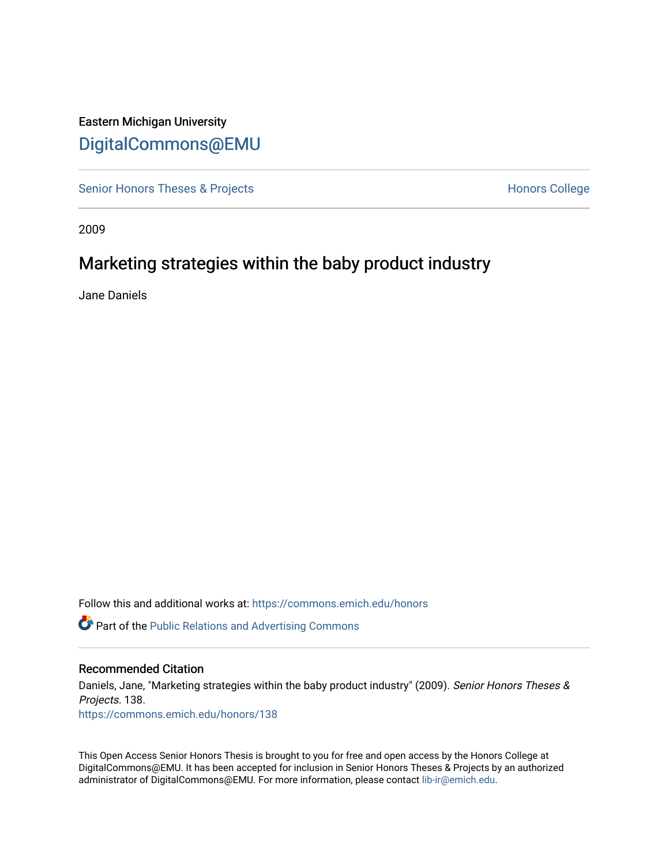# Eastern Michigan University [DigitalCommons@EMU](https://commons.emich.edu/)

[Senior Honors Theses & Projects](https://commons.emich.edu/honors) **Honors College** Honors College

2009

# Marketing strategies within the baby product industry

Jane Daniels

Follow this and additional works at: [https://commons.emich.edu/honors](https://commons.emich.edu/honors?utm_source=commons.emich.edu%2Fhonors%2F138&utm_medium=PDF&utm_campaign=PDFCoverPages)

**C** Part of the Public Relations and Advertising Commons

### Recommended Citation

Daniels, Jane, "Marketing strategies within the baby product industry" (2009). Senior Honors Theses & Projects. 138. [https://commons.emich.edu/honors/138](https://commons.emich.edu/honors/138?utm_source=commons.emich.edu%2Fhonors%2F138&utm_medium=PDF&utm_campaign=PDFCoverPages)

This Open Access Senior Honors Thesis is brought to you for free and open access by the Honors College at DigitalCommons@EMU. It has been accepted for inclusion in Senior Honors Theses & Projects by an authorized administrator of DigitalCommons@EMU. For more information, please contact [lib-ir@emich.edu](mailto:lib-ir@emich.edu).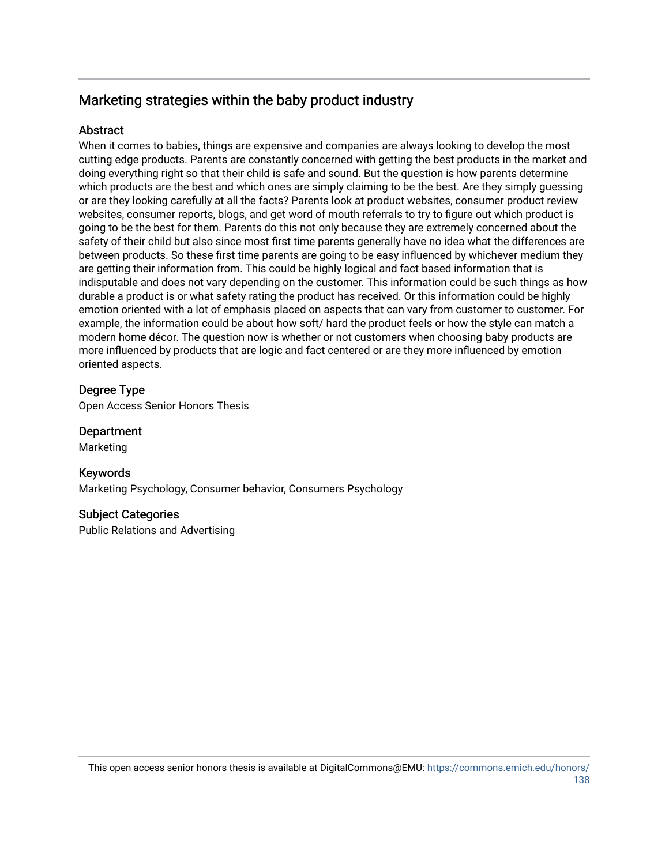# Marketing strategies within the baby product industry

## **Abstract**

When it comes to babies, things are expensive and companies are always looking to develop the most cutting edge products. Parents are constantly concerned with getting the best products in the market and doing everything right so that their child is safe and sound. But the question is how parents determine which products are the best and which ones are simply claiming to be the best. Are they simply guessing or are they looking carefully at all the facts? Parents look at product websites, consumer product review websites, consumer reports, blogs, and get word of mouth referrals to try to figure out which product is going to be the best for them. Parents do this not only because they are extremely concerned about the safety of their child but also since most first time parents generally have no idea what the differences are between products. So these first time parents are going to be easy influenced by whichever medium they are getting their information from. This could be highly logical and fact based information that is indisputable and does not vary depending on the customer. This information could be such things as how durable a product is or what safety rating the product has received. Or this information could be highly emotion oriented with a lot of emphasis placed on aspects that can vary from customer to customer. For example, the information could be about how soft/ hard the product feels or how the style can match a modern home décor. The question now is whether or not customers when choosing baby products are more influenced by products that are logic and fact centered or are they more influenced by emotion oriented aspects.

## Degree Type

Open Access Senior Honors Thesis

Department

Marketing

## Keywords

Marketing Psychology, Consumer behavior, Consumers Psychology

## Subject Categories

Public Relations and Advertising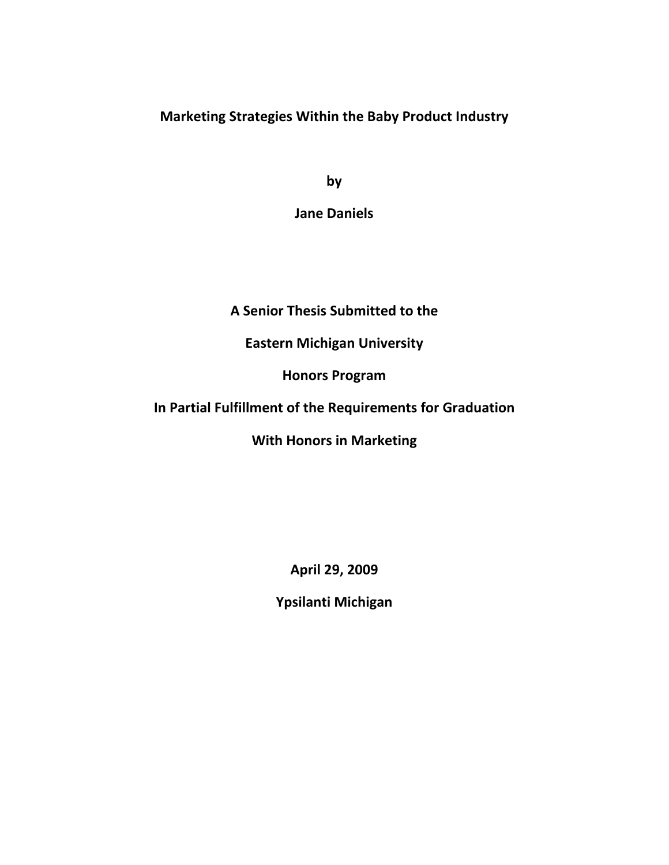**Marketing Strategies Within the Baby Product Industry**

**by**

**Jane Daniels**

**A Senior Thesis Submitted to the** 

**Eastern Michigan University**

**Honors Program**

**In Partial Fulfillment of the Requirements for Graduation**

**With Honors in Marketing**

**April 29, 2009**

**Ypsilanti Michigan**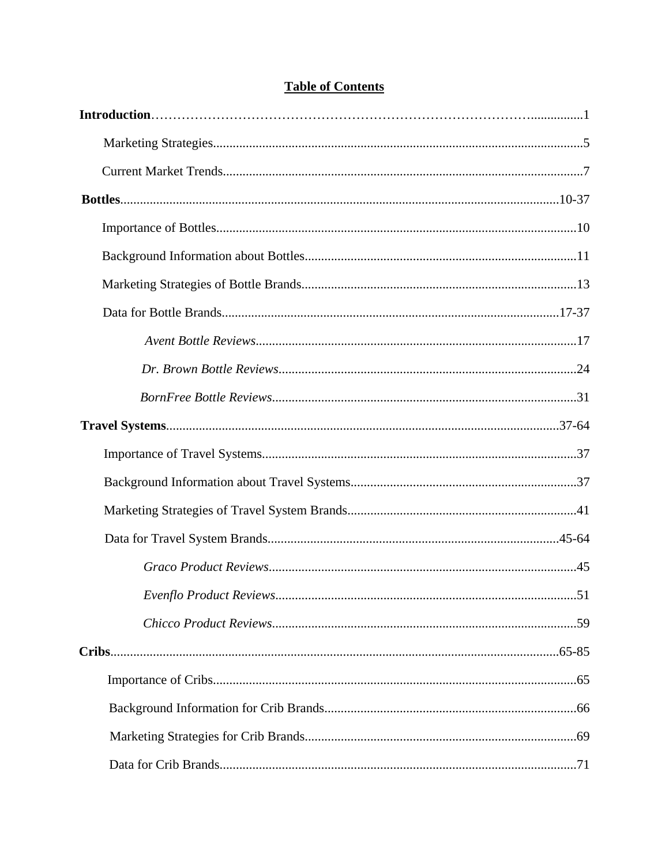# **Table of Contents**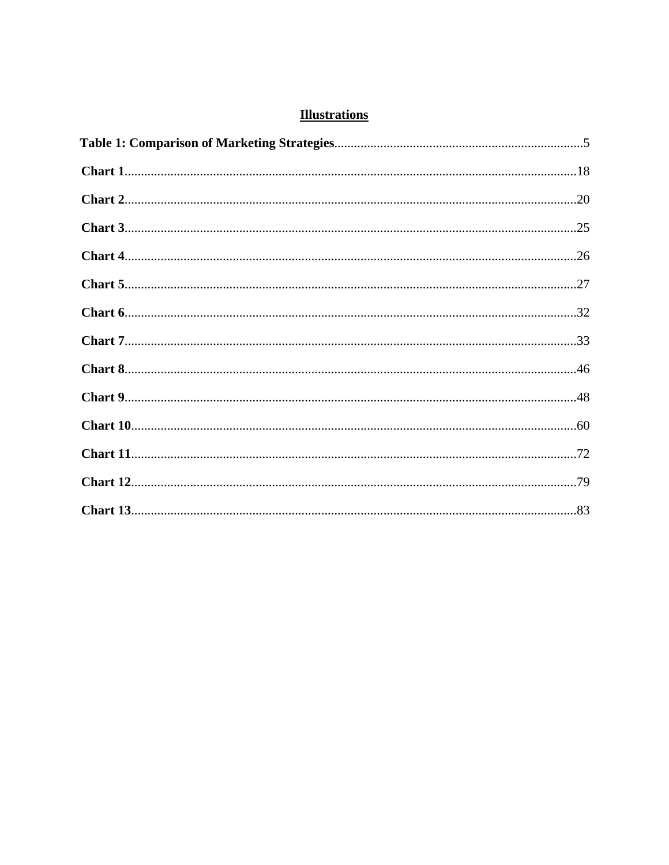# **Illustrations**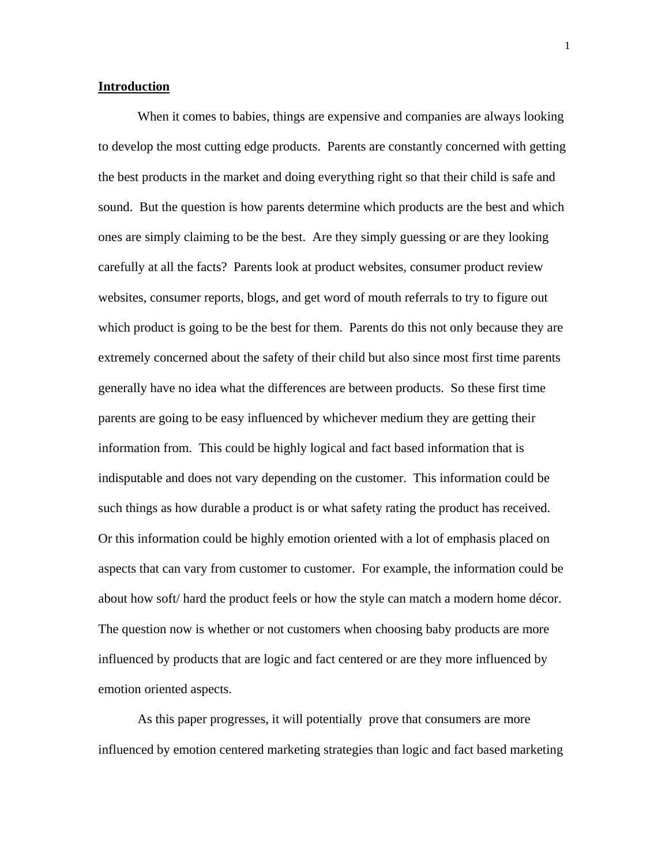### **Introduction**

 When it comes to babies, things are expensive and companies are always looking to develop the most cutting edge products. Parents are constantly concerned with getting the best products in the market and doing everything right so that their child is safe and sound. But the question is how parents determine which products are the best and which ones are simply claiming to be the best. Are they simply guessing or are they looking carefully at all the facts? Parents look at product websites, consumer product review websites, consumer reports, blogs, and get word of mouth referrals to try to figure out which product is going to be the best for them. Parents do this not only because they are extremely concerned about the safety of their child but also since most first time parents generally have no idea what the differences are between products. So these first time parents are going to be easy influenced by whichever medium they are getting their information from. This could be highly logical and fact based information that is indisputable and does not vary depending on the customer. This information could be such things as how durable a product is or what safety rating the product has received. Or this information could be highly emotion oriented with a lot of emphasis placed on aspects that can vary from customer to customer. For example, the information could be about how soft/ hard the product feels or how the style can match a modern home décor. The question now is whether or not customers when choosing baby products are more influenced by products that are logic and fact centered or are they more influenced by emotion oriented aspects.

 As this paper progresses, it will potentially prove that consumers are more influenced by emotion centered marketing strategies than logic and fact based marketing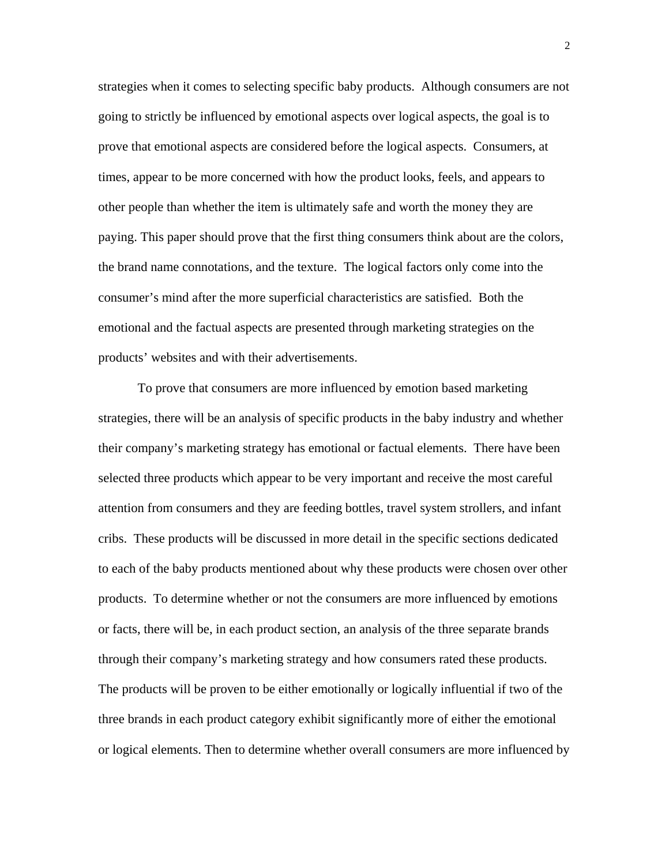strategies when it comes to selecting specific baby products. Although consumers are not going to strictly be influenced by emotional aspects over logical aspects, the goal is to prove that emotional aspects are considered before the logical aspects. Consumers, at times, appear to be more concerned with how the product looks, feels, and appears to other people than whether the item is ultimately safe and worth the money they are paying. This paper should prove that the first thing consumers think about are the colors, the brand name connotations, and the texture. The logical factors only come into the consumer's mind after the more superficial characteristics are satisfied. Both the emotional and the factual aspects are presented through marketing strategies on the products' websites and with their advertisements.

 To prove that consumers are more influenced by emotion based marketing strategies, there will be an analysis of specific products in the baby industry and whether their company's marketing strategy has emotional or factual elements. There have been selected three products which appear to be very important and receive the most careful attention from consumers and they are feeding bottles, travel system strollers, and infant cribs. These products will be discussed in more detail in the specific sections dedicated to each of the baby products mentioned about why these products were chosen over other products. To determine whether or not the consumers are more influenced by emotions or facts, there will be, in each product section, an analysis of the three separate brands through their company's marketing strategy and how consumers rated these products. The products will be proven to be either emotionally or logically influential if two of the three brands in each product category exhibit significantly more of either the emotional or logical elements. Then to determine whether overall consumers are more influenced by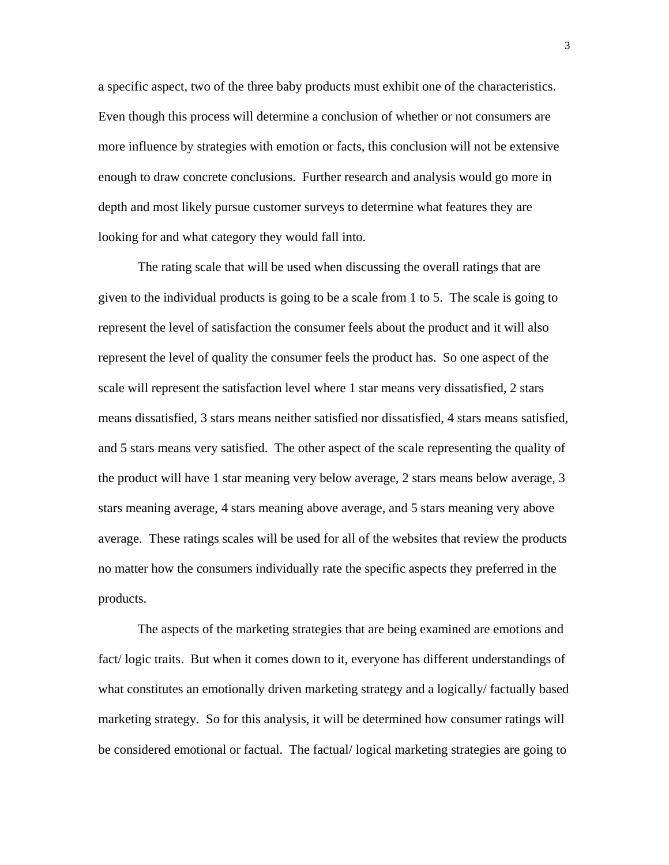a specific aspect, two of the three baby products must exhibit one of the characteristics. Even though this process will determine a conclusion of whether or not consumers are more influence by strategies with emotion or facts, this conclusion will not be extensive enough to draw concrete conclusions. Further research and analysis would go more in depth and most likely pursue customer surveys to determine what features they are looking for and what category they would fall into.

 The rating scale that will be used when discussing the overall ratings that are given to the individual products is going to be a scale from 1 to 5. The scale is going to represent the level of satisfaction the consumer feels about the product and it will also represent the level of quality the consumer feels the product has. So one aspect of the scale will represent the satisfaction level where 1 star means very dissatisfied, 2 stars means dissatisfied, 3 stars means neither satisfied nor dissatisfied, 4 stars means satisfied, and 5 stars means very satisfied. The other aspect of the scale representing the quality of the product will have 1 star meaning very below average, 2 stars means below average, 3 stars meaning average, 4 stars meaning above average, and 5 stars meaning very above average. These ratings scales will be used for all of the websites that review the products no matter how the consumers individually rate the specific aspects they preferred in the products.

 The aspects of the marketing strategies that are being examined are emotions and fact/ logic traits. But when it comes down to it, everyone has different understandings of what constitutes an emotionally driven marketing strategy and a logically/ factually based marketing strategy. So for this analysis, it will be determined how consumer ratings will be considered emotional or factual. The factual/ logical marketing strategies are going to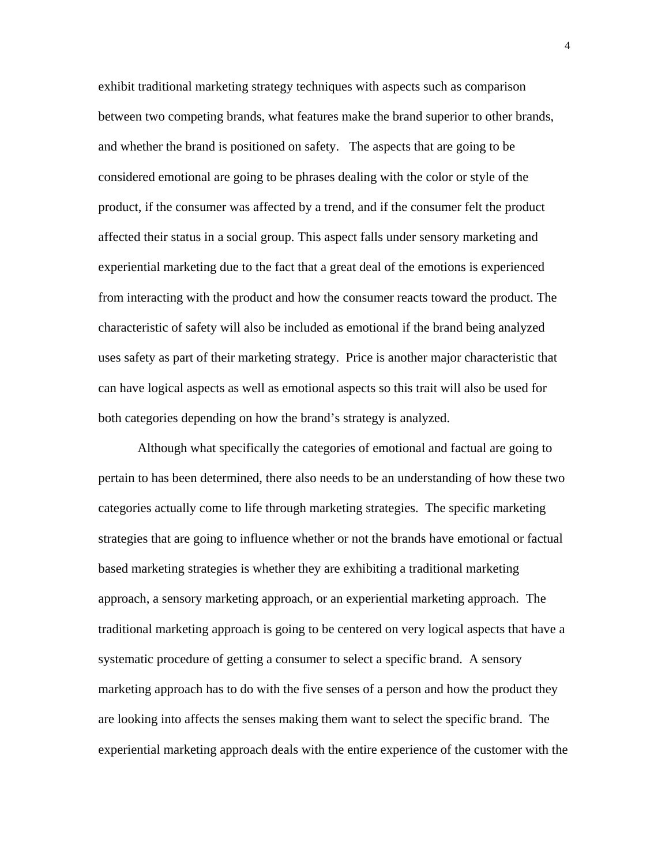exhibit traditional marketing strategy techniques with aspects such as comparison between two competing brands, what features make the brand superior to other brands, and whether the brand is positioned on safety. The aspects that are going to be considered emotional are going to be phrases dealing with the color or style of the product, if the consumer was affected by a trend, and if the consumer felt the product affected their status in a social group. This aspect falls under sensory marketing and experiential marketing due to the fact that a great deal of the emotions is experienced from interacting with the product and how the consumer reacts toward the product. The characteristic of safety will also be included as emotional if the brand being analyzed uses safety as part of their marketing strategy. Price is another major characteristic that can have logical aspects as well as emotional aspects so this trait will also be used for both categories depending on how the brand's strategy is analyzed.

 Although what specifically the categories of emotional and factual are going to pertain to has been determined, there also needs to be an understanding of how these two categories actually come to life through marketing strategies. The specific marketing strategies that are going to influence whether or not the brands have emotional or factual based marketing strategies is whether they are exhibiting a traditional marketing approach, a sensory marketing approach, or an experiential marketing approach. The traditional marketing approach is going to be centered on very logical aspects that have a systematic procedure of getting a consumer to select a specific brand. A sensory marketing approach has to do with the five senses of a person and how the product they are looking into affects the senses making them want to select the specific brand. The experiential marketing approach deals with the entire experience of the customer with the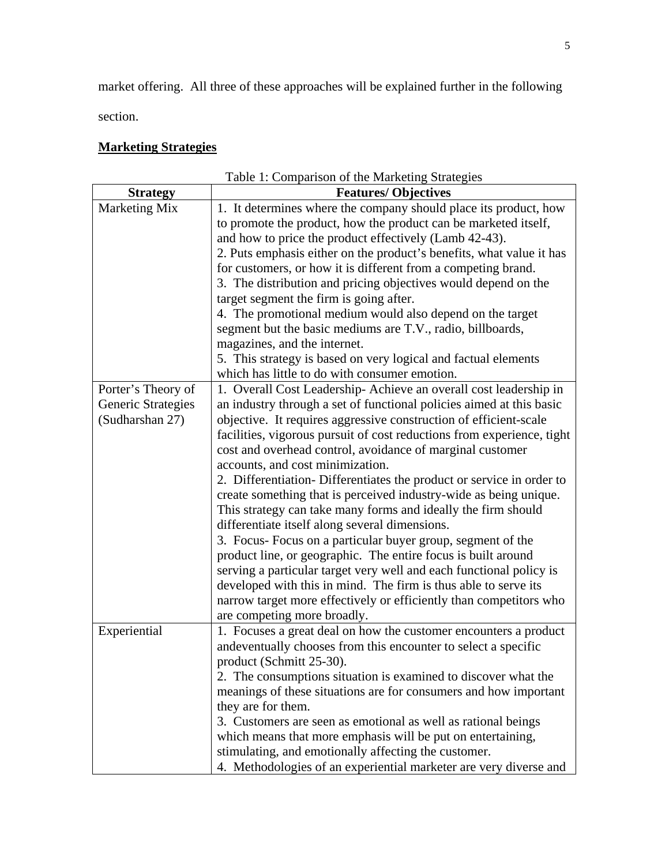market offering. All three of these approaches will be explained further in the following section.

# **Marketing Strategies**

| Table 1: Comparison of the Marketing Strategies |                                                                                                                                                                                                                                                                                                                                                                                                                                                                                                                                                                                                                                                                                                                                                                                                                                                                                                                                                                      |  |
|-------------------------------------------------|----------------------------------------------------------------------------------------------------------------------------------------------------------------------------------------------------------------------------------------------------------------------------------------------------------------------------------------------------------------------------------------------------------------------------------------------------------------------------------------------------------------------------------------------------------------------------------------------------------------------------------------------------------------------------------------------------------------------------------------------------------------------------------------------------------------------------------------------------------------------------------------------------------------------------------------------------------------------|--|
| <b>Strategy</b>                                 | <b>Features/Objectives</b>                                                                                                                                                                                                                                                                                                                                                                                                                                                                                                                                                                                                                                                                                                                                                                                                                                                                                                                                           |  |
| Marketing Mix                                   | 1. It determines where the company should place its product, how<br>to promote the product, how the product can be marketed itself,<br>and how to price the product effectively (Lamb 42-43).<br>2. Puts emphasis either on the product's benefits, what value it has<br>for customers, or how it is different from a competing brand.<br>3. The distribution and pricing objectives would depend on the<br>target segment the firm is going after.<br>4. The promotional medium would also depend on the target<br>segment but the basic mediums are T.V., radio, billboards,<br>magazines, and the internet.<br>5. This strategy is based on very logical and factual elements<br>which has little to do with consumer emotion.                                                                                                                                                                                                                                    |  |
| Porter's Theory of                              | 1. Overall Cost Leadership-Achieve an overall cost leadership in                                                                                                                                                                                                                                                                                                                                                                                                                                                                                                                                                                                                                                                                                                                                                                                                                                                                                                     |  |
| Generic Strategies<br>(Sudharshan 27)           | an industry through a set of functional policies aimed at this basic<br>objective. It requires aggressive construction of efficient-scale<br>facilities, vigorous pursuit of cost reductions from experience, tight<br>cost and overhead control, avoidance of marginal customer<br>accounts, and cost minimization.<br>2. Differentiation- Differentiates the product or service in order to<br>create something that is perceived industry-wide as being unique.<br>This strategy can take many forms and ideally the firm should<br>differentiate itself along several dimensions.<br>3. Focus- Focus on a particular buyer group, segment of the<br>product line, or geographic. The entire focus is built around<br>serving a particular target very well and each functional policy is<br>developed with this in mind. The firm is thus able to serve its<br>narrow target more effectively or efficiently than competitors who<br>are competing more broadly. |  |
| Experiential                                    | 1. Focuses a great deal on how the customer encounters a product<br>and eventually chooses from this encounter to select a specific<br>product (Schmitt 25-30).<br>2. The consumptions situation is examined to discover what the<br>meanings of these situations are for consumers and how important<br>they are for them.<br>3. Customers are seen as emotional as well as rational beings<br>which means that more emphasis will be put on entertaining,<br>stimulating, and emotionally affecting the customer.<br>4. Methodologies of an experiential marketer are very diverse and                                                                                                                                                                                                                                                                                                                                                                             |  |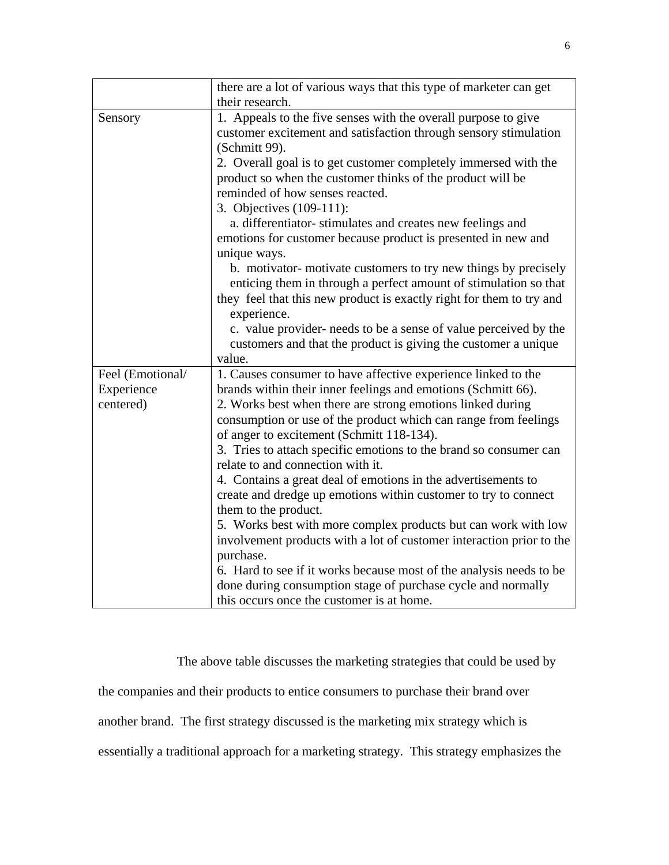|                  | there are a lot of various ways that this type of marketer can get                                                                  |
|------------------|-------------------------------------------------------------------------------------------------------------------------------------|
|                  | their research.                                                                                                                     |
| Sensory          | 1. Appeals to the five senses with the overall purpose to give                                                                      |
|                  | customer excitement and satisfaction through sensory stimulation                                                                    |
|                  | (Schmitt 99).                                                                                                                       |
|                  | 2. Overall goal is to get customer completely immersed with the                                                                     |
|                  | product so when the customer thinks of the product will be                                                                          |
|                  | reminded of how senses reacted.                                                                                                     |
|                  | 3. Objectives (109-111):                                                                                                            |
|                  | a. differentiator-stimulates and creates new feelings and                                                                           |
|                  | emotions for customer because product is presented in new and                                                                       |
|                  | unique ways.                                                                                                                        |
|                  | b. motivator-motivate customers to try new things by precisely                                                                      |
|                  | enticing them in through a perfect amount of stimulation so that                                                                    |
|                  | they feel that this new product is exactly right for them to try and                                                                |
|                  | experience.                                                                                                                         |
|                  | c. value provider- needs to be a sense of value perceived by the                                                                    |
|                  | customers and that the product is giving the customer a unique                                                                      |
|                  | value.                                                                                                                              |
| Feel (Emotional/ | 1. Causes consumer to have affective experience linked to the                                                                       |
| Experience       | brands within their inner feelings and emotions (Schmitt 66).                                                                       |
| centered)        | 2. Works best when there are strong emotions linked during                                                                          |
|                  | consumption or use of the product which can range from feelings                                                                     |
|                  | of anger to excitement (Schmitt 118-134).                                                                                           |
|                  | 3. Tries to attach specific emotions to the brand so consumer can                                                                   |
|                  | relate to and connection with it.                                                                                                   |
|                  | 4. Contains a great deal of emotions in the advertisements to                                                                       |
|                  | create and dredge up emotions within customer to try to connect                                                                     |
|                  | them to the product.                                                                                                                |
|                  | 5. Works best with more complex products but can work with low                                                                      |
|                  | involvement products with a lot of customer interaction prior to the                                                                |
|                  | purchase.                                                                                                                           |
|                  | 6. Hard to see if it works because most of the analysis needs to be<br>done during consumption stage of purchase cycle and normally |
|                  | this occurs once the customer is at home.                                                                                           |
|                  |                                                                                                                                     |

The above table discusses the marketing strategies that could be used by

the companies and their products to entice consumers to purchase their brand over

another brand. The first strategy discussed is the marketing mix strategy which is

essentially a traditional approach for a marketing strategy. This strategy emphasizes the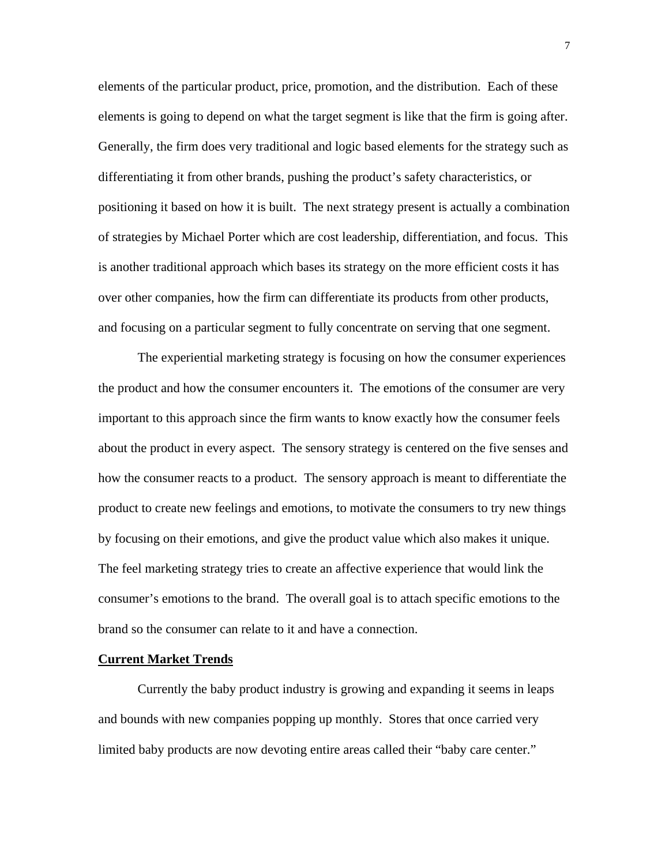elements of the particular product, price, promotion, and the distribution. Each of these elements is going to depend on what the target segment is like that the firm is going after. Generally, the firm does very traditional and logic based elements for the strategy such as differentiating it from other brands, pushing the product's safety characteristics, or positioning it based on how it is built. The next strategy present is actually a combination of strategies by Michael Porter which are cost leadership, differentiation, and focus. This is another traditional approach which bases its strategy on the more efficient costs it has over other companies, how the firm can differentiate its products from other products, and focusing on a particular segment to fully concentrate on serving that one segment.

 The experiential marketing strategy is focusing on how the consumer experiences the product and how the consumer encounters it. The emotions of the consumer are very important to this approach since the firm wants to know exactly how the consumer feels about the product in every aspect. The sensory strategy is centered on the five senses and how the consumer reacts to a product. The sensory approach is meant to differentiate the product to create new feelings and emotions, to motivate the consumers to try new things by focusing on their emotions, and give the product value which also makes it unique. The feel marketing strategy tries to create an affective experience that would link the consumer's emotions to the brand. The overall goal is to attach specific emotions to the brand so the consumer can relate to it and have a connection.

### **Current Market Trends**

 Currently the baby product industry is growing and expanding it seems in leaps and bounds with new companies popping up monthly. Stores that once carried very limited baby products are now devoting entire areas called their "baby care center."

7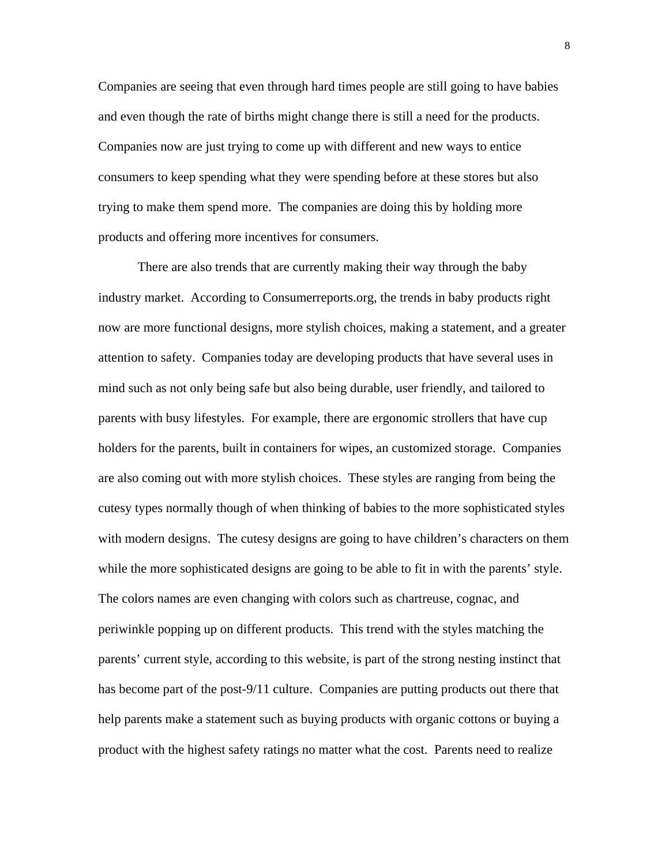Companies are seeing that even through hard times people are still going to have babies and even though the rate of births might change there is still a need for the products. Companies now are just trying to come up with different and new ways to entice consumers to keep spending what they were spending before at these stores but also trying to make them spend more. The companies are doing this by holding more products and offering more incentives for consumers.

 There are also trends that are currently making their way through the baby industry market. According to Consumerreports.org, the trends in baby products right now are more functional designs, more stylish choices, making a statement, and a greater attention to safety. Companies today are developing products that have several uses in mind such as not only being safe but also being durable, user friendly, and tailored to parents with busy lifestyles. For example, there are ergonomic strollers that have cup holders for the parents, built in containers for wipes, an customized storage. Companies are also coming out with more stylish choices. These styles are ranging from being the cutesy types normally though of when thinking of babies to the more sophisticated styles with modern designs. The cutesy designs are going to have children's characters on them while the more sophisticated designs are going to be able to fit in with the parents' style. The colors names are even changing with colors such as chartreuse, cognac, and periwinkle popping up on different products. This trend with the styles matching the parents' current style, according to this website, is part of the strong nesting instinct that has become part of the post-9/11 culture. Companies are putting products out there that help parents make a statement such as buying products with organic cottons or buying a product with the highest safety ratings no matter what the cost. Parents need to realize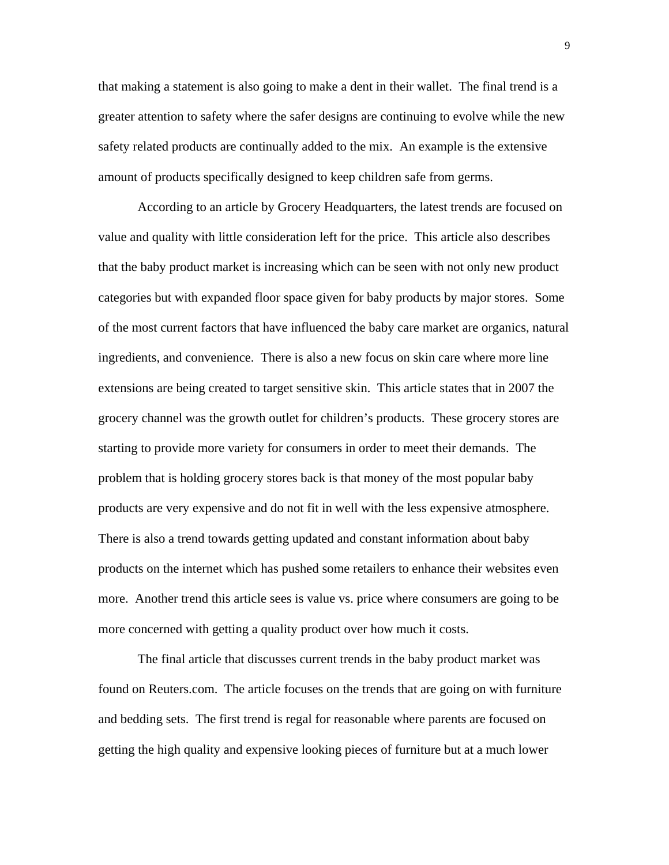that making a statement is also going to make a dent in their wallet. The final trend is a greater attention to safety where the safer designs are continuing to evolve while the new safety related products are continually added to the mix. An example is the extensive amount of products specifically designed to keep children safe from germs.

 According to an article by Grocery Headquarters, the latest trends are focused on value and quality with little consideration left for the price. This article also describes that the baby product market is increasing which can be seen with not only new product categories but with expanded floor space given for baby products by major stores. Some of the most current factors that have influenced the baby care market are organics, natural ingredients, and convenience. There is also a new focus on skin care where more line extensions are being created to target sensitive skin. This article states that in 2007 the grocery channel was the growth outlet for children's products. These grocery stores are starting to provide more variety for consumers in order to meet their demands. The problem that is holding grocery stores back is that money of the most popular baby products are very expensive and do not fit in well with the less expensive atmosphere. There is also a trend towards getting updated and constant information about baby products on the internet which has pushed some retailers to enhance their websites even more. Another trend this article sees is value vs. price where consumers are going to be more concerned with getting a quality product over how much it costs.

 The final article that discusses current trends in the baby product market was found on Reuters.com. The article focuses on the trends that are going on with furniture and bedding sets. The first trend is regal for reasonable where parents are focused on getting the high quality and expensive looking pieces of furniture but at a much lower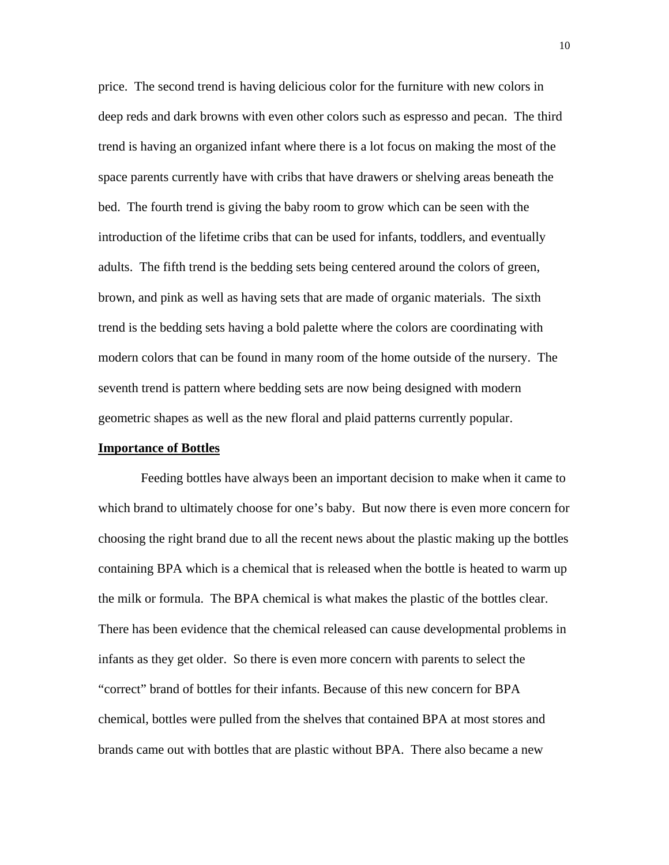price. The second trend is having delicious color for the furniture with new colors in deep reds and dark browns with even other colors such as espresso and pecan. The third trend is having an organized infant where there is a lot focus on making the most of the space parents currently have with cribs that have drawers or shelving areas beneath the bed. The fourth trend is giving the baby room to grow which can be seen with the introduction of the lifetime cribs that can be used for infants, toddlers, and eventually adults. The fifth trend is the bedding sets being centered around the colors of green, brown, and pink as well as having sets that are made of organic materials. The sixth trend is the bedding sets having a bold palette where the colors are coordinating with modern colors that can be found in many room of the home outside of the nursery. The seventh trend is pattern where bedding sets are now being designed with modern geometric shapes as well as the new floral and plaid patterns currently popular.

#### **Importance of Bottles**

 Feeding bottles have always been an important decision to make when it came to which brand to ultimately choose for one's baby. But now there is even more concern for choosing the right brand due to all the recent news about the plastic making up the bottles containing BPA which is a chemical that is released when the bottle is heated to warm up the milk or formula. The BPA chemical is what makes the plastic of the bottles clear. There has been evidence that the chemical released can cause developmental problems in infants as they get older. So there is even more concern with parents to select the "correct" brand of bottles for their infants. Because of this new concern for BPA chemical, bottles were pulled from the shelves that contained BPA at most stores and brands came out with bottles that are plastic without BPA. There also became a new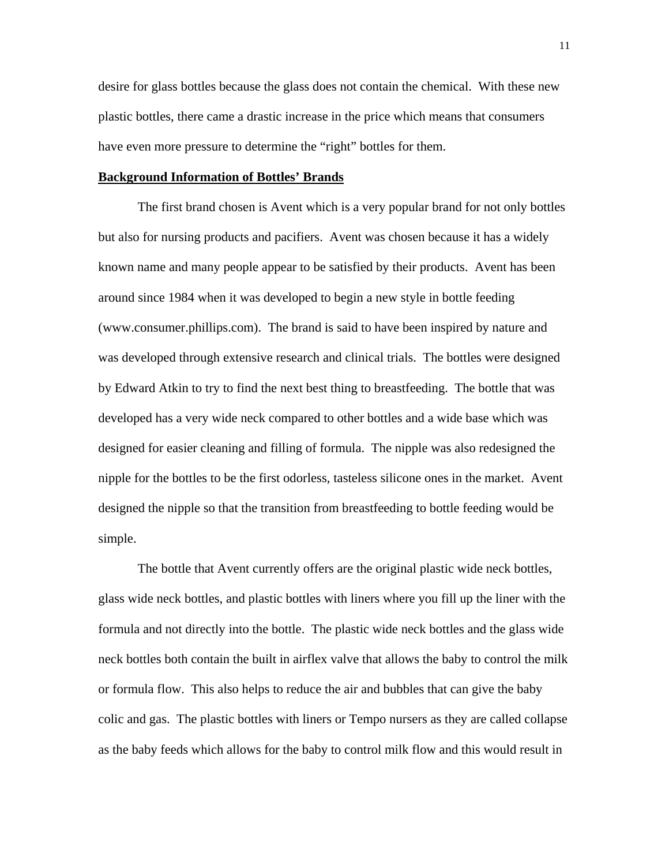desire for glass bottles because the glass does not contain the chemical. With these new plastic bottles, there came a drastic increase in the price which means that consumers have even more pressure to determine the "right" bottles for them.

### **Background Information of Bottles' Brands**

 The first brand chosen is Avent which is a very popular brand for not only bottles but also for nursing products and pacifiers. Avent was chosen because it has a widely known name and many people appear to be satisfied by their products. Avent has been around since 1984 when it was developed to begin a new style in bottle feeding (www.consumer.phillips.com). The brand is said to have been inspired by nature and was developed through extensive research and clinical trials. The bottles were designed by Edward Atkin to try to find the next best thing to breastfeeding. The bottle that was developed has a very wide neck compared to other bottles and a wide base which was designed for easier cleaning and filling of formula. The nipple was also redesigned the nipple for the bottles to be the first odorless, tasteless silicone ones in the market. Avent designed the nipple so that the transition from breastfeeding to bottle feeding would be simple.

 The bottle that Avent currently offers are the original plastic wide neck bottles, glass wide neck bottles, and plastic bottles with liners where you fill up the liner with the formula and not directly into the bottle. The plastic wide neck bottles and the glass wide neck bottles both contain the built in airflex valve that allows the baby to control the milk or formula flow. This also helps to reduce the air and bubbles that can give the baby colic and gas. The plastic bottles with liners or Tempo nursers as they are called collapse as the baby feeds which allows for the baby to control milk flow and this would result in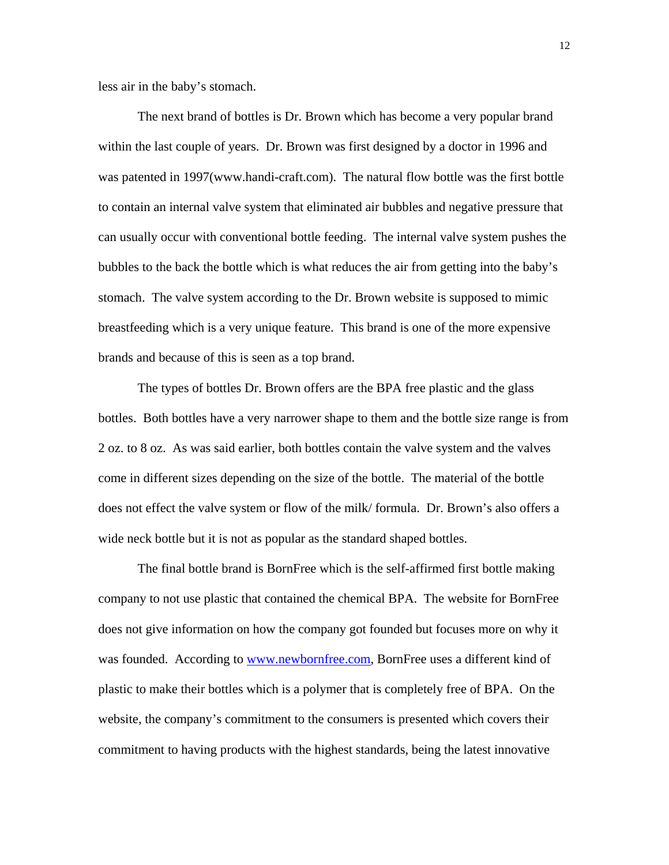less air in the baby's stomach.

 The next brand of bottles is Dr. Brown which has become a very popular brand within the last couple of years. Dr. Brown was first designed by a doctor in 1996 and was patented in 1997(www.handi-craft.com). The natural flow bottle was the first bottle to contain an internal valve system that eliminated air bubbles and negative pressure that can usually occur with conventional bottle feeding. The internal valve system pushes the bubbles to the back the bottle which is what reduces the air from getting into the baby's stomach. The valve system according to the Dr. Brown website is supposed to mimic breastfeeding which is a very unique feature. This brand is one of the more expensive brands and because of this is seen as a top brand.

 The types of bottles Dr. Brown offers are the BPA free plastic and the glass bottles. Both bottles have a very narrower shape to them and the bottle size range is from 2 oz. to 8 oz. As was said earlier, both bottles contain the valve system and the valves come in different sizes depending on the size of the bottle. The material of the bottle does not effect the valve system or flow of the milk/ formula. Dr. Brown's also offers a wide neck bottle but it is not as popular as the standard shaped bottles.

 The final bottle brand is BornFree which is the self-affirmed first bottle making company to not use plastic that contained the chemical BPA. The website for BornFree does not give information on how the company got founded but focuses more on why it was founded. According to [www.newbornfree.com](http://www.newbornfree.com/), BornFree uses a different kind of plastic to make their bottles which is a polymer that is completely free of BPA. On the website, the company's commitment to the consumers is presented which covers their commitment to having products with the highest standards, being the latest innovative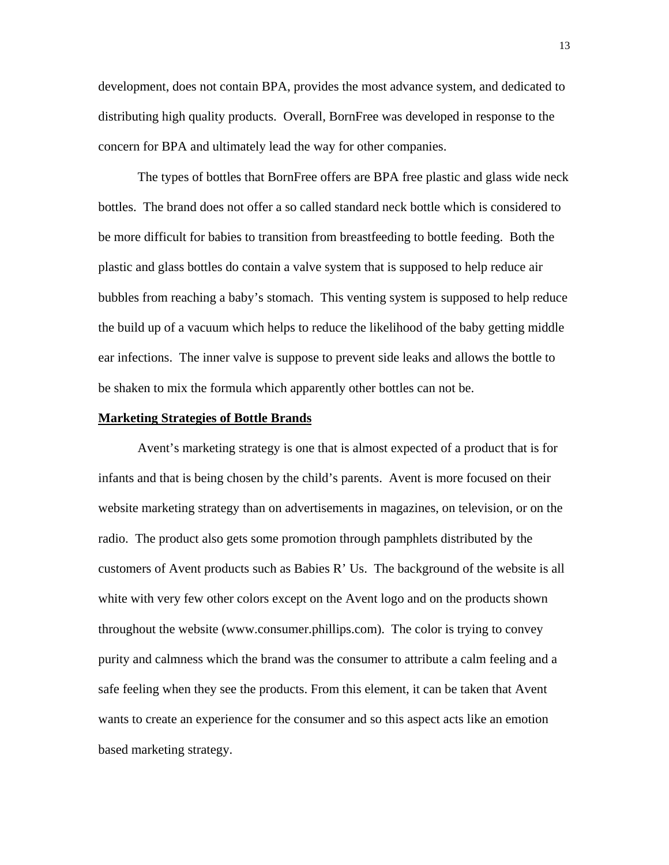development, does not contain BPA, provides the most advance system, and dedicated to distributing high quality products. Overall, BornFree was developed in response to the concern for BPA and ultimately lead the way for other companies.

 The types of bottles that BornFree offers are BPA free plastic and glass wide neck bottles. The brand does not offer a so called standard neck bottle which is considered to be more difficult for babies to transition from breastfeeding to bottle feeding. Both the plastic and glass bottles do contain a valve system that is supposed to help reduce air bubbles from reaching a baby's stomach. This venting system is supposed to help reduce the build up of a vacuum which helps to reduce the likelihood of the baby getting middle ear infections. The inner valve is suppose to prevent side leaks and allows the bottle to be shaken to mix the formula which apparently other bottles can not be.

#### **Marketing Strategies of Bottle Brands**

 Avent's marketing strategy is one that is almost expected of a product that is for infants and that is being chosen by the child's parents. Avent is more focused on their website marketing strategy than on advertisements in magazines, on television, or on the radio. The product also gets some promotion through pamphlets distributed by the customers of Avent products such as Babies R' Us. The background of the website is all white with very few other colors except on the Avent logo and on the products shown throughout the website (www.consumer.phillips.com). The color is trying to convey purity and calmness which the brand was the consumer to attribute a calm feeling and a safe feeling when they see the products. From this element, it can be taken that Avent wants to create an experience for the consumer and so this aspect acts like an emotion based marketing strategy.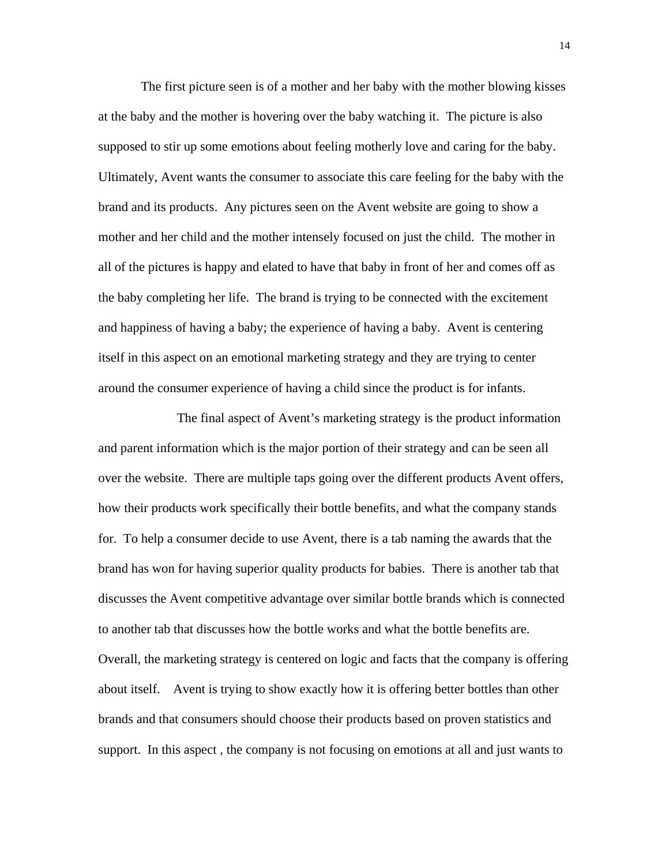The first picture seen is of a mother and her baby with the mother blowing kisses at the baby and the mother is hovering over the baby watching it. The picture is also supposed to stir up some emotions about feeling motherly love and caring for the baby. Ultimately, Avent wants the consumer to associate this care feeling for the baby with the brand and its products. Any pictures seen on the Avent website are going to show a mother and her child and the mother intensely focused on just the child. The mother in all of the pictures is happy and elated to have that baby in front of her and comes off as the baby completing her life. The brand is trying to be connected with the excitement and happiness of having a baby; the experience of having a baby. Avent is centering itself in this aspect on an emotional marketing strategy and they are trying to center around the consumer experience of having a child since the product is for infants.

 The final aspect of Avent's marketing strategy is the product information and parent information which is the major portion of their strategy and can be seen all over the website. There are multiple taps going over the different products Avent offers, how their products work specifically their bottle benefits, and what the company stands for. To help a consumer decide to use Avent, there is a tab naming the awards that the brand has won for having superior quality products for babies. There is another tab that discusses the Avent competitive advantage over similar bottle brands which is connected to another tab that discusses how the bottle works and what the bottle benefits are. Overall, the marketing strategy is centered on logic and facts that the company is offering about itself. Avent is trying to show exactly how it is offering better bottles than other brands and that consumers should choose their products based on proven statistics and support. In this aspect , the company is not focusing on emotions at all and just wants to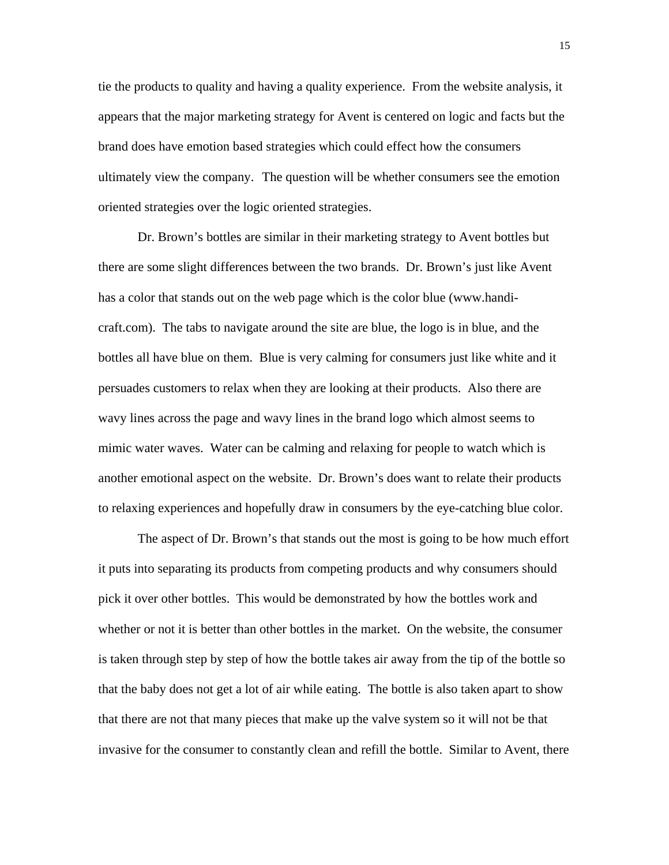tie the products to quality and having a quality experience. From the website analysis, it appears that the major marketing strategy for Avent is centered on logic and facts but the brand does have emotion based strategies which could effect how the consumers ultimately view the company. The question will be whether consumers see the emotion oriented strategies over the logic oriented strategies.

 Dr. Brown's bottles are similar in their marketing strategy to Avent bottles but there are some slight differences between the two brands. Dr. Brown's just like Avent has a color that stands out on the web page which is the color blue (www.handicraft.com). The tabs to navigate around the site are blue, the logo is in blue, and the bottles all have blue on them. Blue is very calming for consumers just like white and it persuades customers to relax when they are looking at their products. Also there are wavy lines across the page and wavy lines in the brand logo which almost seems to mimic water waves. Water can be calming and relaxing for people to watch which is another emotional aspect on the website. Dr. Brown's does want to relate their products to relaxing experiences and hopefully draw in consumers by the eye-catching blue color.

 The aspect of Dr. Brown's that stands out the most is going to be how much effort it puts into separating its products from competing products and why consumers should pick it over other bottles. This would be demonstrated by how the bottles work and whether or not it is better than other bottles in the market. On the website, the consumer is taken through step by step of how the bottle takes air away from the tip of the bottle so that the baby does not get a lot of air while eating. The bottle is also taken apart to show that there are not that many pieces that make up the valve system so it will not be that invasive for the consumer to constantly clean and refill the bottle. Similar to Avent, there

15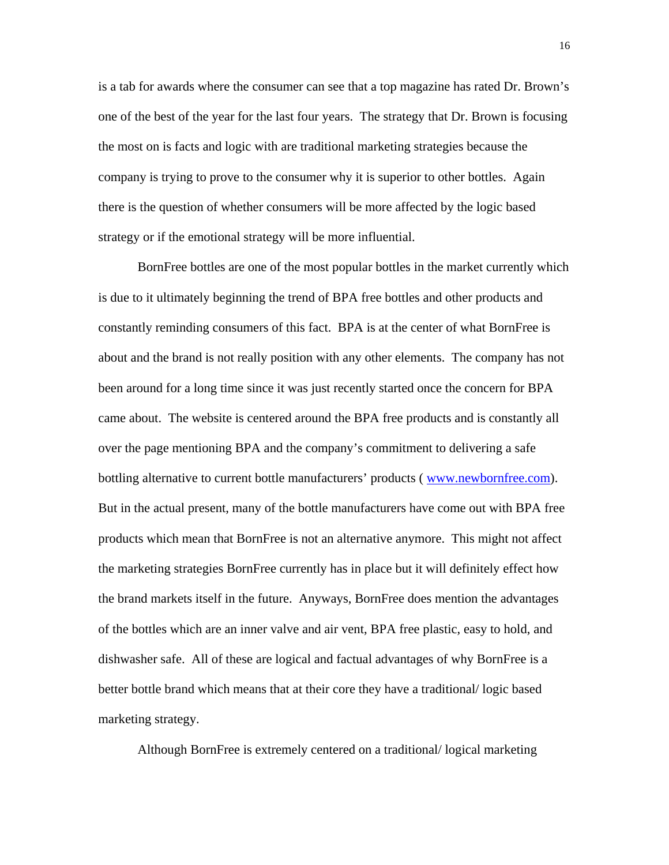is a tab for awards where the consumer can see that a top magazine has rated Dr. Brown's one of the best of the year for the last four years. The strategy that Dr. Brown is focusing the most on is facts and logic with are traditional marketing strategies because the company is trying to prove to the consumer why it is superior to other bottles. Again there is the question of whether consumers will be more affected by the logic based strategy or if the emotional strategy will be more influential.

 BornFree bottles are one of the most popular bottles in the market currently which is due to it ultimately beginning the trend of BPA free bottles and other products and constantly reminding consumers of this fact. BPA is at the center of what BornFree is about and the brand is not really position with any other elements. The company has not been around for a long time since it was just recently started once the concern for BPA came about. The website is centered around the BPA free products and is constantly all over the page mentioning BPA and the company's commitment to delivering a safe bottling alternative to current bottle manufacturers' products ([www.newbornfree.com\)](http://www.newbornfree.com/). But in the actual present, many of the bottle manufacturers have come out with BPA free products which mean that BornFree is not an alternative anymore. This might not affect the marketing strategies BornFree currently has in place but it will definitely effect how the brand markets itself in the future. Anyways, BornFree does mention the advantages of the bottles which are an inner valve and air vent, BPA free plastic, easy to hold, and dishwasher safe. All of these are logical and factual advantages of why BornFree is a better bottle brand which means that at their core they have a traditional/ logic based marketing strategy.

Although BornFree is extremely centered on a traditional/ logical marketing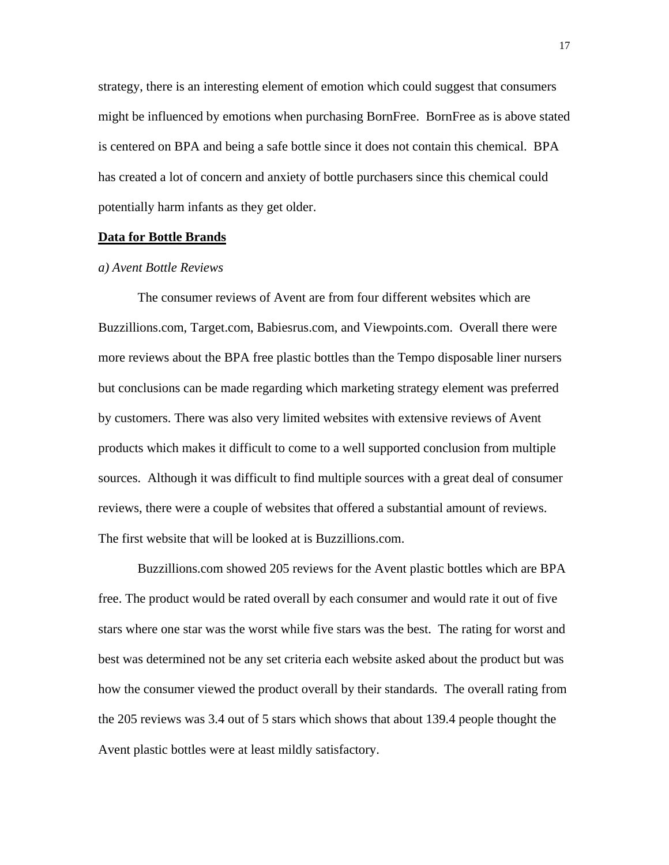strategy, there is an interesting element of emotion which could suggest that consumers might be influenced by emotions when purchasing BornFree. BornFree as is above stated is centered on BPA and being a safe bottle since it does not contain this chemical. BPA has created a lot of concern and anxiety of bottle purchasers since this chemical could potentially harm infants as they get older.

### **Data for Bottle Brands**

### *a) Avent Bottle Reviews*

 The consumer reviews of Avent are from four different websites which are Buzzillions.com, Target.com, Babiesrus.com, and Viewpoints.com. Overall there were more reviews about the BPA free plastic bottles than the Tempo disposable liner nursers but conclusions can be made regarding which marketing strategy element was preferred by customers. There was also very limited websites with extensive reviews of Avent products which makes it difficult to come to a well supported conclusion from multiple sources. Although it was difficult to find multiple sources with a great deal of consumer reviews, there were a couple of websites that offered a substantial amount of reviews. The first website that will be looked at is Buzzillions.com.

 Buzzillions.com showed 205 reviews for the Avent plastic bottles which are BPA free. The product would be rated overall by each consumer and would rate it out of five stars where one star was the worst while five stars was the best. The rating for worst and best was determined not be any set criteria each website asked about the product but was how the consumer viewed the product overall by their standards. The overall rating from the 205 reviews was 3.4 out of 5 stars which shows that about 139.4 people thought the Avent plastic bottles were at least mildly satisfactory.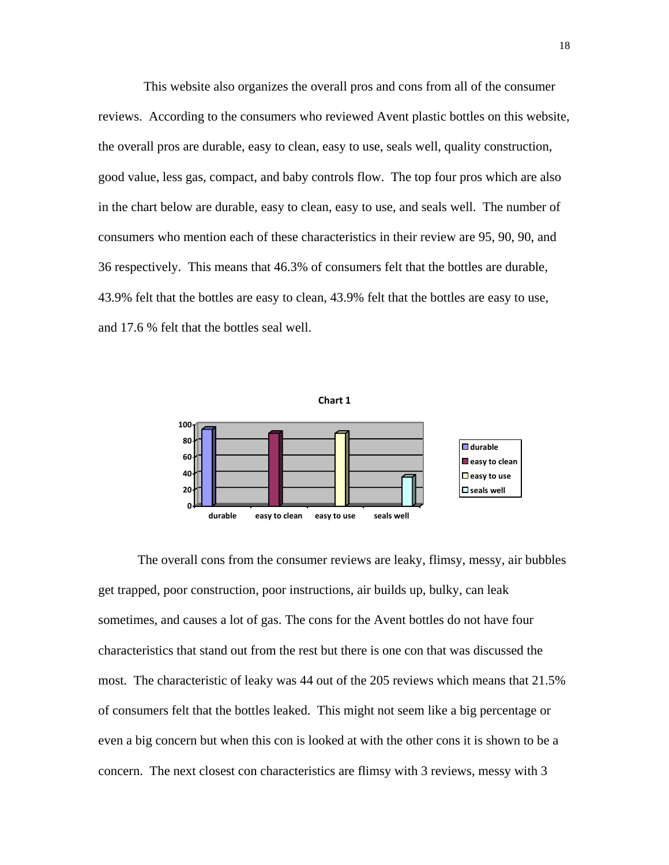This website also organizes the overall pros and cons from all of the consumer reviews. According to the consumers who reviewed Avent plastic bottles on this website, the overall pros are durable, easy to clean, easy to use, seals well, quality construction, good value, less gas, compact, and baby controls flow. The top four pros which are also in the chart below are durable, easy to clean, easy to use, and seals well. The number of consumers who mention each of these characteristics in their review are 95, 90, 90, and 36 respectively. This means that 46.3% of consumers felt that the bottles are durable, 43.9% felt that the bottles are easy to clean, 43.9% felt that the bottles are easy to use, and 17.6 % felt that the bottles seal well.



 The overall cons from the consumer reviews are leaky, flimsy, messy, air bubbles get trapped, poor construction, poor instructions, air builds up, bulky, can leak sometimes, and causes a lot of gas. The cons for the Avent bottles do not have four characteristics that stand out from the rest but there is one con that was discussed the most. The characteristic of leaky was 44 out of the 205 reviews which means that 21.5% of consumers felt that the bottles leaked. This might not seem like a big percentage or even a big concern but when this con is looked at with the other cons it is shown to be a concern. The next closest con characteristics are flimsy with 3 reviews, messy with 3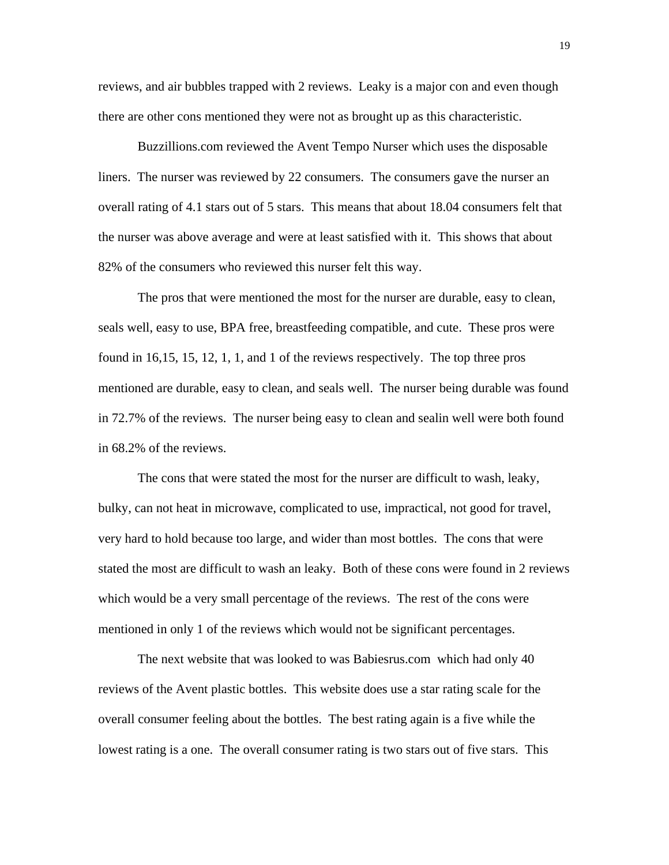reviews, and air bubbles trapped with 2 reviews. Leaky is a major con and even though there are other cons mentioned they were not as brought up as this characteristic.

 Buzzillions.com reviewed the Avent Tempo Nurser which uses the disposable liners. The nurser was reviewed by 22 consumers. The consumers gave the nurser an overall rating of 4.1 stars out of 5 stars. This means that about 18.04 consumers felt that the nurser was above average and were at least satisfied with it. This shows that about 82% of the consumers who reviewed this nurser felt this way.

 The pros that were mentioned the most for the nurser are durable, easy to clean, seals well, easy to use, BPA free, breastfeeding compatible, and cute. These pros were found in 16,15, 15, 12, 1, 1, and 1 of the reviews respectively. The top three pros mentioned are durable, easy to clean, and seals well. The nurser being durable was found in 72.7% of the reviews. The nurser being easy to clean and sealin well were both found in 68.2% of the reviews.

 The cons that were stated the most for the nurser are difficult to wash, leaky, bulky, can not heat in microwave, complicated to use, impractical, not good for travel, very hard to hold because too large, and wider than most bottles. The cons that were stated the most are difficult to wash an leaky. Both of these cons were found in 2 reviews which would be a very small percentage of the reviews. The rest of the cons were mentioned in only 1 of the reviews which would not be significant percentages.

 The next website that was looked to was Babiesrus.com which had only 40 reviews of the Avent plastic bottles. This website does use a star rating scale for the overall consumer feeling about the bottles. The best rating again is a five while the lowest rating is a one. The overall consumer rating is two stars out of five stars. This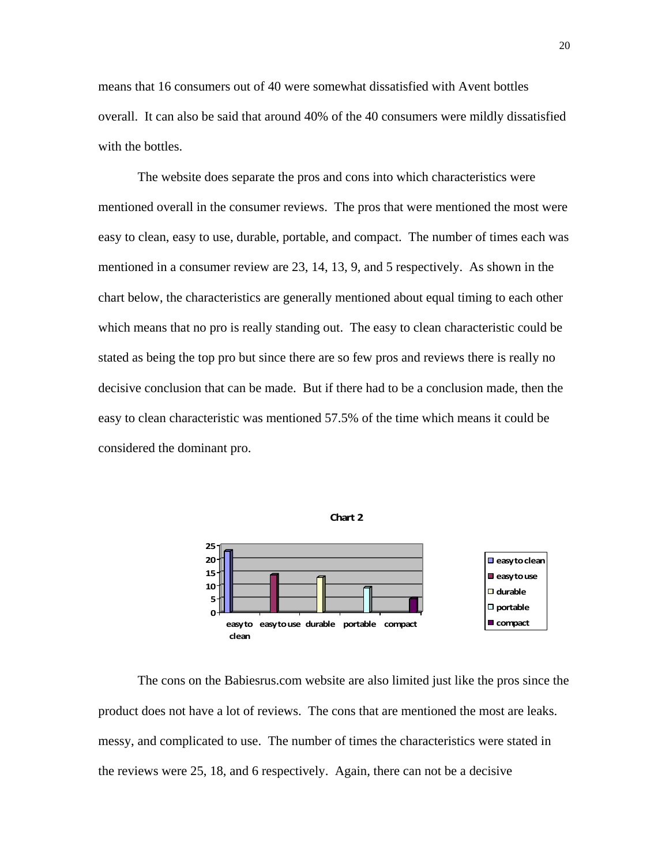means that 16 consumers out of 40 were somewhat dissatisfied with Avent bottles overall. It can also be said that around 40% of the 40 consumers were mildly dissatisfied with the bottles.

 The website does separate the pros and cons into which characteristics were mentioned overall in the consumer reviews. The pros that were mentioned the most were easy to clean, easy to use, durable, portable, and compact. The number of times each was mentioned in a consumer review are 23, 14, 13, 9, and 5 respectively. As shown in the chart below, the characteristics are generally mentioned about equal timing to each other which means that no pro is really standing out. The easy to clean characteristic could be stated as being the top pro but since there are so few pros and reviews there is really no decisive conclusion that can be made. But if there had to be a conclusion made, then the easy to clean characteristic was mentioned 57.5% of the time which means it could be considered the dominant pro.



**Chart 2**

 The cons on the Babiesrus.com website are also limited just like the pros since the product does not have a lot of reviews. The cons that are mentioned the most are leaks. messy, and complicated to use. The number of times the characteristics were stated in the reviews were 25, 18, and 6 respectively. Again, there can not be a decisive

20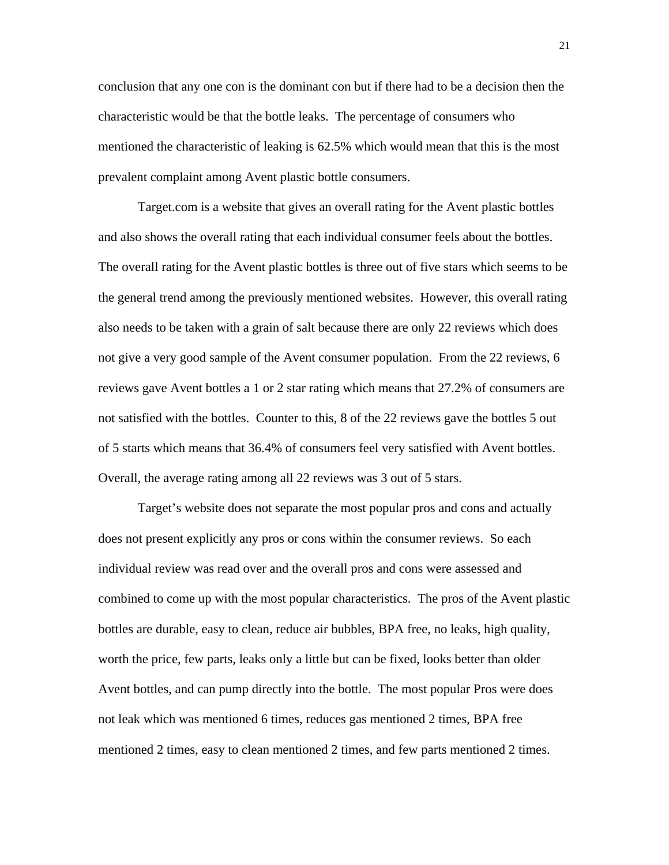conclusion that any one con is the dominant con but if there had to be a decision then the characteristic would be that the bottle leaks. The percentage of consumers who mentioned the characteristic of leaking is 62.5% which would mean that this is the most prevalent complaint among Avent plastic bottle consumers.

 Target.com is a website that gives an overall rating for the Avent plastic bottles and also shows the overall rating that each individual consumer feels about the bottles. The overall rating for the Avent plastic bottles is three out of five stars which seems to be the general trend among the previously mentioned websites. However, this overall rating also needs to be taken with a grain of salt because there are only 22 reviews which does not give a very good sample of the Avent consumer population. From the 22 reviews, 6 reviews gave Avent bottles a 1 or 2 star rating which means that 27.2% of consumers are not satisfied with the bottles. Counter to this, 8 of the 22 reviews gave the bottles 5 out of 5 starts which means that 36.4% of consumers feel very satisfied with Avent bottles. Overall, the average rating among all 22 reviews was 3 out of 5 stars.

 Target's website does not separate the most popular pros and cons and actually does not present explicitly any pros or cons within the consumer reviews. So each individual review was read over and the overall pros and cons were assessed and combined to come up with the most popular characteristics. The pros of the Avent plastic bottles are durable, easy to clean, reduce air bubbles, BPA free, no leaks, high quality, worth the price, few parts, leaks only a little but can be fixed, looks better than older Avent bottles, and can pump directly into the bottle. The most popular Pros were does not leak which was mentioned 6 times, reduces gas mentioned 2 times, BPA free mentioned 2 times, easy to clean mentioned 2 times, and few parts mentioned 2 times.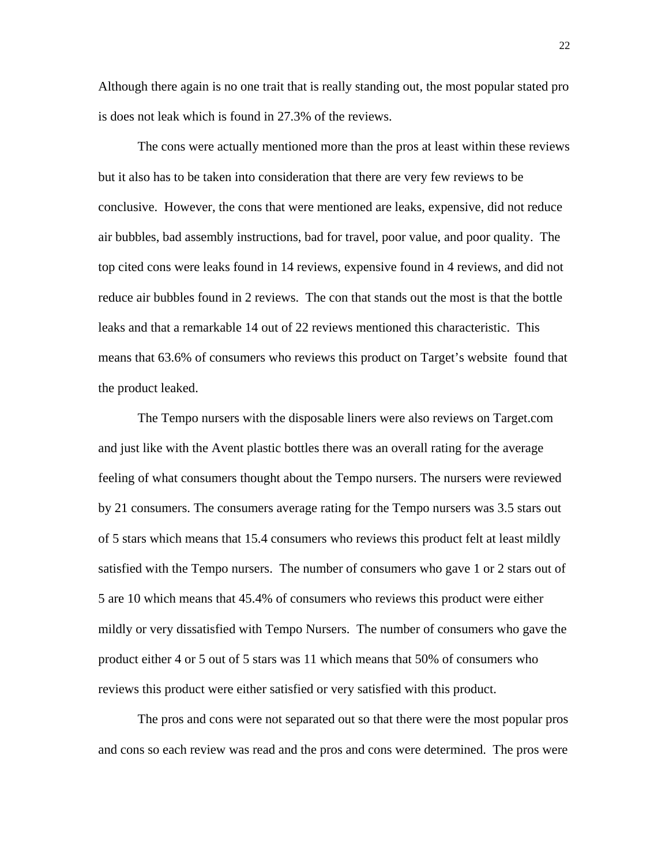Although there again is no one trait that is really standing out, the most popular stated pro is does not leak which is found in 27.3% of the reviews.

 The cons were actually mentioned more than the pros at least within these reviews but it also has to be taken into consideration that there are very few reviews to be conclusive. However, the cons that were mentioned are leaks, expensive, did not reduce air bubbles, bad assembly instructions, bad for travel, poor value, and poor quality. The top cited cons were leaks found in 14 reviews, expensive found in 4 reviews, and did not reduce air bubbles found in 2 reviews. The con that stands out the most is that the bottle leaks and that a remarkable 14 out of 22 reviews mentioned this characteristic. This means that 63.6% of consumers who reviews this product on Target's website found that the product leaked.

 The Tempo nursers with the disposable liners were also reviews on Target.com and just like with the Avent plastic bottles there was an overall rating for the average feeling of what consumers thought about the Tempo nursers. The nursers were reviewed by 21 consumers. The consumers average rating for the Tempo nursers was 3.5 stars out of 5 stars which means that 15.4 consumers who reviews this product felt at least mildly satisfied with the Tempo nursers. The number of consumers who gave 1 or 2 stars out of 5 are 10 which means that 45.4% of consumers who reviews this product were either mildly or very dissatisfied with Tempo Nursers. The number of consumers who gave the product either 4 or 5 out of 5 stars was 11 which means that 50% of consumers who reviews this product were either satisfied or very satisfied with this product.

 The pros and cons were not separated out so that there were the most popular pros and cons so each review was read and the pros and cons were determined. The pros were

22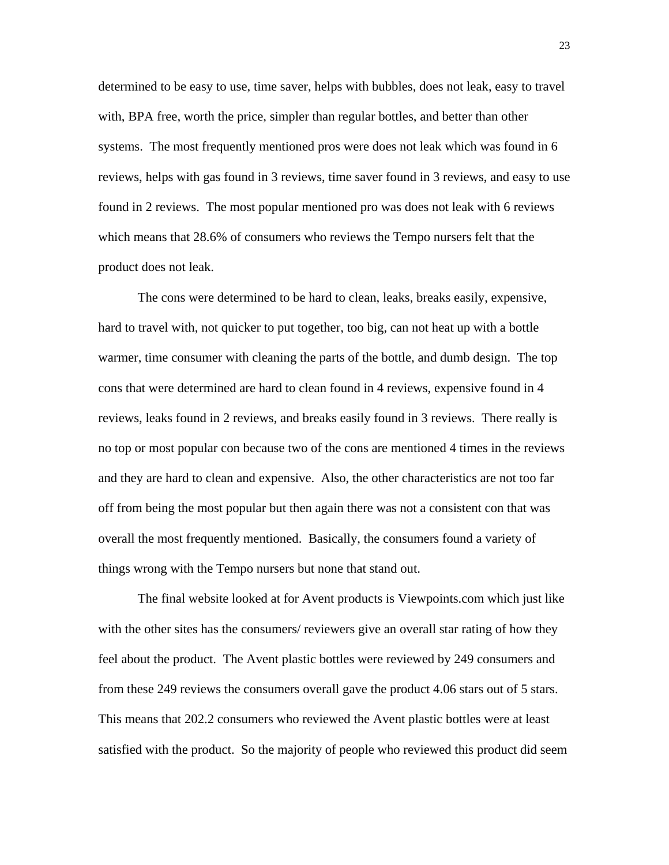determined to be easy to use, time saver, helps with bubbles, does not leak, easy to travel with, BPA free, worth the price, simpler than regular bottles, and better than other systems. The most frequently mentioned pros were does not leak which was found in 6 reviews, helps with gas found in 3 reviews, time saver found in 3 reviews, and easy to use found in 2 reviews. The most popular mentioned pro was does not leak with 6 reviews which means that 28.6% of consumers who reviews the Tempo nursers felt that the product does not leak.

 The cons were determined to be hard to clean, leaks, breaks easily, expensive, hard to travel with, not quicker to put together, too big, can not heat up with a bottle warmer, time consumer with cleaning the parts of the bottle, and dumb design. The top cons that were determined are hard to clean found in 4 reviews, expensive found in 4 reviews, leaks found in 2 reviews, and breaks easily found in 3 reviews. There really is no top or most popular con because two of the cons are mentioned 4 times in the reviews and they are hard to clean and expensive. Also, the other characteristics are not too far off from being the most popular but then again there was not a consistent con that was overall the most frequently mentioned. Basically, the consumers found a variety of things wrong with the Tempo nursers but none that stand out.

 The final website looked at for Avent products is Viewpoints.com which just like with the other sites has the consumers/ reviewers give an overall star rating of how they feel about the product. The Avent plastic bottles were reviewed by 249 consumers and from these 249 reviews the consumers overall gave the product 4.06 stars out of 5 stars. This means that 202.2 consumers who reviewed the Avent plastic bottles were at least satisfied with the product. So the majority of people who reviewed this product did seem

23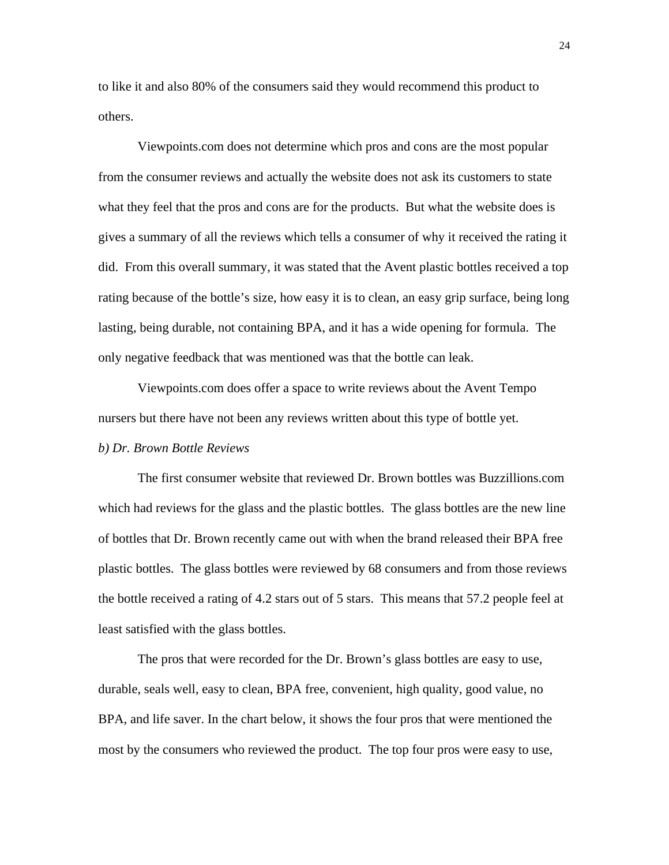to like it and also 80% of the consumers said they would recommend this product to others.

 Viewpoints.com does not determine which pros and cons are the most popular from the consumer reviews and actually the website does not ask its customers to state what they feel that the pros and cons are for the products. But what the website does is gives a summary of all the reviews which tells a consumer of why it received the rating it did. From this overall summary, it was stated that the Avent plastic bottles received a top rating because of the bottle's size, how easy it is to clean, an easy grip surface, being long lasting, being durable, not containing BPA, and it has a wide opening for formula. The only negative feedback that was mentioned was that the bottle can leak.

 Viewpoints.com does offer a space to write reviews about the Avent Tempo nursers but there have not been any reviews written about this type of bottle yet.

### *b) Dr. Brown Bottle Reviews*

 The first consumer website that reviewed Dr. Brown bottles was Buzzillions.com which had reviews for the glass and the plastic bottles. The glass bottles are the new line of bottles that Dr. Brown recently came out with when the brand released their BPA free plastic bottles. The glass bottles were reviewed by 68 consumers and from those reviews the bottle received a rating of 4.2 stars out of 5 stars. This means that 57.2 people feel at least satisfied with the glass bottles.

 The pros that were recorded for the Dr. Brown's glass bottles are easy to use, durable, seals well, easy to clean, BPA free, convenient, high quality, good value, no BPA, and life saver. In the chart below, it shows the four pros that were mentioned the most by the consumers who reviewed the product. The top four pros were easy to use,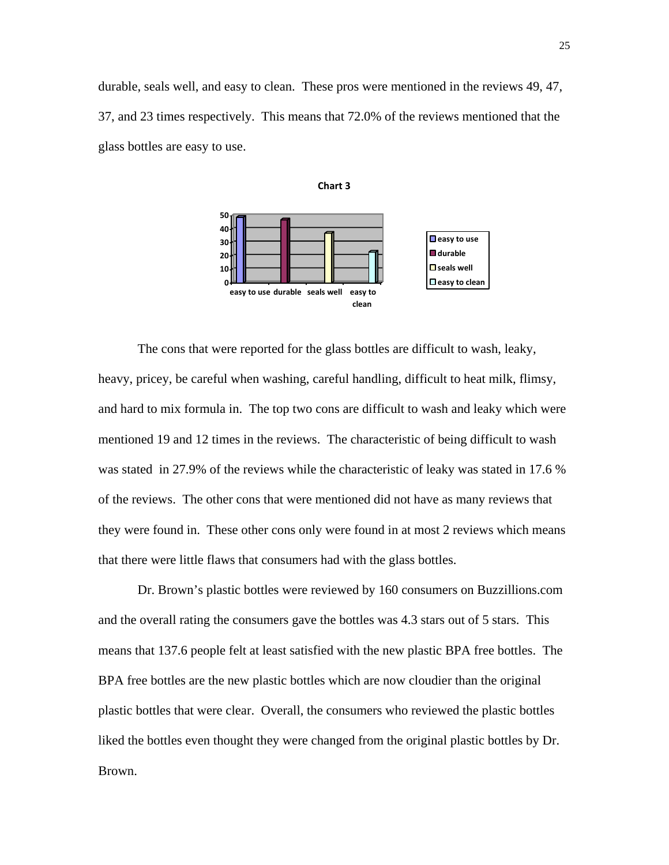durable, seals well, and easy to clean. These pros were mentioned in the reviews 49, 47, 37, and 23 times respectively. This means that 72.0% of the reviews mentioned that the glass bottles are easy to use.

**Chart 3**



**clean**

 The cons that were reported for the glass bottles are difficult to wash, leaky, heavy, pricey, be careful when washing, careful handling, difficult to heat milk, flimsy, and hard to mix formula in. The top two cons are difficult to wash and leaky which were mentioned 19 and 12 times in the reviews. The characteristic of being difficult to wash was stated in 27.9% of the reviews while the characteristic of leaky was stated in 17.6 % of the reviews. The other cons that were mentioned did not have as many reviews that they were found in. These other cons only were found in at most 2 reviews which means that there were little flaws that consumers had with the glass bottles.

 Dr. Brown's plastic bottles were reviewed by 160 consumers on Buzzillions.com and the overall rating the consumers gave the bottles was 4.3 stars out of 5 stars. This means that 137.6 people felt at least satisfied with the new plastic BPA free bottles. The BPA free bottles are the new plastic bottles which are now cloudier than the original plastic bottles that were clear. Overall, the consumers who reviewed the plastic bottles liked the bottles even thought they were changed from the original plastic bottles by Dr. Brown.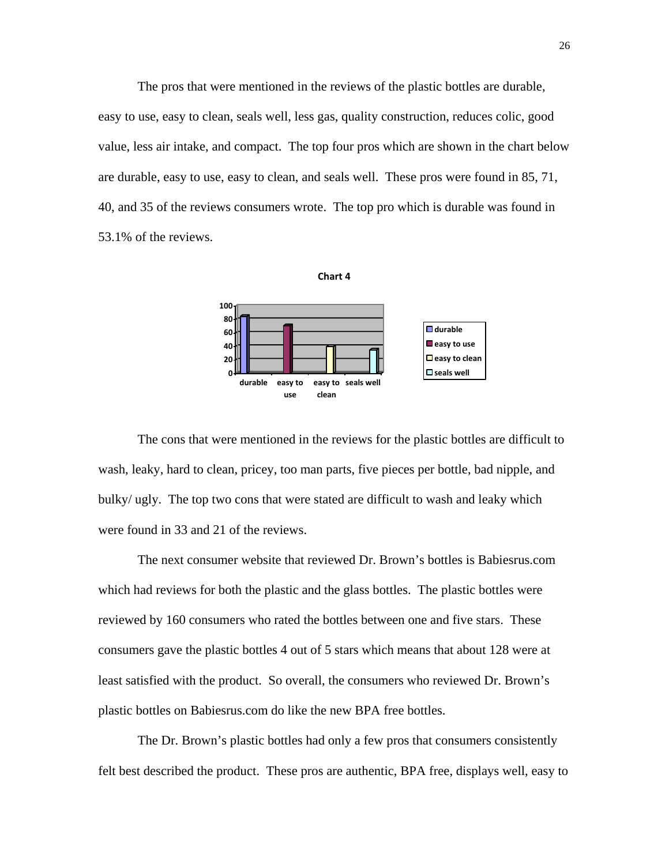The pros that were mentioned in the reviews of the plastic bottles are durable, easy to use, easy to clean, seals well, less gas, quality construction, reduces colic, good value, less air intake, and compact. The top four pros which are shown in the chart below are durable, easy to use, easy to clean, and seals well. These pros were found in 85, 71, 40, and 35 of the reviews consumers wrote. The top pro which is durable was found in 53.1% of the reviews.



 The cons that were mentioned in the reviews for the plastic bottles are difficult to wash, leaky, hard to clean, pricey, too man parts, five pieces per bottle, bad nipple, and bulky/ ugly. The top two cons that were stated are difficult to wash and leaky which were found in 33 and 21 of the reviews.

The next consumer website that reviewed Dr. Brown's bottles is Babiesrus.com which had reviews for both the plastic and the glass bottles. The plastic bottles were reviewed by 160 consumers who rated the bottles between one and five stars. These consumers gave the plastic bottles 4 out of 5 stars which means that about 128 were at least satisfied with the product. So overall, the consumers who reviewed Dr. Brown's plastic bottles on Babiesrus.com do like the new BPA free bottles.

 The Dr. Brown's plastic bottles had only a few pros that consumers consistently felt best described the product. These pros are authentic, BPA free, displays well, easy to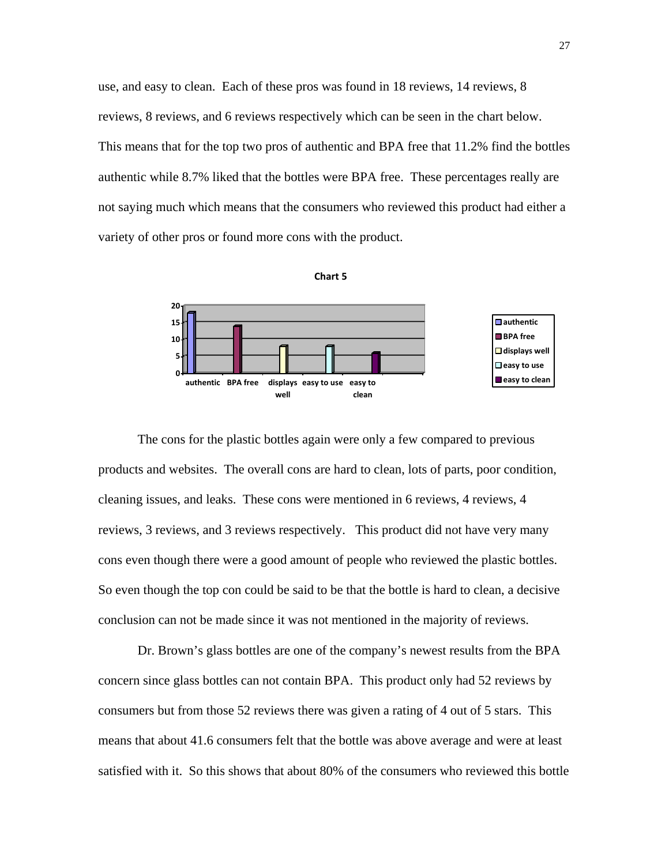use, and easy to clean. Each of these pros was found in 18 reviews, 14 reviews, 8 reviews, 8 reviews, and 6 reviews respectively which can be seen in the chart below. This means that for the top two pros of authentic and BPA free that 11.2% find the bottles authentic while 8.7% liked that the bottles were BPA free. These percentages really are not saying much which means that the consumers who reviewed this product had either a variety of other pros or found more cons with the product.





 The cons for the plastic bottles again were only a few compared to previous products and websites. The overall cons are hard to clean, lots of parts, poor condition, cleaning issues, and leaks. These cons were mentioned in 6 reviews, 4 reviews, 4 reviews, 3 reviews, and 3 reviews respectively. This product did not have very many cons even though there were a good amount of people who reviewed the plastic bottles. So even though the top con could be said to be that the bottle is hard to clean, a decisive conclusion can not be made since it was not mentioned in the majority of reviews.

 Dr. Brown's glass bottles are one of the company's newest results from the BPA concern since glass bottles can not contain BPA. This product only had 52 reviews by consumers but from those 52 reviews there was given a rating of 4 out of 5 stars. This means that about 41.6 consumers felt that the bottle was above average and were at least satisfied with it. So this shows that about 80% of the consumers who reviewed this bottle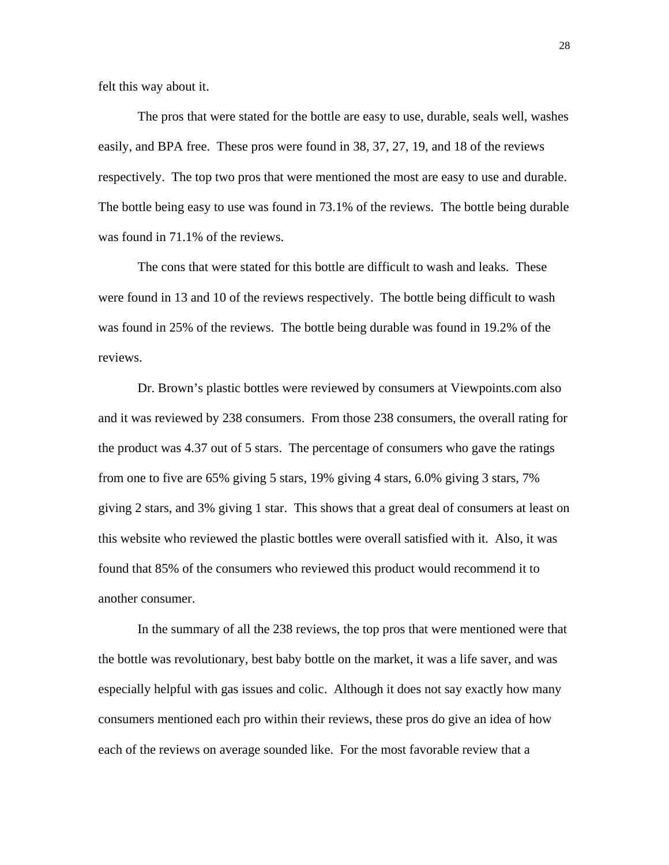felt this way about it.

 The pros that were stated for the bottle are easy to use, durable, seals well, washes easily, and BPA free. These pros were found in 38, 37, 27, 19, and 18 of the reviews respectively. The top two pros that were mentioned the most are easy to use and durable. The bottle being easy to use was found in 73.1% of the reviews. The bottle being durable was found in 71.1% of the reviews.

 The cons that were stated for this bottle are difficult to wash and leaks. These were found in 13 and 10 of the reviews respectively. The bottle being difficult to wash was found in 25% of the reviews. The bottle being durable was found in 19.2% of the reviews.

 Dr. Brown's plastic bottles were reviewed by consumers at Viewpoints.com also and it was reviewed by 238 consumers. From those 238 consumers, the overall rating for the product was 4.37 out of 5 stars. The percentage of consumers who gave the ratings from one to five are 65% giving 5 stars, 19% giving 4 stars, 6.0% giving 3 stars, 7% giving 2 stars, and 3% giving 1 star. This shows that a great deal of consumers at least on this website who reviewed the plastic bottles were overall satisfied with it. Also, it was found that 85% of the consumers who reviewed this product would recommend it to another consumer.

 In the summary of all the 238 reviews, the top pros that were mentioned were that the bottle was revolutionary, best baby bottle on the market, it was a life saver, and was especially helpful with gas issues and colic. Although it does not say exactly how many consumers mentioned each pro within their reviews, these pros do give an idea of how each of the reviews on average sounded like. For the most favorable review that a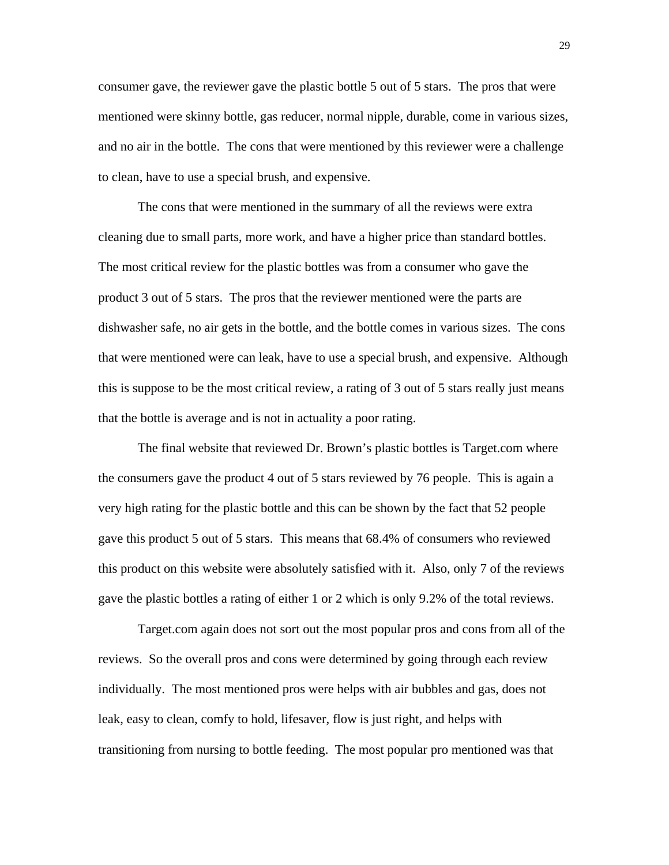consumer gave, the reviewer gave the plastic bottle 5 out of 5 stars. The pros that were mentioned were skinny bottle, gas reducer, normal nipple, durable, come in various sizes, and no air in the bottle. The cons that were mentioned by this reviewer were a challenge to clean, have to use a special brush, and expensive.

 The cons that were mentioned in the summary of all the reviews were extra cleaning due to small parts, more work, and have a higher price than standard bottles. The most critical review for the plastic bottles was from a consumer who gave the product 3 out of 5 stars. The pros that the reviewer mentioned were the parts are dishwasher safe, no air gets in the bottle, and the bottle comes in various sizes. The cons that were mentioned were can leak, have to use a special brush, and expensive. Although this is suppose to be the most critical review, a rating of 3 out of 5 stars really just means that the bottle is average and is not in actuality a poor rating.

 The final website that reviewed Dr. Brown's plastic bottles is Target.com where the consumers gave the product 4 out of 5 stars reviewed by 76 people. This is again a very high rating for the plastic bottle and this can be shown by the fact that 52 people gave this product 5 out of 5 stars. This means that 68.4% of consumers who reviewed this product on this website were absolutely satisfied with it. Also, only 7 of the reviews gave the plastic bottles a rating of either 1 or 2 which is only 9.2% of the total reviews.

 Target.com again does not sort out the most popular pros and cons from all of the reviews. So the overall pros and cons were determined by going through each review individually. The most mentioned pros were helps with air bubbles and gas, does not leak, easy to clean, comfy to hold, lifesaver, flow is just right, and helps with transitioning from nursing to bottle feeding. The most popular pro mentioned was that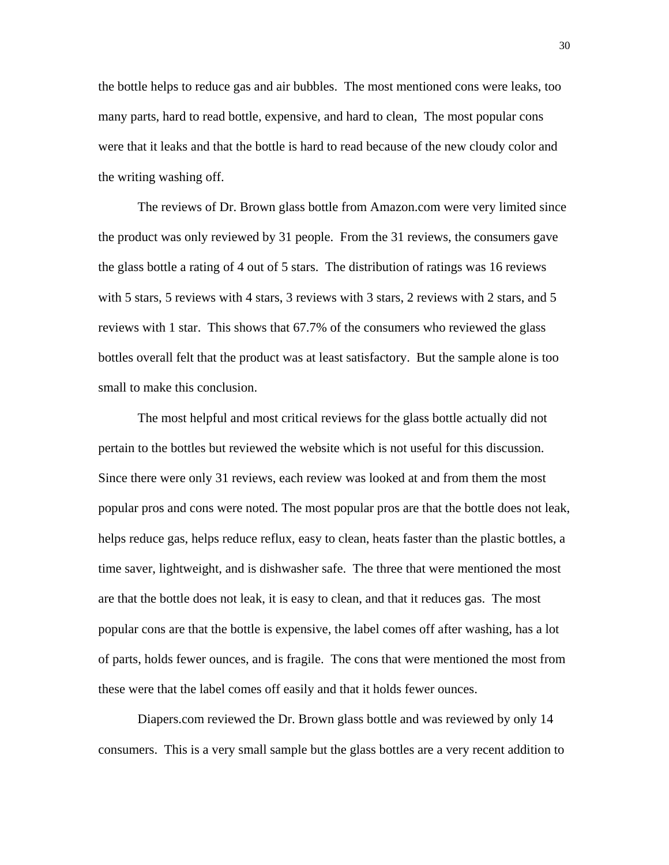the bottle helps to reduce gas and air bubbles. The most mentioned cons were leaks, too many parts, hard to read bottle, expensive, and hard to clean, The most popular cons were that it leaks and that the bottle is hard to read because of the new cloudy color and the writing washing off.

The reviews of Dr. Brown glass bottle from Amazon.com were very limited since the product was only reviewed by 31 people. From the 31 reviews, the consumers gave the glass bottle a rating of 4 out of 5 stars. The distribution of ratings was 16 reviews with 5 stars, 5 reviews with 4 stars, 3 reviews with 3 stars, 2 reviews with 2 stars, and 5 reviews with 1 star. This shows that 67.7% of the consumers who reviewed the glass bottles overall felt that the product was at least satisfactory. But the sample alone is too small to make this conclusion.

 The most helpful and most critical reviews for the glass bottle actually did not pertain to the bottles but reviewed the website which is not useful for this discussion. Since there were only 31 reviews, each review was looked at and from them the most popular pros and cons were noted. The most popular pros are that the bottle does not leak, helps reduce gas, helps reduce reflux, easy to clean, heats faster than the plastic bottles, a time saver, lightweight, and is dishwasher safe. The three that were mentioned the most are that the bottle does not leak, it is easy to clean, and that it reduces gas. The most popular cons are that the bottle is expensive, the label comes off after washing, has a lot of parts, holds fewer ounces, and is fragile. The cons that were mentioned the most from these were that the label comes off easily and that it holds fewer ounces.

Diapers.com reviewed the Dr. Brown glass bottle and was reviewed by only 14 consumers. This is a very small sample but the glass bottles are a very recent addition to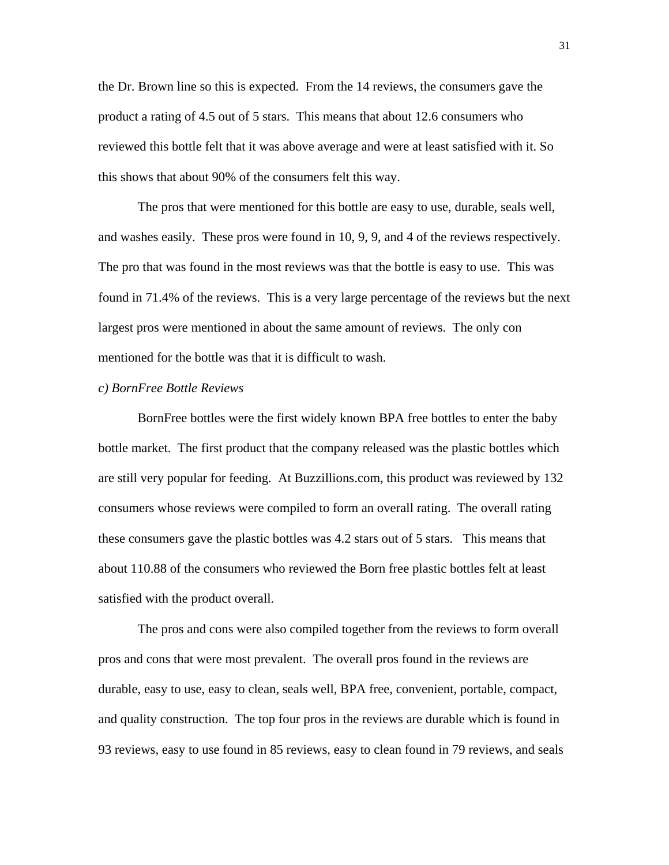the Dr. Brown line so this is expected. From the 14 reviews, the consumers gave the product a rating of 4.5 out of 5 stars. This means that about 12.6 consumers who reviewed this bottle felt that it was above average and were at least satisfied with it. So this shows that about 90% of the consumers felt this way.

The pros that were mentioned for this bottle are easy to use, durable, seals well, and washes easily. These pros were found in 10, 9, 9, and 4 of the reviews respectively. The pro that was found in the most reviews was that the bottle is easy to use. This was found in 71.4% of the reviews. This is a very large percentage of the reviews but the next largest pros were mentioned in about the same amount of reviews. The only con mentioned for the bottle was that it is difficult to wash.

#### *c) BornFree Bottle Reviews*

 BornFree bottles were the first widely known BPA free bottles to enter the baby bottle market. The first product that the company released was the plastic bottles which are still very popular for feeding. At Buzzillions.com, this product was reviewed by 132 consumers whose reviews were compiled to form an overall rating. The overall rating these consumers gave the plastic bottles was 4.2 stars out of 5 stars. This means that about 110.88 of the consumers who reviewed the Born free plastic bottles felt at least satisfied with the product overall.

 The pros and cons were also compiled together from the reviews to form overall pros and cons that were most prevalent. The overall pros found in the reviews are durable, easy to use, easy to clean, seals well, BPA free, convenient, portable, compact, and quality construction. The top four pros in the reviews are durable which is found in 93 reviews, easy to use found in 85 reviews, easy to clean found in 79 reviews, and seals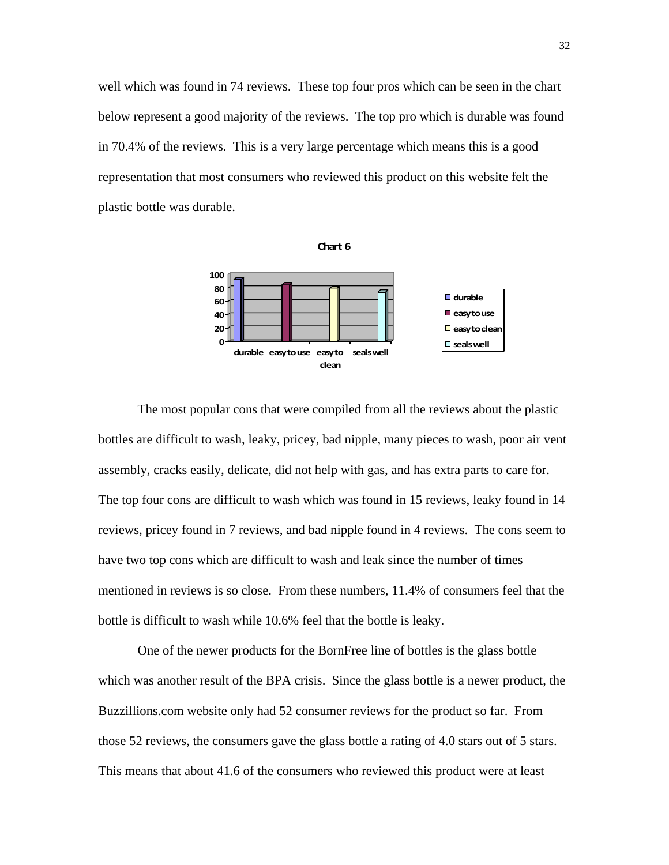well which was found in 74 reviews. These top four pros which can be seen in the chart below represent a good majority of the reviews. The top pro which is durable was found in 70.4% of the reviews. This is a very large percentage which means this is a good representation that most consumers who reviewed this product on this website felt the plastic bottle was durable.



 The most popular cons that were compiled from all the reviews about the plastic bottles are difficult to wash, leaky, pricey, bad nipple, many pieces to wash, poor air vent assembly, cracks easily, delicate, did not help with gas, and has extra parts to care for. The top four cons are difficult to wash which was found in 15 reviews, leaky found in 14 reviews, pricey found in 7 reviews, and bad nipple found in 4 reviews. The cons seem to have two top cons which are difficult to wash and leak since the number of times mentioned in reviews is so close. From these numbers, 11.4% of consumers feel that the bottle is difficult to wash while 10.6% feel that the bottle is leaky.

 One of the newer products for the BornFree line of bottles is the glass bottle which was another result of the BPA crisis. Since the glass bottle is a newer product, the Buzzillions.com website only had 52 consumer reviews for the product so far. From those 52 reviews, the consumers gave the glass bottle a rating of 4.0 stars out of 5 stars. This means that about 41.6 of the consumers who reviewed this product were at least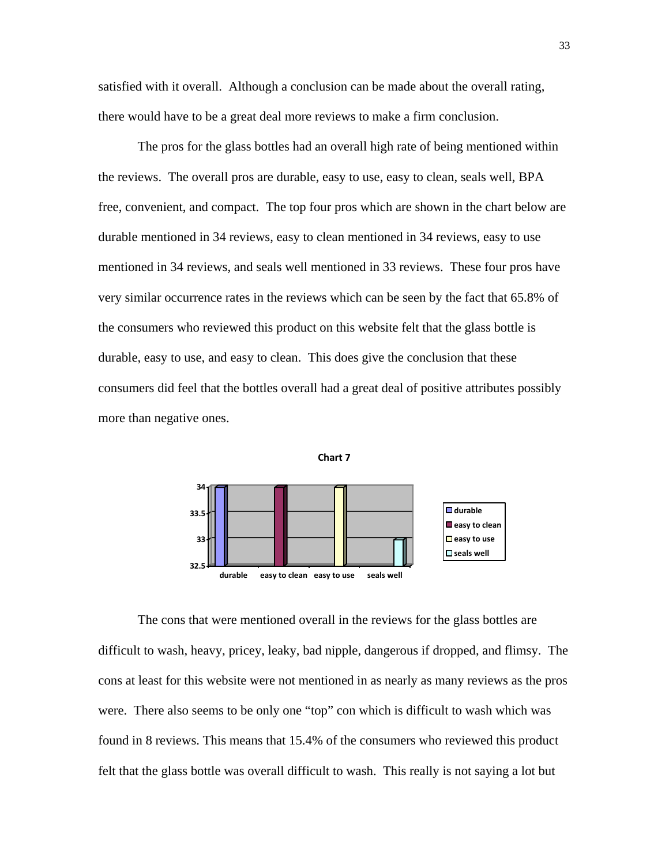satisfied with it overall. Although a conclusion can be made about the overall rating, there would have to be a great deal more reviews to make a firm conclusion.

 The pros for the glass bottles had an overall high rate of being mentioned within the reviews. The overall pros are durable, easy to use, easy to clean, seals well, BPA free, convenient, and compact. The top four pros which are shown in the chart below are durable mentioned in 34 reviews, easy to clean mentioned in 34 reviews, easy to use mentioned in 34 reviews, and seals well mentioned in 33 reviews. These four pros have very similar occurrence rates in the reviews which can be seen by the fact that 65.8% of the consumers who reviewed this product on this website felt that the glass bottle is durable, easy to use, and easy to clean. This does give the conclusion that these consumers did feel that the bottles overall had a great deal of positive attributes possibly more than negative ones.





 The cons that were mentioned overall in the reviews for the glass bottles are difficult to wash, heavy, pricey, leaky, bad nipple, dangerous if dropped, and flimsy. The cons at least for this website were not mentioned in as nearly as many reviews as the pros were. There also seems to be only one "top" con which is difficult to wash which was found in 8 reviews. This means that 15.4% of the consumers who reviewed this product felt that the glass bottle was overall difficult to wash. This really is not saying a lot but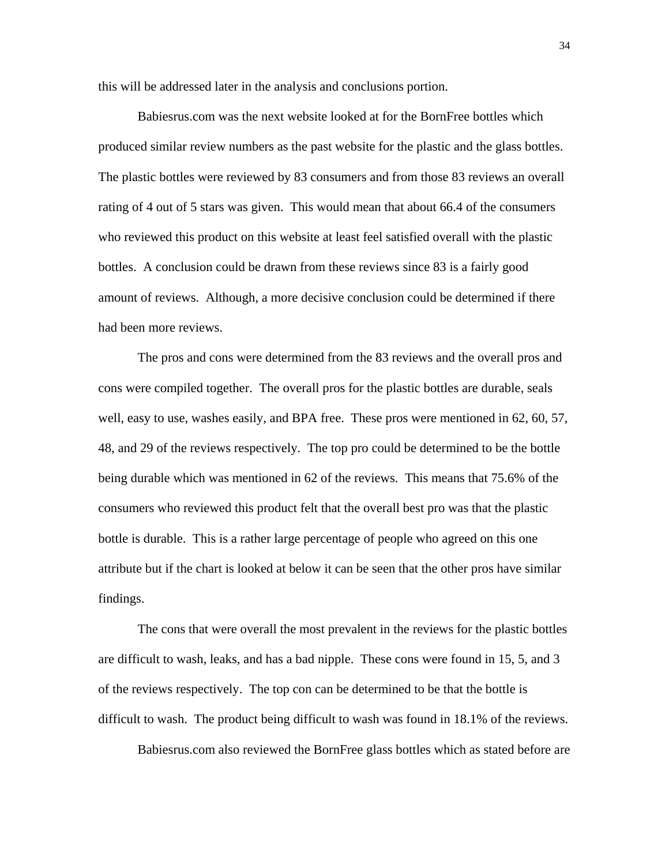this will be addressed later in the analysis and conclusions portion.

 Babiesrus.com was the next website looked at for the BornFree bottles which produced similar review numbers as the past website for the plastic and the glass bottles. The plastic bottles were reviewed by 83 consumers and from those 83 reviews an overall rating of 4 out of 5 stars was given. This would mean that about 66.4 of the consumers who reviewed this product on this website at least feel satisfied overall with the plastic bottles. A conclusion could be drawn from these reviews since 83 is a fairly good amount of reviews. Although, a more decisive conclusion could be determined if there had been more reviews.

 The pros and cons were determined from the 83 reviews and the overall pros and cons were compiled together. The overall pros for the plastic bottles are durable, seals well, easy to use, washes easily, and BPA free. These pros were mentioned in 62, 60, 57, 48, and 29 of the reviews respectively. The top pro could be determined to be the bottle being durable which was mentioned in 62 of the reviews. This means that 75.6% of the consumers who reviewed this product felt that the overall best pro was that the plastic bottle is durable. This is a rather large percentage of people who agreed on this one attribute but if the chart is looked at below it can be seen that the other pros have similar findings.

 The cons that were overall the most prevalent in the reviews for the plastic bottles are difficult to wash, leaks, and has a bad nipple. These cons were found in 15, 5, and 3 of the reviews respectively. The top con can be determined to be that the bottle is difficult to wash. The product being difficult to wash was found in 18.1% of the reviews.

Babiesrus.com also reviewed the BornFree glass bottles which as stated before are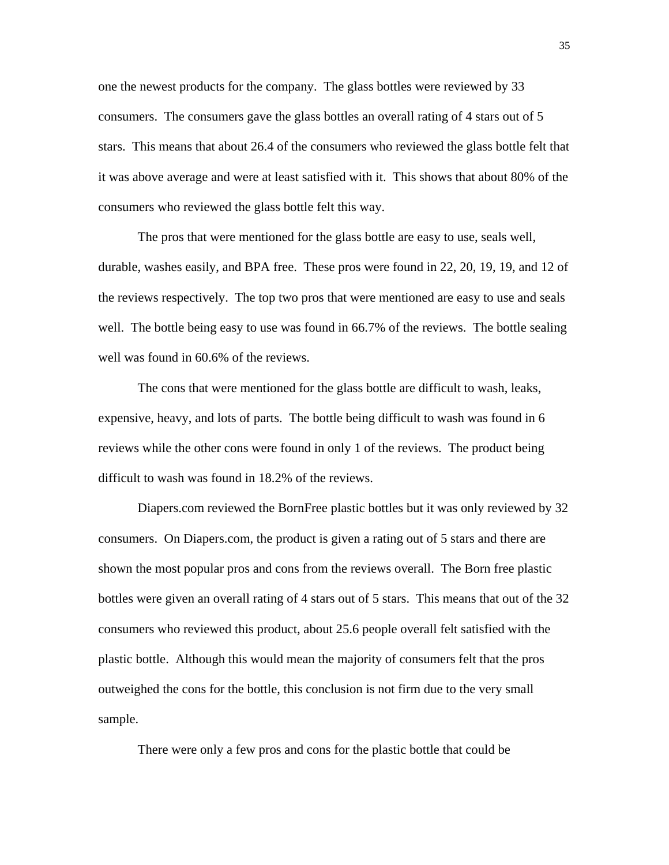one the newest products for the company. The glass bottles were reviewed by 33 consumers. The consumers gave the glass bottles an overall rating of 4 stars out of 5 stars. This means that about 26.4 of the consumers who reviewed the glass bottle felt that it was above average and were at least satisfied with it. This shows that about 80% of the consumers who reviewed the glass bottle felt this way.

 The pros that were mentioned for the glass bottle are easy to use, seals well, durable, washes easily, and BPA free. These pros were found in 22, 20, 19, 19, and 12 of the reviews respectively. The top two pros that were mentioned are easy to use and seals well. The bottle being easy to use was found in 66.7% of the reviews. The bottle sealing well was found in 60.6% of the reviews.

 The cons that were mentioned for the glass bottle are difficult to wash, leaks, expensive, heavy, and lots of parts. The bottle being difficult to wash was found in 6 reviews while the other cons were found in only 1 of the reviews. The product being difficult to wash was found in 18.2% of the reviews.

 Diapers.com reviewed the BornFree plastic bottles but it was only reviewed by 32 consumers. On Diapers.com, the product is given a rating out of 5 stars and there are shown the most popular pros and cons from the reviews overall. The Born free plastic bottles were given an overall rating of 4 stars out of 5 stars. This means that out of the 32 consumers who reviewed this product, about 25.6 people overall felt satisfied with the plastic bottle. Although this would mean the majority of consumers felt that the pros outweighed the cons for the bottle, this conclusion is not firm due to the very small sample.

There were only a few pros and cons for the plastic bottle that could be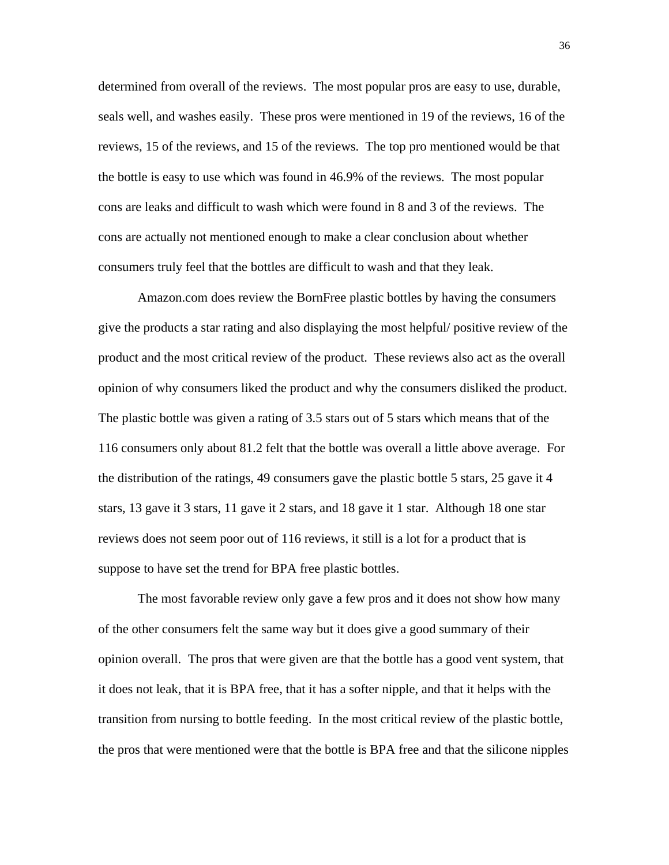determined from overall of the reviews. The most popular pros are easy to use, durable, seals well, and washes easily. These pros were mentioned in 19 of the reviews, 16 of the reviews, 15 of the reviews, and 15 of the reviews. The top pro mentioned would be that the bottle is easy to use which was found in 46.9% of the reviews. The most popular cons are leaks and difficult to wash which were found in 8 and 3 of the reviews. The cons are actually not mentioned enough to make a clear conclusion about whether consumers truly feel that the bottles are difficult to wash and that they leak.

 Amazon.com does review the BornFree plastic bottles by having the consumers give the products a star rating and also displaying the most helpful/ positive review of the product and the most critical review of the product. These reviews also act as the overall opinion of why consumers liked the product and why the consumers disliked the product. The plastic bottle was given a rating of 3.5 stars out of 5 stars which means that of the 116 consumers only about 81.2 felt that the bottle was overall a little above average. For the distribution of the ratings, 49 consumers gave the plastic bottle 5 stars, 25 gave it 4 stars, 13 gave it 3 stars, 11 gave it 2 stars, and 18 gave it 1 star. Although 18 one star reviews does not seem poor out of 116 reviews, it still is a lot for a product that is suppose to have set the trend for BPA free plastic bottles.

 The most favorable review only gave a few pros and it does not show how many of the other consumers felt the same way but it does give a good summary of their opinion overall. The pros that were given are that the bottle has a good vent system, that it does not leak, that it is BPA free, that it has a softer nipple, and that it helps with the transition from nursing to bottle feeding. In the most critical review of the plastic bottle, the pros that were mentioned were that the bottle is BPA free and that the silicone nipples

36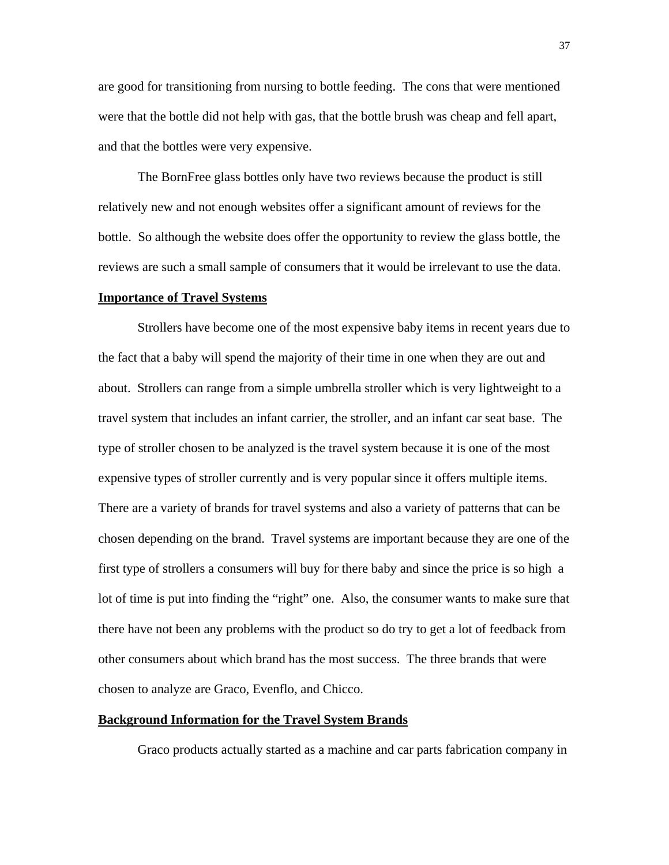are good for transitioning from nursing to bottle feeding. The cons that were mentioned were that the bottle did not help with gas, that the bottle brush was cheap and fell apart, and that the bottles were very expensive.

 The BornFree glass bottles only have two reviews because the product is still relatively new and not enough websites offer a significant amount of reviews for the bottle. So although the website does offer the opportunity to review the glass bottle, the reviews are such a small sample of consumers that it would be irrelevant to use the data.

### **Importance of Travel Systems**

 Strollers have become one of the most expensive baby items in recent years due to the fact that a baby will spend the majority of their time in one when they are out and about. Strollers can range from a simple umbrella stroller which is very lightweight to a travel system that includes an infant carrier, the stroller, and an infant car seat base. The type of stroller chosen to be analyzed is the travel system because it is one of the most expensive types of stroller currently and is very popular since it offers multiple items. There are a variety of brands for travel systems and also a variety of patterns that can be chosen depending on the brand. Travel systems are important because they are one of the first type of strollers a consumers will buy for there baby and since the price is so high a lot of time is put into finding the "right" one. Also, the consumer wants to make sure that there have not been any problems with the product so do try to get a lot of feedback from other consumers about which brand has the most success. The three brands that were chosen to analyze are Graco, Evenflo, and Chicco.

# **Background Information for the Travel System Brands**

Graco products actually started as a machine and car parts fabrication company in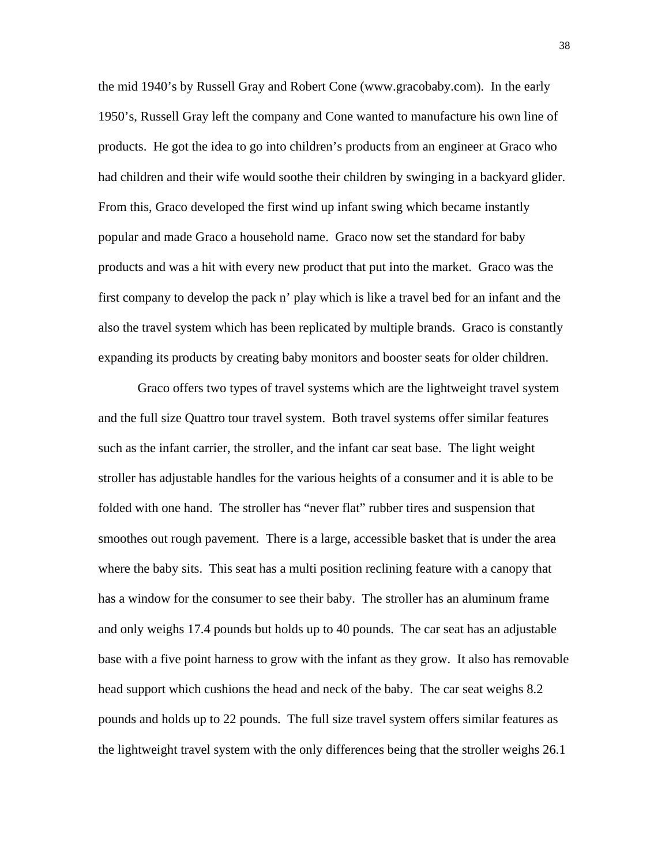the mid 1940's by Russell Gray and Robert Cone (www.gracobaby.com). In the early 1950's, Russell Gray left the company and Cone wanted to manufacture his own line of products. He got the idea to go into children's products from an engineer at Graco who had children and their wife would soothe their children by swinging in a backyard glider. From this, Graco developed the first wind up infant swing which became instantly popular and made Graco a household name. Graco now set the standard for baby products and was a hit with every new product that put into the market. Graco was the first company to develop the pack n' play which is like a travel bed for an infant and the also the travel system which has been replicated by multiple brands. Graco is constantly expanding its products by creating baby monitors and booster seats for older children.

 Graco offers two types of travel systems which are the lightweight travel system and the full size Quattro tour travel system. Both travel systems offer similar features such as the infant carrier, the stroller, and the infant car seat base. The light weight stroller has adjustable handles for the various heights of a consumer and it is able to be folded with one hand. The stroller has "never flat" rubber tires and suspension that smoothes out rough pavement. There is a large, accessible basket that is under the area where the baby sits. This seat has a multi position reclining feature with a canopy that has a window for the consumer to see their baby. The stroller has an aluminum frame and only weighs 17.4 pounds but holds up to 40 pounds. The car seat has an adjustable base with a five point harness to grow with the infant as they grow. It also has removable head support which cushions the head and neck of the baby. The car seat weighs 8.2 pounds and holds up to 22 pounds. The full size travel system offers similar features as the lightweight travel system with the only differences being that the stroller weighs 26.1

38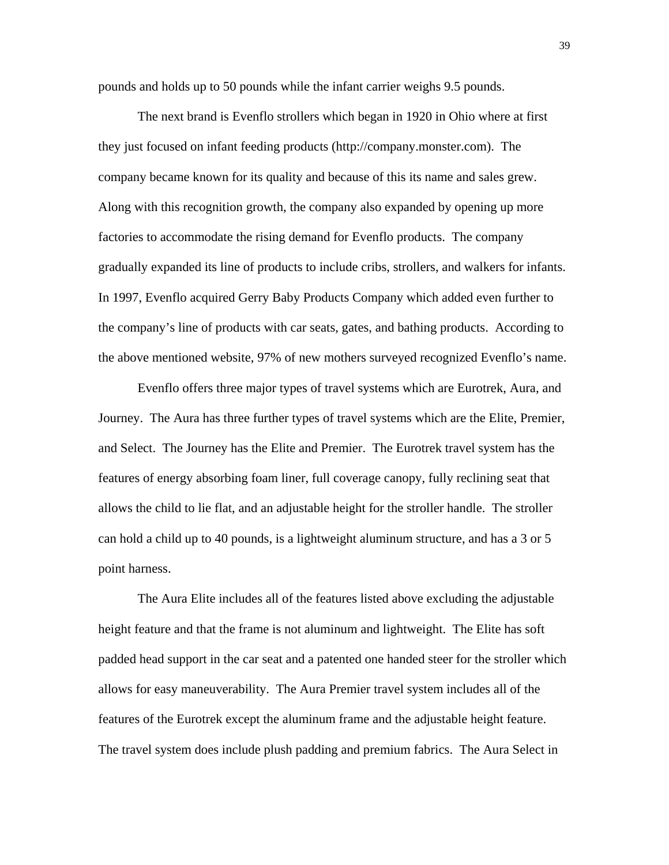pounds and holds up to 50 pounds while the infant carrier weighs 9.5 pounds.

 The next brand is Evenflo strollers which began in 1920 in Ohio where at first they just focused on infant feeding products (http://company.monster.com). The company became known for its quality and because of this its name and sales grew. Along with this recognition growth, the company also expanded by opening up more factories to accommodate the rising demand for Evenflo products. The company gradually expanded its line of products to include cribs, strollers, and walkers for infants. In 1997, Evenflo acquired Gerry Baby Products Company which added even further to the company's line of products with car seats, gates, and bathing products. According to the above mentioned website, 97% of new mothers surveyed recognized Evenflo's name.

 Evenflo offers three major types of travel systems which are Eurotrek, Aura, and Journey. The Aura has three further types of travel systems which are the Elite, Premier, and Select. The Journey has the Elite and Premier. The Eurotrek travel system has the features of energy absorbing foam liner, full coverage canopy, fully reclining seat that allows the child to lie flat, and an adjustable height for the stroller handle. The stroller can hold a child up to 40 pounds, is a lightweight aluminum structure, and has a 3 or 5 point harness.

 The Aura Elite includes all of the features listed above excluding the adjustable height feature and that the frame is not aluminum and lightweight. The Elite has soft padded head support in the car seat and a patented one handed steer for the stroller which allows for easy maneuverability. The Aura Premier travel system includes all of the features of the Eurotrek except the aluminum frame and the adjustable height feature. The travel system does include plush padding and premium fabrics. The Aura Select in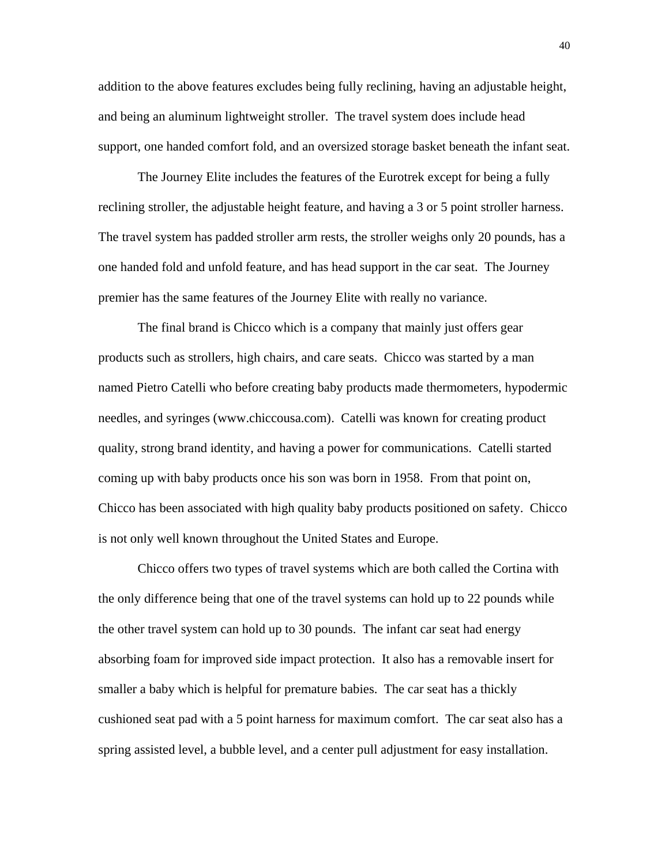addition to the above features excludes being fully reclining, having an adjustable height, and being an aluminum lightweight stroller. The travel system does include head support, one handed comfort fold, and an oversized storage basket beneath the infant seat.

 The Journey Elite includes the features of the Eurotrek except for being a fully reclining stroller, the adjustable height feature, and having a 3 or 5 point stroller harness. The travel system has padded stroller arm rests, the stroller weighs only 20 pounds, has a one handed fold and unfold feature, and has head support in the car seat. The Journey premier has the same features of the Journey Elite with really no variance.

The final brand is Chicco which is a company that mainly just offers gear products such as strollers, high chairs, and care seats. Chicco was started by a man named Pietro Catelli who before creating baby products made thermometers, hypodermic needles, and syringes (www.chiccousa.com). Catelli was known for creating product quality, strong brand identity, and having a power for communications. Catelli started coming up with baby products once his son was born in 1958. From that point on, Chicco has been associated with high quality baby products positioned on safety. Chicco is not only well known throughout the United States and Europe.

 Chicco offers two types of travel systems which are both called the Cortina with the only difference being that one of the travel systems can hold up to 22 pounds while the other travel system can hold up to 30 pounds. The infant car seat had energy absorbing foam for improved side impact protection. It also has a removable insert for smaller a baby which is helpful for premature babies. The car seat has a thickly cushioned seat pad with a 5 point harness for maximum comfort. The car seat also has a spring assisted level, a bubble level, and a center pull adjustment for easy installation.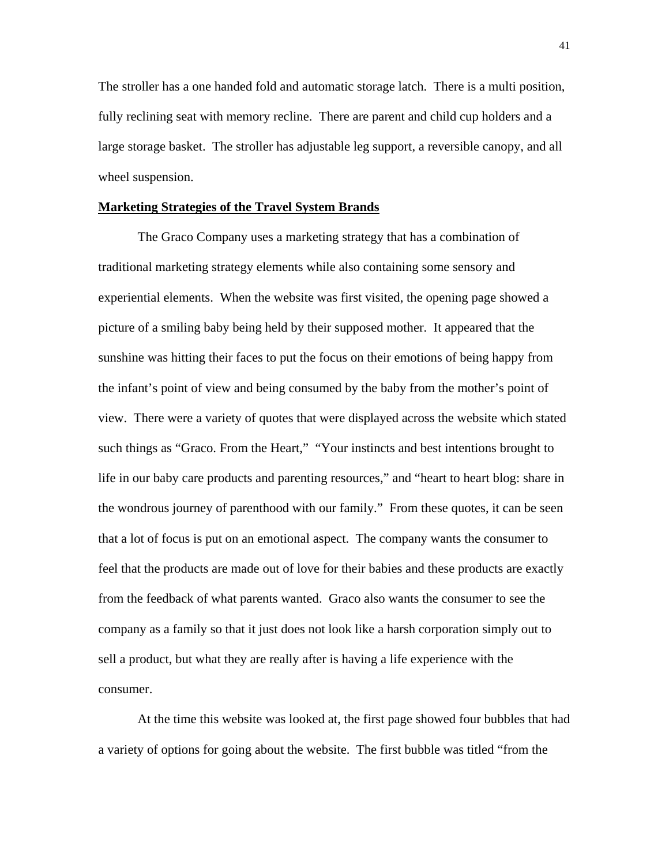The stroller has a one handed fold and automatic storage latch. There is a multi position, fully reclining seat with memory recline. There are parent and child cup holders and a large storage basket. The stroller has adjustable leg support, a reversible canopy, and all wheel suspension.

# **Marketing Strategies of the Travel System Brands**

The Graco Company uses a marketing strategy that has a combination of traditional marketing strategy elements while also containing some sensory and experiential elements. When the website was first visited, the opening page showed a picture of a smiling baby being held by their supposed mother. It appeared that the sunshine was hitting their faces to put the focus on their emotions of being happy from the infant's point of view and being consumed by the baby from the mother's point of view. There were a variety of quotes that were displayed across the website which stated such things as "Graco. From the Heart," "Your instincts and best intentions brought to life in our baby care products and parenting resources," and "heart to heart blog: share in the wondrous journey of parenthood with our family." From these quotes, it can be seen that a lot of focus is put on an emotional aspect. The company wants the consumer to feel that the products are made out of love for their babies and these products are exactly from the feedback of what parents wanted. Graco also wants the consumer to see the company as a family so that it just does not look like a harsh corporation simply out to sell a product, but what they are really after is having a life experience with the consumer.

 At the time this website was looked at, the first page showed four bubbles that had a variety of options for going about the website. The first bubble was titled "from the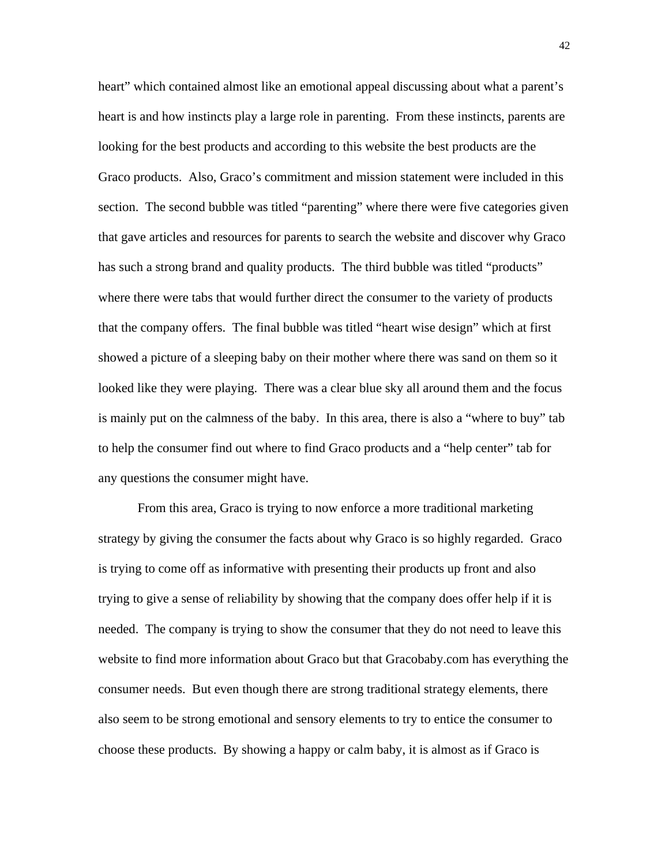heart" which contained almost like an emotional appeal discussing about what a parent's heart is and how instincts play a large role in parenting. From these instincts, parents are looking for the best products and according to this website the best products are the Graco products. Also, Graco's commitment and mission statement were included in this section. The second bubble was titled "parenting" where there were five categories given that gave articles and resources for parents to search the website and discover why Graco has such a strong brand and quality products. The third bubble was titled "products" where there were tabs that would further direct the consumer to the variety of products that the company offers. The final bubble was titled "heart wise design" which at first showed a picture of a sleeping baby on their mother where there was sand on them so it looked like they were playing. There was a clear blue sky all around them and the focus is mainly put on the calmness of the baby. In this area, there is also a "where to buy" tab to help the consumer find out where to find Graco products and a "help center" tab for any questions the consumer might have.

 From this area, Graco is trying to now enforce a more traditional marketing strategy by giving the consumer the facts about why Graco is so highly regarded. Graco is trying to come off as informative with presenting their products up front and also trying to give a sense of reliability by showing that the company does offer help if it is needed. The company is trying to show the consumer that they do not need to leave this website to find more information about Graco but that Gracobaby.com has everything the consumer needs. But even though there are strong traditional strategy elements, there also seem to be strong emotional and sensory elements to try to entice the consumer to choose these products. By showing a happy or calm baby, it is almost as if Graco is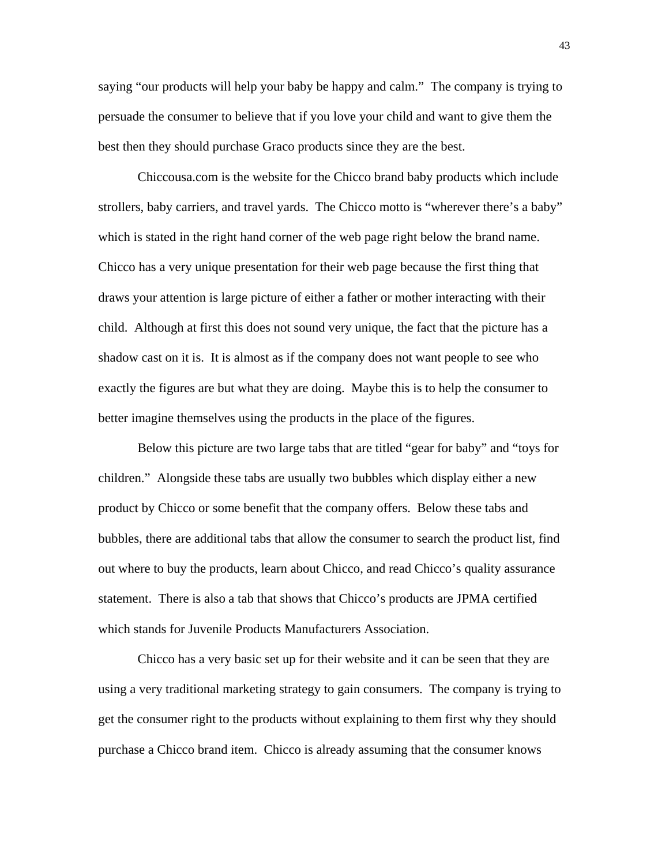saying "our products will help your baby be happy and calm." The company is trying to persuade the consumer to believe that if you love your child and want to give them the best then they should purchase Graco products since they are the best.

 Chiccousa.com is the website for the Chicco brand baby products which include strollers, baby carriers, and travel yards. The Chicco motto is "wherever there's a baby" which is stated in the right hand corner of the web page right below the brand name. Chicco has a very unique presentation for their web page because the first thing that draws your attention is large picture of either a father or mother interacting with their child. Although at first this does not sound very unique, the fact that the picture has a shadow cast on it is. It is almost as if the company does not want people to see who exactly the figures are but what they are doing. Maybe this is to help the consumer to better imagine themselves using the products in the place of the figures.

 Below this picture are two large tabs that are titled "gear for baby" and "toys for children." Alongside these tabs are usually two bubbles which display either a new product by Chicco or some benefit that the company offers. Below these tabs and bubbles, there are additional tabs that allow the consumer to search the product list, find out where to buy the products, learn about Chicco, and read Chicco's quality assurance statement. There is also a tab that shows that Chicco's products are JPMA certified which stands for Juvenile Products Manufacturers Association.

 Chicco has a very basic set up for their website and it can be seen that they are using a very traditional marketing strategy to gain consumers. The company is trying to get the consumer right to the products without explaining to them first why they should purchase a Chicco brand item. Chicco is already assuming that the consumer knows

43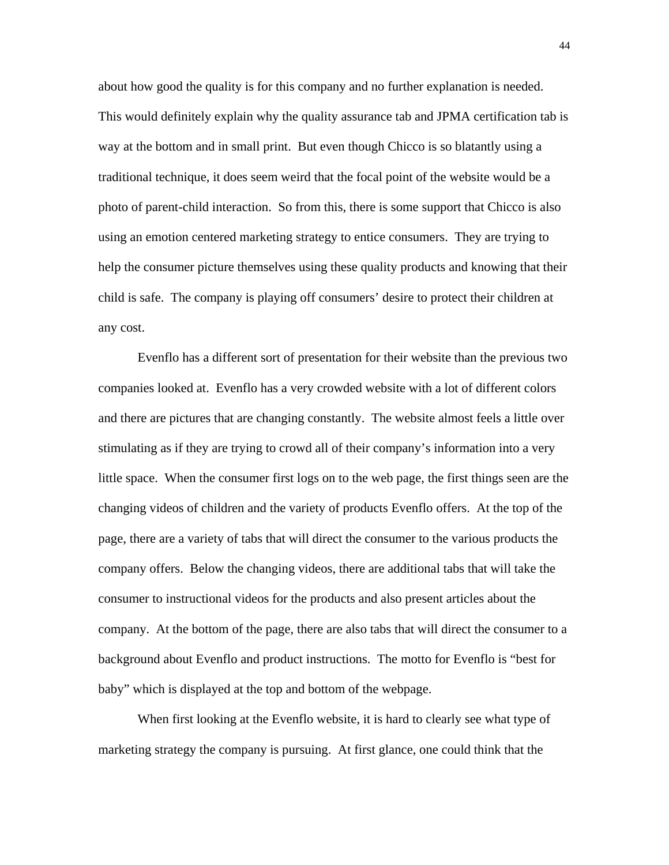about how good the quality is for this company and no further explanation is needed. This would definitely explain why the quality assurance tab and JPMA certification tab is way at the bottom and in small print. But even though Chicco is so blatantly using a traditional technique, it does seem weird that the focal point of the website would be a photo of parent-child interaction. So from this, there is some support that Chicco is also using an emotion centered marketing strategy to entice consumers. They are trying to help the consumer picture themselves using these quality products and knowing that their child is safe. The company is playing off consumers' desire to protect their children at any cost.

 Evenflo has a different sort of presentation for their website than the previous two companies looked at. Evenflo has a very crowded website with a lot of different colors and there are pictures that are changing constantly. The website almost feels a little over stimulating as if they are trying to crowd all of their company's information into a very little space. When the consumer first logs on to the web page, the first things seen are the changing videos of children and the variety of products Evenflo offers. At the top of the page, there are a variety of tabs that will direct the consumer to the various products the company offers. Below the changing videos, there are additional tabs that will take the consumer to instructional videos for the products and also present articles about the company. At the bottom of the page, there are also tabs that will direct the consumer to a background about Evenflo and product instructions. The motto for Evenflo is "best for baby" which is displayed at the top and bottom of the webpage.

 When first looking at the Evenflo website, it is hard to clearly see what type of marketing strategy the company is pursuing. At first glance, one could think that the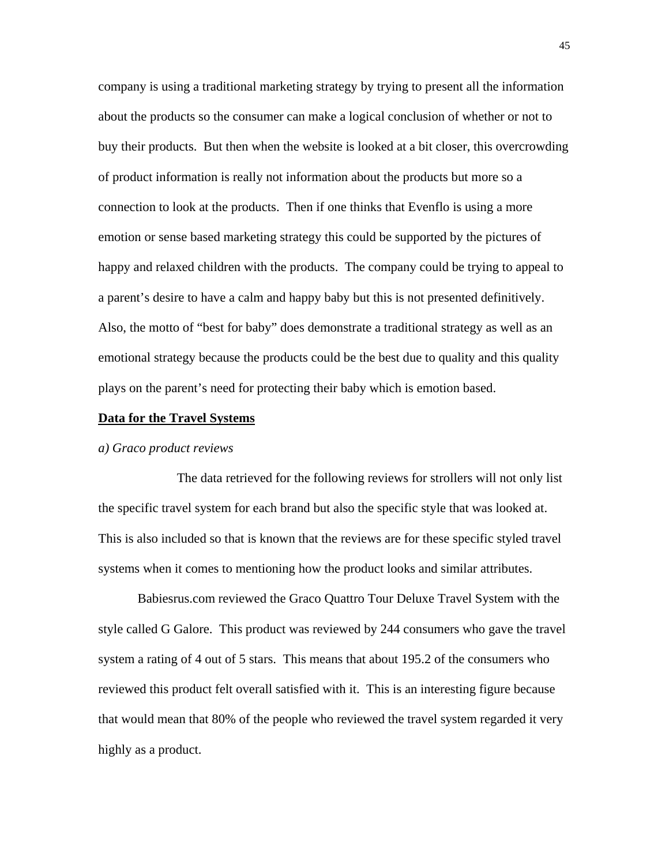company is using a traditional marketing strategy by trying to present all the information about the products so the consumer can make a logical conclusion of whether or not to buy their products. But then when the website is looked at a bit closer, this overcrowding of product information is really not information about the products but more so a connection to look at the products. Then if one thinks that Evenflo is using a more emotion or sense based marketing strategy this could be supported by the pictures of happy and relaxed children with the products. The company could be trying to appeal to a parent's desire to have a calm and happy baby but this is not presented definitively. Also, the motto of "best for baby" does demonstrate a traditional strategy as well as an emotional strategy because the products could be the best due to quality and this quality plays on the parent's need for protecting their baby which is emotion based.

#### **Data for the Travel Systems**

### *a) Graco product reviews*

 The data retrieved for the following reviews for strollers will not only list the specific travel system for each brand but also the specific style that was looked at. This is also included so that is known that the reviews are for these specific styled travel systems when it comes to mentioning how the product looks and similar attributes.

 Babiesrus.com reviewed the Graco Quattro Tour Deluxe Travel System with the style called G Galore. This product was reviewed by 244 consumers who gave the travel system a rating of 4 out of 5 stars. This means that about 195.2 of the consumers who reviewed this product felt overall satisfied with it. This is an interesting figure because that would mean that 80% of the people who reviewed the travel system regarded it very highly as a product.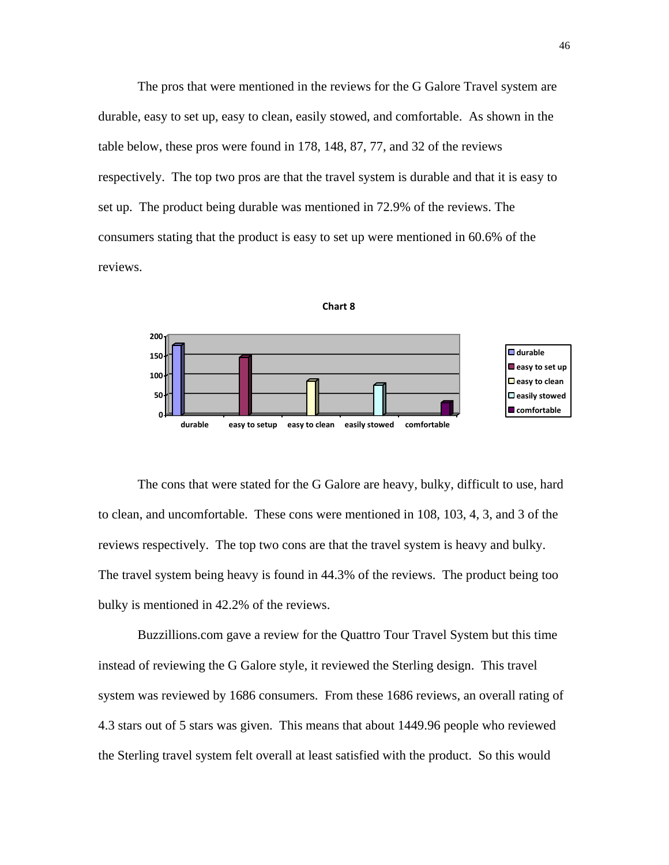The pros that were mentioned in the reviews for the G Galore Travel system are durable, easy to set up, easy to clean, easily stowed, and comfortable. As shown in the table below, these pros were found in 178, 148, 87, 77, and 32 of the reviews respectively. The top two pros are that the travel system is durable and that it is easy to set up. The product being durable was mentioned in 72.9% of the reviews. The consumers stating that the product is easy to set up were mentioned in 60.6% of the reviews.





 The cons that were stated for the G Galore are heavy, bulky, difficult to use, hard to clean, and uncomfortable. These cons were mentioned in 108, 103, 4, 3, and 3 of the reviews respectively. The top two cons are that the travel system is heavy and bulky. The travel system being heavy is found in 44.3% of the reviews. The product being too bulky is mentioned in 42.2% of the reviews.

 Buzzillions.com gave a review for the Quattro Tour Travel System but this time instead of reviewing the G Galore style, it reviewed the Sterling design. This travel system was reviewed by 1686 consumers. From these 1686 reviews, an overall rating of 4.3 stars out of 5 stars was given. This means that about 1449.96 people who reviewed the Sterling travel system felt overall at least satisfied with the product. So this would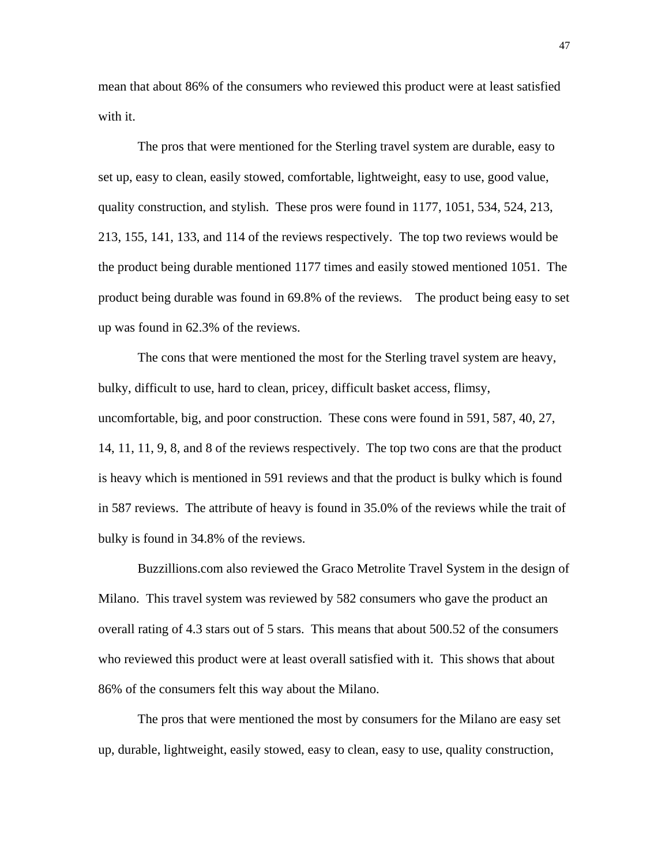mean that about 86% of the consumers who reviewed this product were at least satisfied with it.

 The pros that were mentioned for the Sterling travel system are durable, easy to set up, easy to clean, easily stowed, comfortable, lightweight, easy to use, good value, quality construction, and stylish. These pros were found in 1177, 1051, 534, 524, 213, 213, 155, 141, 133, and 114 of the reviews respectively. The top two reviews would be the product being durable mentioned 1177 times and easily stowed mentioned 1051. The product being durable was found in 69.8% of the reviews. The product being easy to set up was found in 62.3% of the reviews.

 The cons that were mentioned the most for the Sterling travel system are heavy, bulky, difficult to use, hard to clean, pricey, difficult basket access, flimsy, uncomfortable, big, and poor construction. These cons were found in 591, 587, 40, 27, 14, 11, 11, 9, 8, and 8 of the reviews respectively. The top two cons are that the product is heavy which is mentioned in 591 reviews and that the product is bulky which is found in 587 reviews. The attribute of heavy is found in 35.0% of the reviews while the trait of bulky is found in 34.8% of the reviews.

 Buzzillions.com also reviewed the Graco Metrolite Travel System in the design of Milano. This travel system was reviewed by 582 consumers who gave the product an overall rating of 4.3 stars out of 5 stars. This means that about 500.52 of the consumers who reviewed this product were at least overall satisfied with it. This shows that about 86% of the consumers felt this way about the Milano.

 The pros that were mentioned the most by consumers for the Milano are easy set up, durable, lightweight, easily stowed, easy to clean, easy to use, quality construction,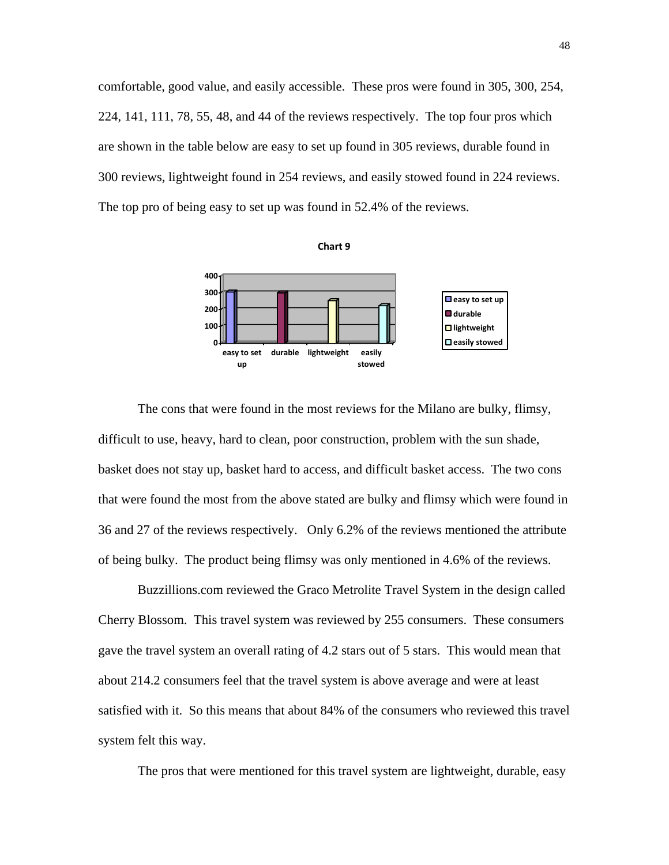comfortable, good value, and easily accessible. These pros were found in 305, 300, 254, 224, 141, 111, 78, 55, 48, and 44 of the reviews respectively. The top four pros which are shown in the table below are easy to set up found in 305 reviews, durable found in 300 reviews, lightweight found in 254 reviews, and easily stowed found in 224 reviews. The top pro of being easy to set up was found in 52.4% of the reviews.





 The cons that were found in the most reviews for the Milano are bulky, flimsy, difficult to use, heavy, hard to clean, poor construction, problem with the sun shade, basket does not stay up, basket hard to access, and difficult basket access. The two cons that were found the most from the above stated are bulky and flimsy which were found in 36 and 27 of the reviews respectively. Only 6.2% of the reviews mentioned the attribute of being bulky. The product being flimsy was only mentioned in 4.6% of the reviews.

 Buzzillions.com reviewed the Graco Metrolite Travel System in the design called Cherry Blossom. This travel system was reviewed by 255 consumers. These consumers gave the travel system an overall rating of 4.2 stars out of 5 stars. This would mean that about 214.2 consumers feel that the travel system is above average and were at least satisfied with it. So this means that about 84% of the consumers who reviewed this travel system felt this way.

The pros that were mentioned for this travel system are lightweight, durable, easy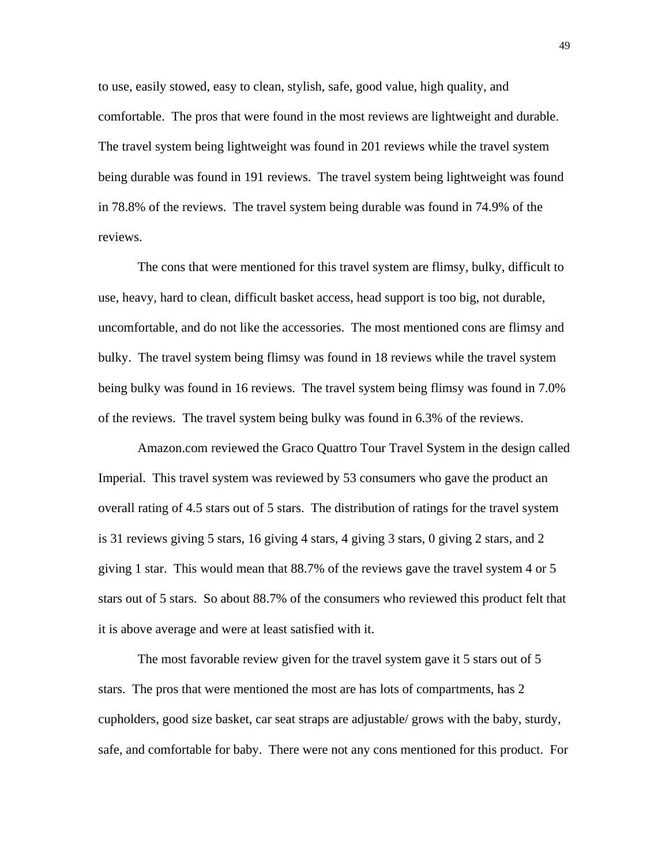to use, easily stowed, easy to clean, stylish, safe, good value, high quality, and comfortable. The pros that were found in the most reviews are lightweight and durable. The travel system being lightweight was found in 201 reviews while the travel system being durable was found in 191 reviews. The travel system being lightweight was found in 78.8% of the reviews. The travel system being durable was found in 74.9% of the reviews.

 The cons that were mentioned for this travel system are flimsy, bulky, difficult to use, heavy, hard to clean, difficult basket access, head support is too big, not durable, uncomfortable, and do not like the accessories. The most mentioned cons are flimsy and bulky. The travel system being flimsy was found in 18 reviews while the travel system being bulky was found in 16 reviews. The travel system being flimsy was found in 7.0% of the reviews. The travel system being bulky was found in 6.3% of the reviews.

 Amazon.com reviewed the Graco Quattro Tour Travel System in the design called Imperial. This travel system was reviewed by 53 consumers who gave the product an overall rating of 4.5 stars out of 5 stars. The distribution of ratings for the travel system is 31 reviews giving 5 stars, 16 giving 4 stars, 4 giving 3 stars, 0 giving 2 stars, and 2 giving 1 star. This would mean that 88.7% of the reviews gave the travel system 4 or 5 stars out of 5 stars. So about 88.7% of the consumers who reviewed this product felt that it is above average and were at least satisfied with it.

 The most favorable review given for the travel system gave it 5 stars out of 5 stars. The pros that were mentioned the most are has lots of compartments, has 2 cupholders, good size basket, car seat straps are adjustable/ grows with the baby, sturdy, safe, and comfortable for baby. There were not any cons mentioned for this product. For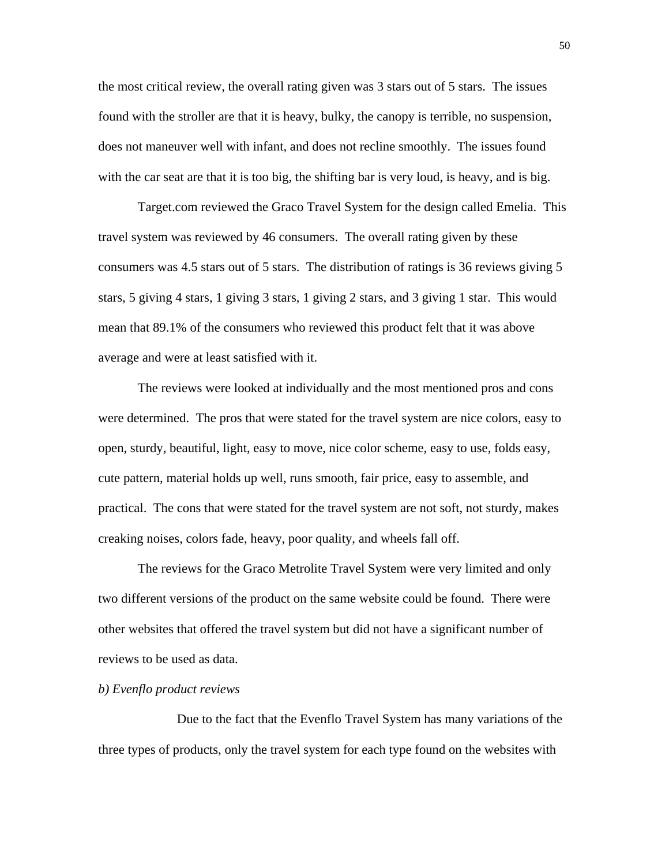the most critical review, the overall rating given was 3 stars out of 5 stars. The issues found with the stroller are that it is heavy, bulky, the canopy is terrible, no suspension, does not maneuver well with infant, and does not recline smoothly. The issues found with the car seat are that it is too big, the shifting bar is very loud, is heavy, and is big.

 Target.com reviewed the Graco Travel System for the design called Emelia. This travel system was reviewed by 46 consumers. The overall rating given by these consumers was 4.5 stars out of 5 stars. The distribution of ratings is 36 reviews giving 5 stars, 5 giving 4 stars, 1 giving 3 stars, 1 giving 2 stars, and 3 giving 1 star. This would mean that 89.1% of the consumers who reviewed this product felt that it was above average and were at least satisfied with it.

 The reviews were looked at individually and the most mentioned pros and cons were determined. The pros that were stated for the travel system are nice colors, easy to open, sturdy, beautiful, light, easy to move, nice color scheme, easy to use, folds easy, cute pattern, material holds up well, runs smooth, fair price, easy to assemble, and practical. The cons that were stated for the travel system are not soft, not sturdy, makes creaking noises, colors fade, heavy, poor quality, and wheels fall off.

 The reviews for the Graco Metrolite Travel System were very limited and only two different versions of the product on the same website could be found. There were other websites that offered the travel system but did not have a significant number of reviews to be used as data.

# *b) Evenflo product reviews*

 Due to the fact that the Evenflo Travel System has many variations of the three types of products, only the travel system for each type found on the websites with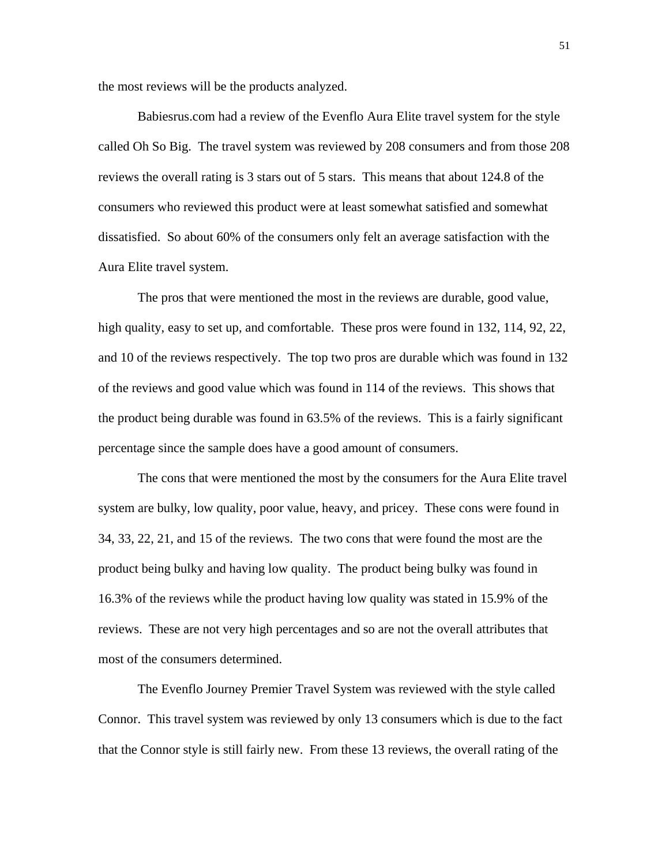the most reviews will be the products analyzed.

 Babiesrus.com had a review of the Evenflo Aura Elite travel system for the style called Oh So Big. The travel system was reviewed by 208 consumers and from those 208 reviews the overall rating is 3 stars out of 5 stars. This means that about 124.8 of the consumers who reviewed this product were at least somewhat satisfied and somewhat dissatisfied. So about 60% of the consumers only felt an average satisfaction with the Aura Elite travel system.

 The pros that were mentioned the most in the reviews are durable, good value, high quality, easy to set up, and comfortable. These pros were found in 132, 114, 92, 22, and 10 of the reviews respectively. The top two pros are durable which was found in 132 of the reviews and good value which was found in 114 of the reviews. This shows that the product being durable was found in 63.5% of the reviews. This is a fairly significant percentage since the sample does have a good amount of consumers.

 The cons that were mentioned the most by the consumers for the Aura Elite travel system are bulky, low quality, poor value, heavy, and pricey. These cons were found in 34, 33, 22, 21, and 15 of the reviews. The two cons that were found the most are the product being bulky and having low quality. The product being bulky was found in 16.3% of the reviews while the product having low quality was stated in 15.9% of the reviews. These are not very high percentages and so are not the overall attributes that most of the consumers determined.

 The Evenflo Journey Premier Travel System was reviewed with the style called Connor. This travel system was reviewed by only 13 consumers which is due to the fact that the Connor style is still fairly new. From these 13 reviews, the overall rating of the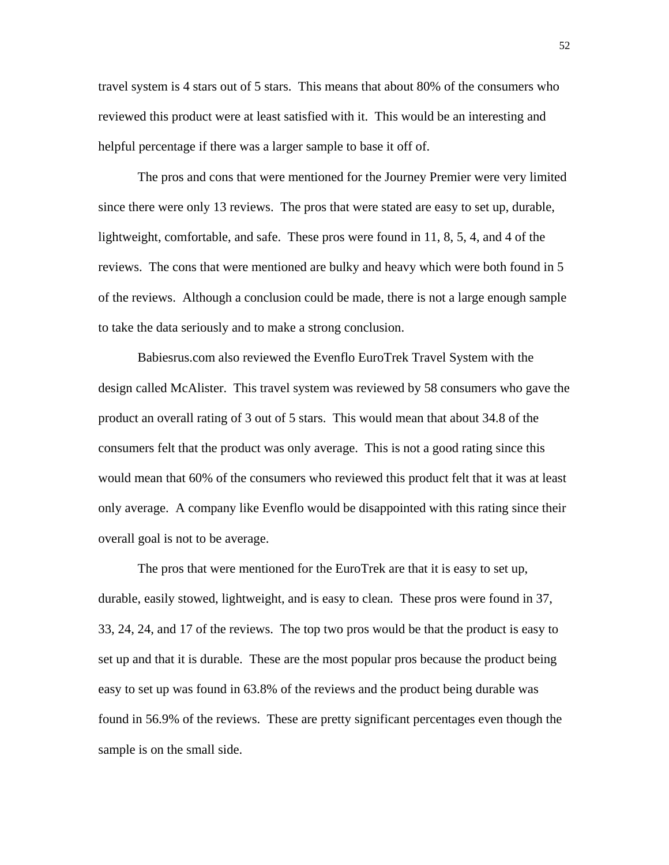travel system is 4 stars out of 5 stars. This means that about 80% of the consumers who reviewed this product were at least satisfied with it. This would be an interesting and helpful percentage if there was a larger sample to base it off of.

 The pros and cons that were mentioned for the Journey Premier were very limited since there were only 13 reviews. The pros that were stated are easy to set up, durable, lightweight, comfortable, and safe. These pros were found in 11, 8, 5, 4, and 4 of the reviews. The cons that were mentioned are bulky and heavy which were both found in 5 of the reviews. Although a conclusion could be made, there is not a large enough sample to take the data seriously and to make a strong conclusion.

 Babiesrus.com also reviewed the Evenflo EuroTrek Travel System with the design called McAlister. This travel system was reviewed by 58 consumers who gave the product an overall rating of 3 out of 5 stars. This would mean that about 34.8 of the consumers felt that the product was only average. This is not a good rating since this would mean that 60% of the consumers who reviewed this product felt that it was at least only average. A company like Evenflo would be disappointed with this rating since their overall goal is not to be average.

 The pros that were mentioned for the EuroTrek are that it is easy to set up, durable, easily stowed, lightweight, and is easy to clean. These pros were found in 37, 33, 24, 24, and 17 of the reviews. The top two pros would be that the product is easy to set up and that it is durable. These are the most popular pros because the product being easy to set up was found in 63.8% of the reviews and the product being durable was found in 56.9% of the reviews. These are pretty significant percentages even though the sample is on the small side.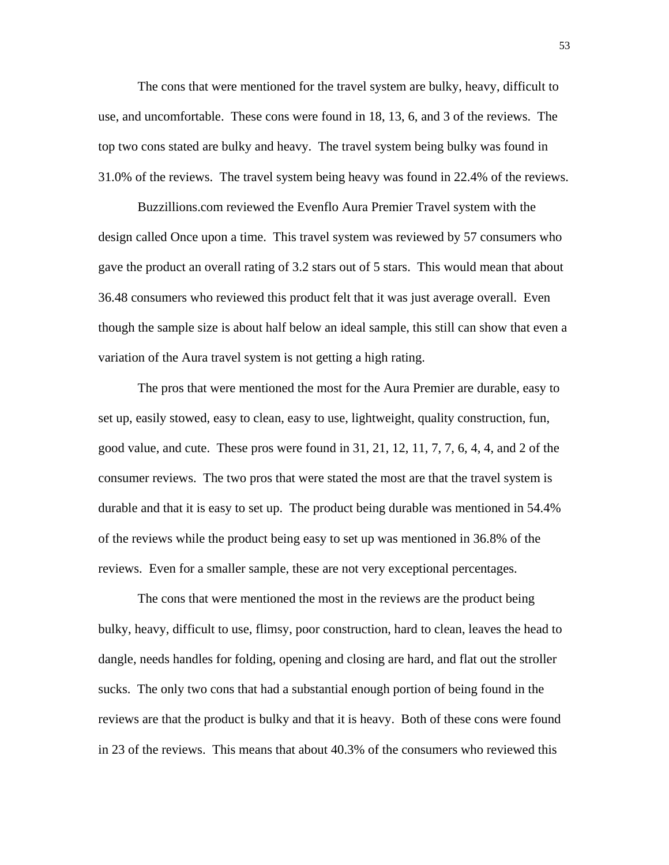The cons that were mentioned for the travel system are bulky, heavy, difficult to use, and uncomfortable. These cons were found in 18, 13, 6, and 3 of the reviews. The top two cons stated are bulky and heavy. The travel system being bulky was found in 31.0% of the reviews. The travel system being heavy was found in 22.4% of the reviews.

 Buzzillions.com reviewed the Evenflo Aura Premier Travel system with the design called Once upon a time. This travel system was reviewed by 57 consumers who gave the product an overall rating of 3.2 stars out of 5 stars. This would mean that about 36.48 consumers who reviewed this product felt that it was just average overall. Even though the sample size is about half below an ideal sample, this still can show that even a variation of the Aura travel system is not getting a high rating.

 The pros that were mentioned the most for the Aura Premier are durable, easy to set up, easily stowed, easy to clean, easy to use, lightweight, quality construction, fun, good value, and cute. These pros were found in 31, 21, 12, 11, 7, 7, 6, 4, 4, and 2 of the consumer reviews. The two pros that were stated the most are that the travel system is durable and that it is easy to set up. The product being durable was mentioned in 54.4% of the reviews while the product being easy to set up was mentioned in 36.8% of the reviews. Even for a smaller sample, these are not very exceptional percentages.

 The cons that were mentioned the most in the reviews are the product being bulky, heavy, difficult to use, flimsy, poor construction, hard to clean, leaves the head to dangle, needs handles for folding, opening and closing are hard, and flat out the stroller sucks. The only two cons that had a substantial enough portion of being found in the reviews are that the product is bulky and that it is heavy. Both of these cons were found in 23 of the reviews. This means that about 40.3% of the consumers who reviewed this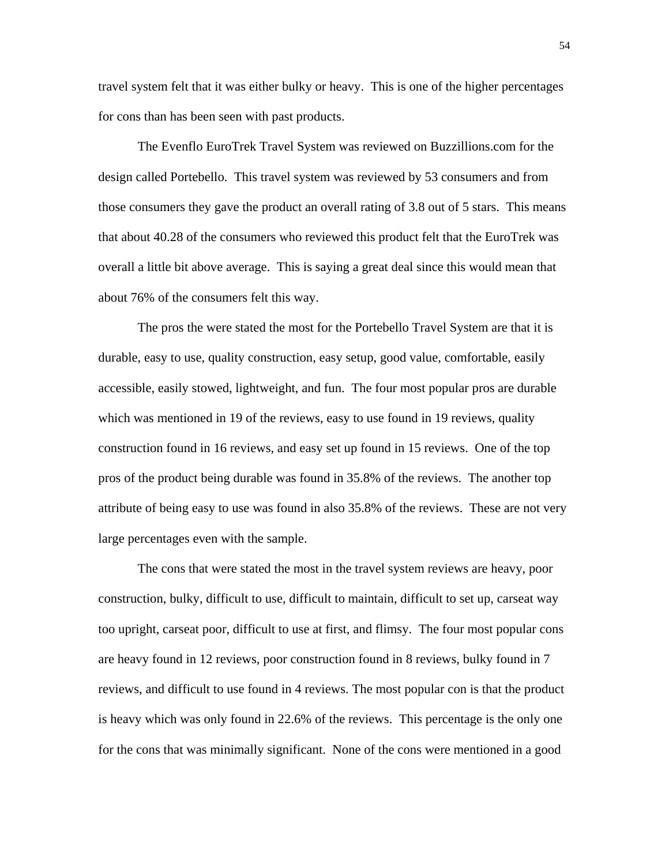travel system felt that it was either bulky or heavy. This is one of the higher percentages for cons than has been seen with past products.

 The Evenflo EuroTrek Travel System was reviewed on Buzzillions.com for the design called Portebello. This travel system was reviewed by 53 consumers and from those consumers they gave the product an overall rating of 3.8 out of 5 stars. This means that about 40.28 of the consumers who reviewed this product felt that the EuroTrek was overall a little bit above average. This is saying a great deal since this would mean that about 76% of the consumers felt this way.

 The pros the were stated the most for the Portebello Travel System are that it is durable, easy to use, quality construction, easy setup, good value, comfortable, easily accessible, easily stowed, lightweight, and fun. The four most popular pros are durable which was mentioned in 19 of the reviews, easy to use found in 19 reviews, quality construction found in 16 reviews, and easy set up found in 15 reviews. One of the top pros of the product being durable was found in 35.8% of the reviews. The another top attribute of being easy to use was found in also 35.8% of the reviews. These are not very large percentages even with the sample.

The cons that were stated the most in the travel system reviews are heavy, poor construction, bulky, difficult to use, difficult to maintain, difficult to set up, carseat way too upright, carseat poor, difficult to use at first, and flimsy. The four most popular cons are heavy found in 12 reviews, poor construction found in 8 reviews, bulky found in 7 reviews, and difficult to use found in 4 reviews. The most popular con is that the product is heavy which was only found in 22.6% of the reviews. This percentage is the only one for the cons that was minimally significant. None of the cons were mentioned in a good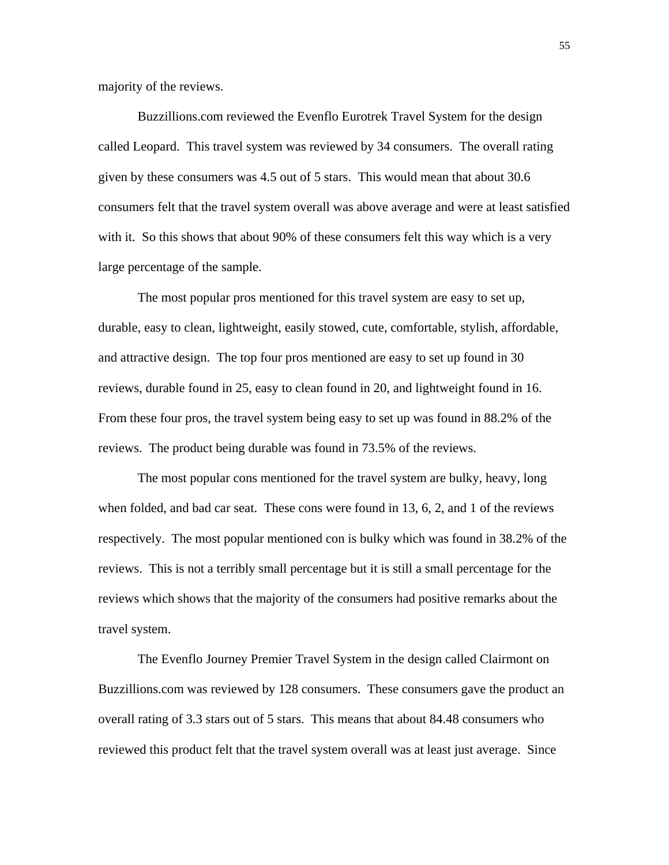majority of the reviews.

 Buzzillions.com reviewed the Evenflo Eurotrek Travel System for the design called Leopard. This travel system was reviewed by 34 consumers. The overall rating given by these consumers was 4.5 out of 5 stars. This would mean that about 30.6 consumers felt that the travel system overall was above average and were at least satisfied with it. So this shows that about 90% of these consumers felt this way which is a very large percentage of the sample.

 The most popular pros mentioned for this travel system are easy to set up, durable, easy to clean, lightweight, easily stowed, cute, comfortable, stylish, affordable, and attractive design. The top four pros mentioned are easy to set up found in 30 reviews, durable found in 25, easy to clean found in 20, and lightweight found in 16. From these four pros, the travel system being easy to set up was found in 88.2% of the reviews. The product being durable was found in 73.5% of the reviews.

 The most popular cons mentioned for the travel system are bulky, heavy, long when folded, and bad car seat. These cons were found in 13, 6, 2, and 1 of the reviews respectively. The most popular mentioned con is bulky which was found in 38.2% of the reviews. This is not a terribly small percentage but it is still a small percentage for the reviews which shows that the majority of the consumers had positive remarks about the travel system.

 The Evenflo Journey Premier Travel System in the design called Clairmont on Buzzillions.com was reviewed by 128 consumers. These consumers gave the product an overall rating of 3.3 stars out of 5 stars. This means that about 84.48 consumers who reviewed this product felt that the travel system overall was at least just average. Since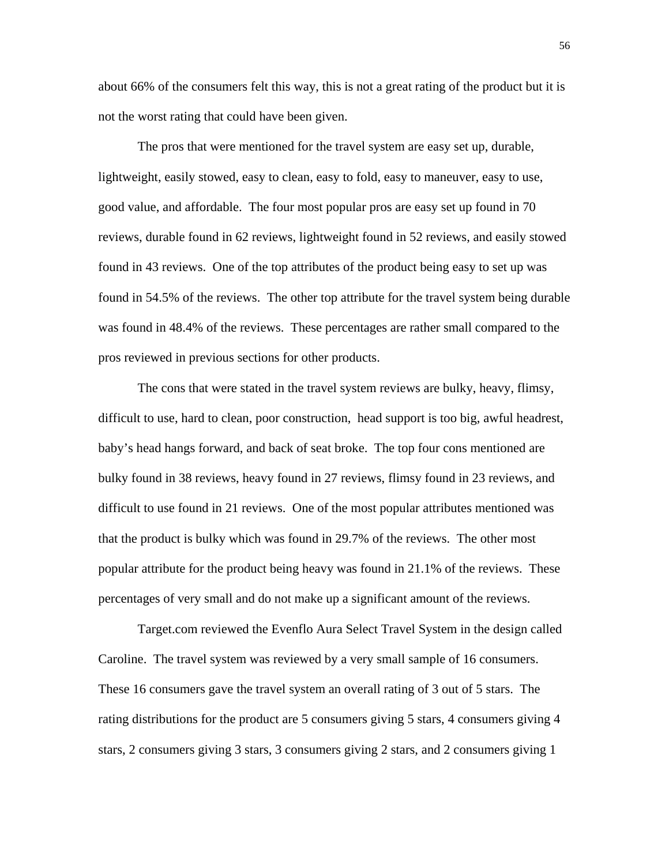about 66% of the consumers felt this way, this is not a great rating of the product but it is not the worst rating that could have been given.

 The pros that were mentioned for the travel system are easy set up, durable, lightweight, easily stowed, easy to clean, easy to fold, easy to maneuver, easy to use, good value, and affordable. The four most popular pros are easy set up found in 70 reviews, durable found in 62 reviews, lightweight found in 52 reviews, and easily stowed found in 43 reviews. One of the top attributes of the product being easy to set up was found in 54.5% of the reviews. The other top attribute for the travel system being durable was found in 48.4% of the reviews. These percentages are rather small compared to the pros reviewed in previous sections for other products.

 The cons that were stated in the travel system reviews are bulky, heavy, flimsy, difficult to use, hard to clean, poor construction, head support is too big, awful headrest, baby's head hangs forward, and back of seat broke. The top four cons mentioned are bulky found in 38 reviews, heavy found in 27 reviews, flimsy found in 23 reviews, and difficult to use found in 21 reviews. One of the most popular attributes mentioned was that the product is bulky which was found in 29.7% of the reviews. The other most popular attribute for the product being heavy was found in 21.1% of the reviews. These percentages of very small and do not make up a significant amount of the reviews.

 Target.com reviewed the Evenflo Aura Select Travel System in the design called Caroline. The travel system was reviewed by a very small sample of 16 consumers. These 16 consumers gave the travel system an overall rating of 3 out of 5 stars. The rating distributions for the product are 5 consumers giving 5 stars, 4 consumers giving 4 stars, 2 consumers giving 3 stars, 3 consumers giving 2 stars, and 2 consumers giving 1

56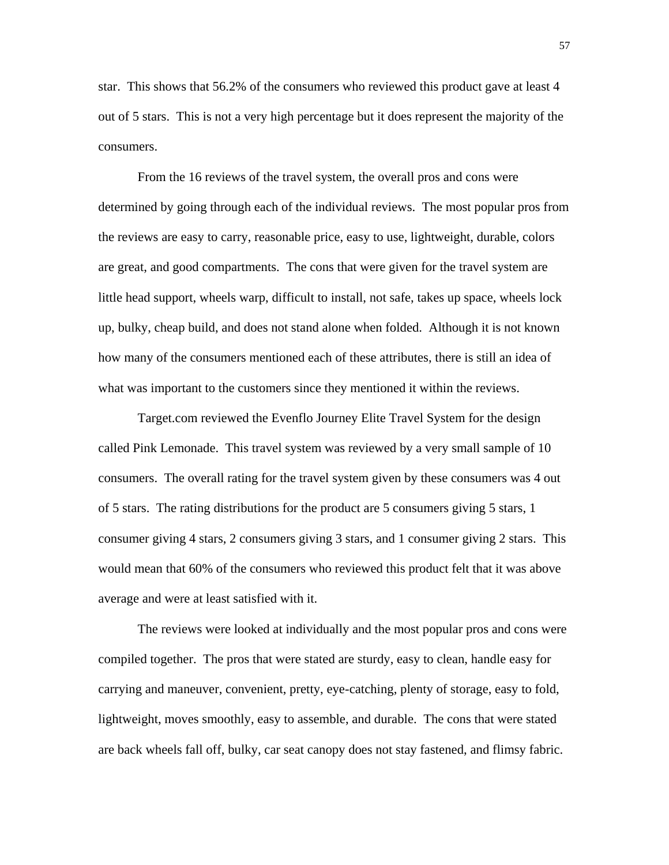star. This shows that 56.2% of the consumers who reviewed this product gave at least 4 out of 5 stars. This is not a very high percentage but it does represent the majority of the consumers.

 From the 16 reviews of the travel system, the overall pros and cons were determined by going through each of the individual reviews. The most popular pros from the reviews are easy to carry, reasonable price, easy to use, lightweight, durable, colors are great, and good compartments. The cons that were given for the travel system are little head support, wheels warp, difficult to install, not safe, takes up space, wheels lock up, bulky, cheap build, and does not stand alone when folded. Although it is not known how many of the consumers mentioned each of these attributes, there is still an idea of what was important to the customers since they mentioned it within the reviews.

 Target.com reviewed the Evenflo Journey Elite Travel System for the design called Pink Lemonade. This travel system was reviewed by a very small sample of 10 consumers. The overall rating for the travel system given by these consumers was 4 out of 5 stars. The rating distributions for the product are 5 consumers giving 5 stars, 1 consumer giving 4 stars, 2 consumers giving 3 stars, and 1 consumer giving 2 stars. This would mean that 60% of the consumers who reviewed this product felt that it was above average and were at least satisfied with it.

 The reviews were looked at individually and the most popular pros and cons were compiled together. The pros that were stated are sturdy, easy to clean, handle easy for carrying and maneuver, convenient, pretty, eye-catching, plenty of storage, easy to fold, lightweight, moves smoothly, easy to assemble, and durable. The cons that were stated are back wheels fall off, bulky, car seat canopy does not stay fastened, and flimsy fabric.

57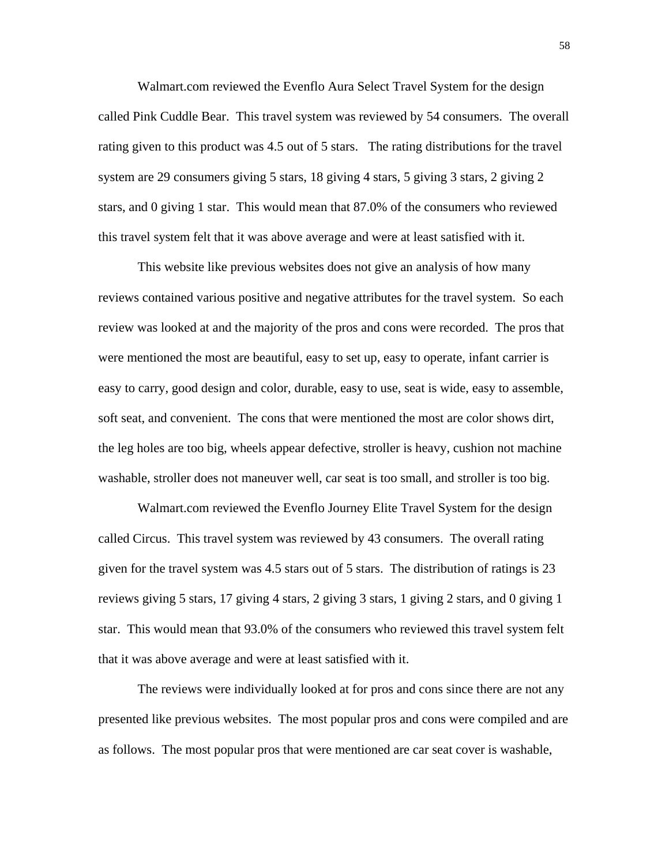Walmart.com reviewed the Evenflo Aura Select Travel System for the design called Pink Cuddle Bear. This travel system was reviewed by 54 consumers. The overall rating given to this product was 4.5 out of 5 stars. The rating distributions for the travel system are 29 consumers giving 5 stars, 18 giving 4 stars, 5 giving 3 stars, 2 giving 2 stars, and 0 giving 1 star. This would mean that 87.0% of the consumers who reviewed this travel system felt that it was above average and were at least satisfied with it.

 This website like previous websites does not give an analysis of how many reviews contained various positive and negative attributes for the travel system. So each review was looked at and the majority of the pros and cons were recorded. The pros that were mentioned the most are beautiful, easy to set up, easy to operate, infant carrier is easy to carry, good design and color, durable, easy to use, seat is wide, easy to assemble, soft seat, and convenient. The cons that were mentioned the most are color shows dirt, the leg holes are too big, wheels appear defective, stroller is heavy, cushion not machine washable, stroller does not maneuver well, car seat is too small, and stroller is too big.

 Walmart.com reviewed the Evenflo Journey Elite Travel System for the design called Circus. This travel system was reviewed by 43 consumers. The overall rating given for the travel system was 4.5 stars out of 5 stars. The distribution of ratings is 23 reviews giving 5 stars, 17 giving 4 stars, 2 giving 3 stars, 1 giving 2 stars, and 0 giving 1 star. This would mean that 93.0% of the consumers who reviewed this travel system felt that it was above average and were at least satisfied with it.

 The reviews were individually looked at for pros and cons since there are not any presented like previous websites. The most popular pros and cons were compiled and are as follows. The most popular pros that were mentioned are car seat cover is washable,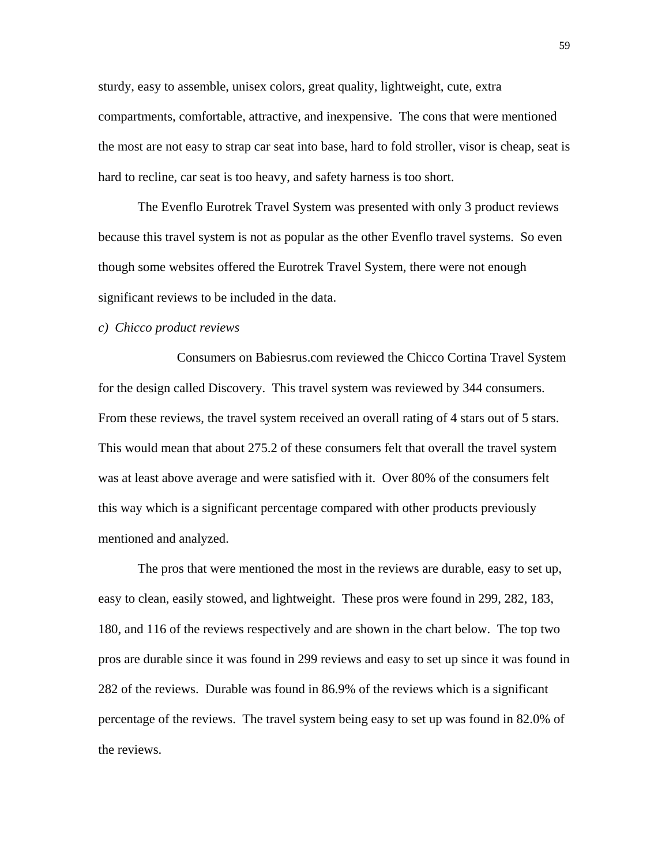sturdy, easy to assemble, unisex colors, great quality, lightweight, cute, extra compartments, comfortable, attractive, and inexpensive. The cons that were mentioned the most are not easy to strap car seat into base, hard to fold stroller, visor is cheap, seat is hard to recline, car seat is too heavy, and safety harness is too short.

 The Evenflo Eurotrek Travel System was presented with only 3 product reviews because this travel system is not as popular as the other Evenflo travel systems. So even though some websites offered the Eurotrek Travel System, there were not enough significant reviews to be included in the data.

## *c) Chicco product reviews*

 Consumers on Babiesrus.com reviewed the Chicco Cortina Travel System for the design called Discovery. This travel system was reviewed by 344 consumers. From these reviews, the travel system received an overall rating of 4 stars out of 5 stars. This would mean that about 275.2 of these consumers felt that overall the travel system was at least above average and were satisfied with it. Over 80% of the consumers felt this way which is a significant percentage compared with other products previously mentioned and analyzed.

 The pros that were mentioned the most in the reviews are durable, easy to set up, easy to clean, easily stowed, and lightweight. These pros were found in 299, 282, 183, 180, and 116 of the reviews respectively and are shown in the chart below. The top two pros are durable since it was found in 299 reviews and easy to set up since it was found in 282 of the reviews. Durable was found in 86.9% of the reviews which is a significant percentage of the reviews. The travel system being easy to set up was found in 82.0% of the reviews.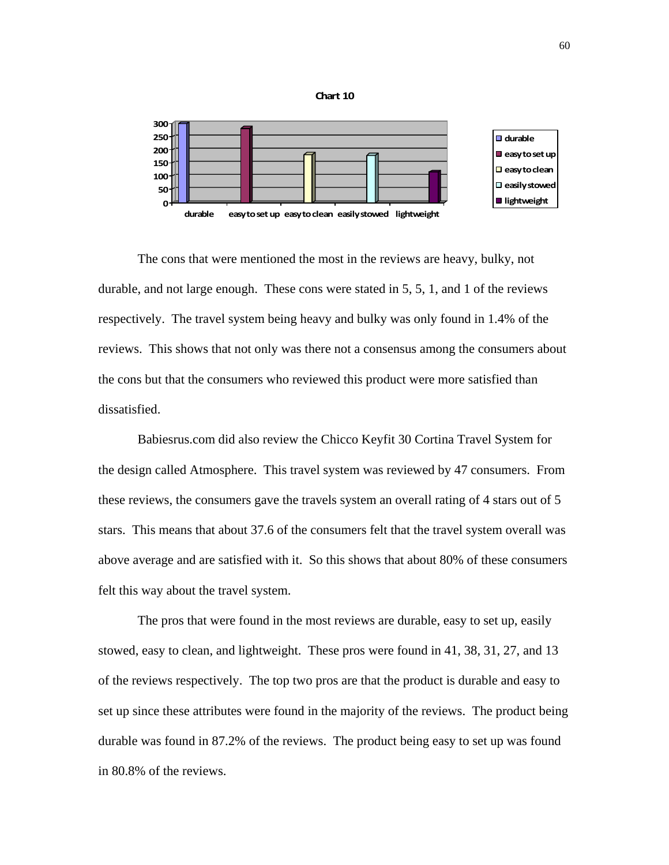



The cons that were mentioned the most in the reviews are heavy, bulky, not durable, and not large enough. These cons were stated in 5, 5, 1, and 1 of the reviews respectively. The travel system being heavy and bulky was only found in 1.4% of the reviews. This shows that not only was there not a consensus among the consumers about the cons but that the consumers who reviewed this product were more satisfied than dissatisfied.

 Babiesrus.com did also review the Chicco Keyfit 30 Cortina Travel System for the design called Atmosphere. This travel system was reviewed by 47 consumers. From these reviews, the consumers gave the travels system an overall rating of 4 stars out of 5 stars. This means that about 37.6 of the consumers felt that the travel system overall was above average and are satisfied with it. So this shows that about 80% of these consumers felt this way about the travel system.

 The pros that were found in the most reviews are durable, easy to set up, easily stowed, easy to clean, and lightweight. These pros were found in 41, 38, 31, 27, and 13 of the reviews respectively. The top two pros are that the product is durable and easy to set up since these attributes were found in the majority of the reviews. The product being durable was found in 87.2% of the reviews. The product being easy to set up was found in 80.8% of the reviews.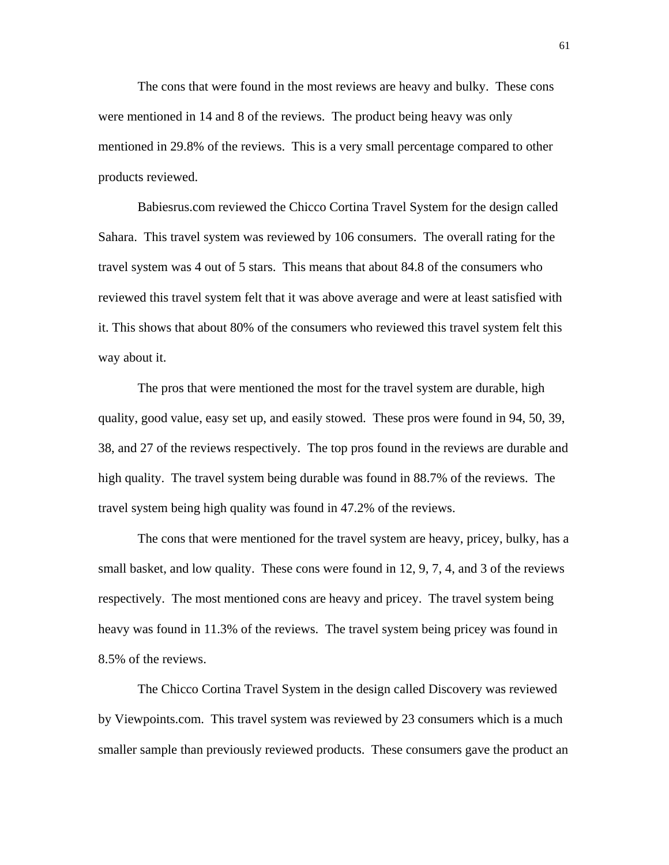The cons that were found in the most reviews are heavy and bulky. These cons were mentioned in 14 and 8 of the reviews. The product being heavy was only mentioned in 29.8% of the reviews. This is a very small percentage compared to other products reviewed.

 Babiesrus.com reviewed the Chicco Cortina Travel System for the design called Sahara. This travel system was reviewed by 106 consumers. The overall rating for the travel system was 4 out of 5 stars. This means that about 84.8 of the consumers who reviewed this travel system felt that it was above average and were at least satisfied with it. This shows that about 80% of the consumers who reviewed this travel system felt this way about it.

 The pros that were mentioned the most for the travel system are durable, high quality, good value, easy set up, and easily stowed. These pros were found in 94, 50, 39, 38, and 27 of the reviews respectively. The top pros found in the reviews are durable and high quality. The travel system being durable was found in 88.7% of the reviews. The travel system being high quality was found in 47.2% of the reviews.

 The cons that were mentioned for the travel system are heavy, pricey, bulky, has a small basket, and low quality. These cons were found in 12, 9, 7, 4, and 3 of the reviews respectively. The most mentioned cons are heavy and pricey. The travel system being heavy was found in 11.3% of the reviews. The travel system being pricey was found in 8.5% of the reviews.

 The Chicco Cortina Travel System in the design called Discovery was reviewed by Viewpoints.com. This travel system was reviewed by 23 consumers which is a much smaller sample than previously reviewed products. These consumers gave the product an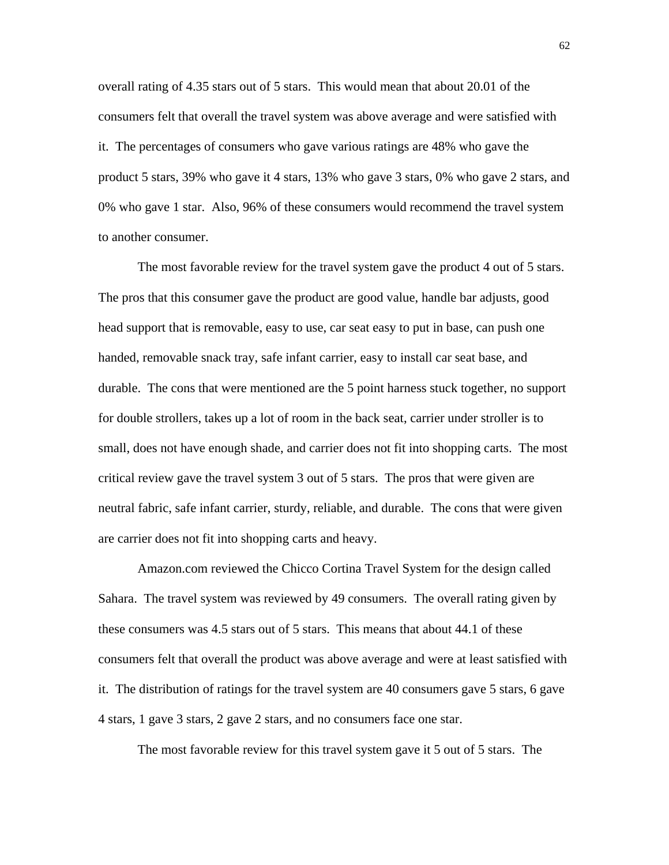overall rating of 4.35 stars out of 5 stars. This would mean that about 20.01 of the consumers felt that overall the travel system was above average and were satisfied with it. The percentages of consumers who gave various ratings are 48% who gave the product 5 stars, 39% who gave it 4 stars, 13% who gave 3 stars, 0% who gave 2 stars, and 0% who gave 1 star. Also, 96% of these consumers would recommend the travel system to another consumer.

 The most favorable review for the travel system gave the product 4 out of 5 stars. The pros that this consumer gave the product are good value, handle bar adjusts, good head support that is removable, easy to use, car seat easy to put in base, can push one handed, removable snack tray, safe infant carrier, easy to install car seat base, and durable. The cons that were mentioned are the 5 point harness stuck together, no support for double strollers, takes up a lot of room in the back seat, carrier under stroller is to small, does not have enough shade, and carrier does not fit into shopping carts. The most critical review gave the travel system 3 out of 5 stars. The pros that were given are neutral fabric, safe infant carrier, sturdy, reliable, and durable. The cons that were given are carrier does not fit into shopping carts and heavy.

 Amazon.com reviewed the Chicco Cortina Travel System for the design called Sahara. The travel system was reviewed by 49 consumers. The overall rating given by these consumers was 4.5 stars out of 5 stars. This means that about 44.1 of these consumers felt that overall the product was above average and were at least satisfied with it. The distribution of ratings for the travel system are 40 consumers gave 5 stars, 6 gave 4 stars, 1 gave 3 stars, 2 gave 2 stars, and no consumers face one star.

The most favorable review for this travel system gave it 5 out of 5 stars. The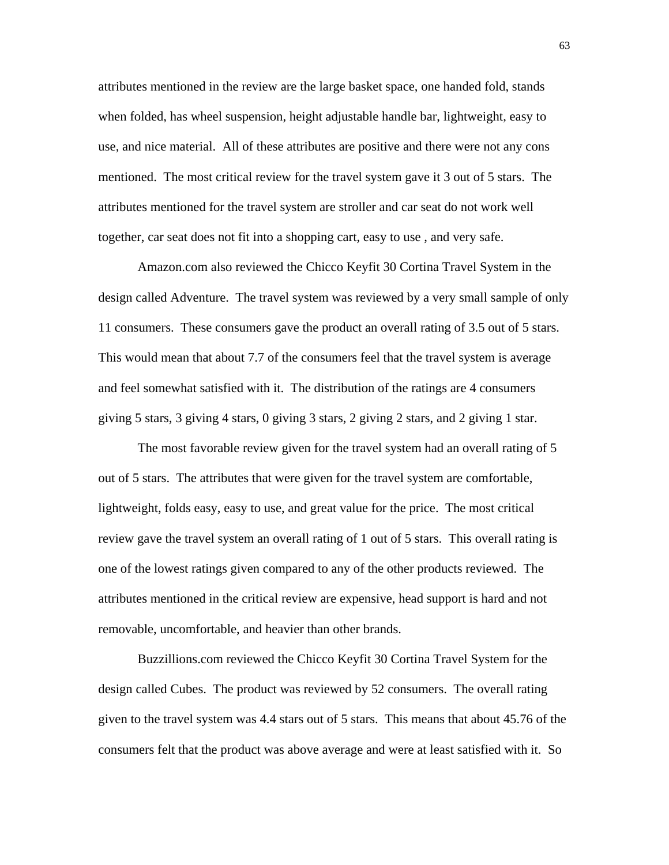attributes mentioned in the review are the large basket space, one handed fold, stands when folded, has wheel suspension, height adjustable handle bar, lightweight, easy to use, and nice material. All of these attributes are positive and there were not any cons mentioned. The most critical review for the travel system gave it 3 out of 5 stars. The attributes mentioned for the travel system are stroller and car seat do not work well together, car seat does not fit into a shopping cart, easy to use , and very safe.

 Amazon.com also reviewed the Chicco Keyfit 30 Cortina Travel System in the design called Adventure. The travel system was reviewed by a very small sample of only 11 consumers. These consumers gave the product an overall rating of 3.5 out of 5 stars. This would mean that about 7.7 of the consumers feel that the travel system is average and feel somewhat satisfied with it. The distribution of the ratings are 4 consumers giving 5 stars, 3 giving 4 stars, 0 giving 3 stars, 2 giving 2 stars, and 2 giving 1 star.

 The most favorable review given for the travel system had an overall rating of 5 out of 5 stars. The attributes that were given for the travel system are comfortable, lightweight, folds easy, easy to use, and great value for the price. The most critical review gave the travel system an overall rating of 1 out of 5 stars. This overall rating is one of the lowest ratings given compared to any of the other products reviewed. The attributes mentioned in the critical review are expensive, head support is hard and not removable, uncomfortable, and heavier than other brands.

 Buzzillions.com reviewed the Chicco Keyfit 30 Cortina Travel System for the design called Cubes. The product was reviewed by 52 consumers. The overall rating given to the travel system was 4.4 stars out of 5 stars. This means that about 45.76 of the consumers felt that the product was above average and were at least satisfied with it. So

63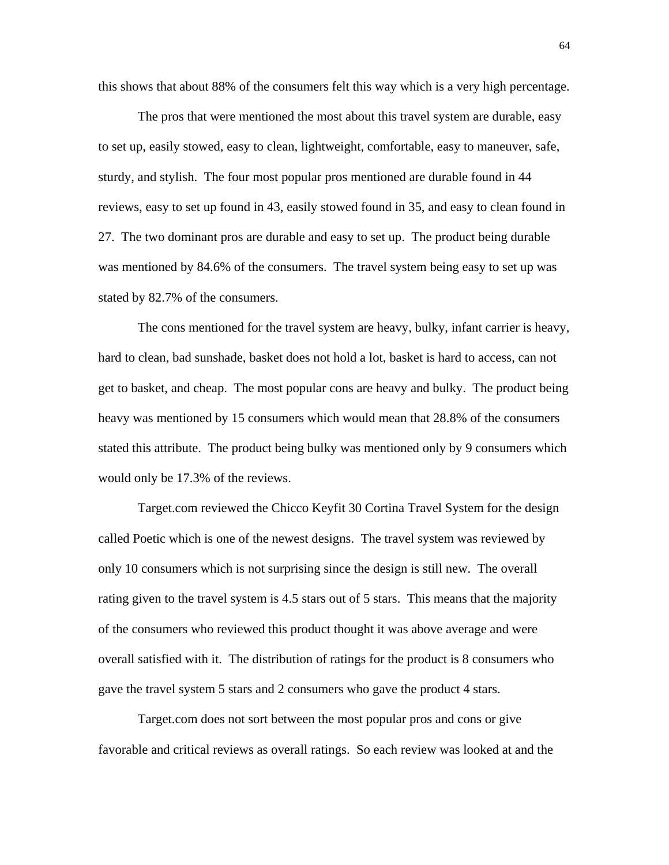this shows that about 88% of the consumers felt this way which is a very high percentage.

 The pros that were mentioned the most about this travel system are durable, easy to set up, easily stowed, easy to clean, lightweight, comfortable, easy to maneuver, safe, sturdy, and stylish. The four most popular pros mentioned are durable found in 44 reviews, easy to set up found in 43, easily stowed found in 35, and easy to clean found in 27. The two dominant pros are durable and easy to set up. The product being durable was mentioned by 84.6% of the consumers. The travel system being easy to set up was stated by 82.7% of the consumers.

 The cons mentioned for the travel system are heavy, bulky, infant carrier is heavy, hard to clean, bad sunshade, basket does not hold a lot, basket is hard to access, can not get to basket, and cheap. The most popular cons are heavy and bulky. The product being heavy was mentioned by 15 consumers which would mean that 28.8% of the consumers stated this attribute. The product being bulky was mentioned only by 9 consumers which would only be 17.3% of the reviews.

 Target.com reviewed the Chicco Keyfit 30 Cortina Travel System for the design called Poetic which is one of the newest designs. The travel system was reviewed by only 10 consumers which is not surprising since the design is still new. The overall rating given to the travel system is 4.5 stars out of 5 stars. This means that the majority of the consumers who reviewed this product thought it was above average and were overall satisfied with it. The distribution of ratings for the product is 8 consumers who gave the travel system 5 stars and 2 consumers who gave the product 4 stars.

 Target.com does not sort between the most popular pros and cons or give favorable and critical reviews as overall ratings. So each review was looked at and the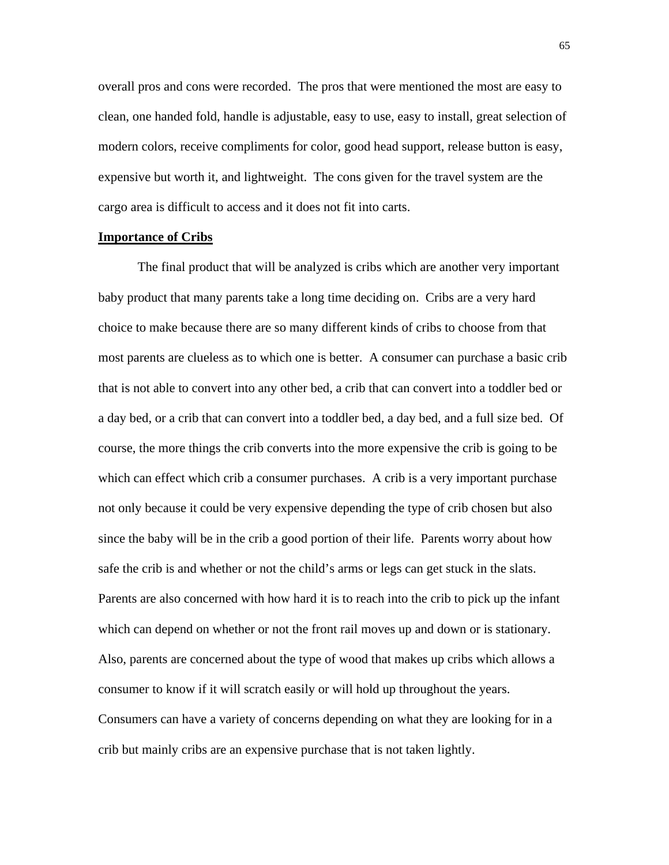overall pros and cons were recorded. The pros that were mentioned the most are easy to clean, one handed fold, handle is adjustable, easy to use, easy to install, great selection of modern colors, receive compliments for color, good head support, release button is easy, expensive but worth it, and lightweight. The cons given for the travel system are the cargo area is difficult to access and it does not fit into carts.

# **Importance of Cribs**

 The final product that will be analyzed is cribs which are another very important baby product that many parents take a long time deciding on. Cribs are a very hard choice to make because there are so many different kinds of cribs to choose from that most parents are clueless as to which one is better. A consumer can purchase a basic crib that is not able to convert into any other bed, a crib that can convert into a toddler bed or a day bed, or a crib that can convert into a toddler bed, a day bed, and a full size bed. Of course, the more things the crib converts into the more expensive the crib is going to be which can effect which crib a consumer purchases. A crib is a very important purchase not only because it could be very expensive depending the type of crib chosen but also since the baby will be in the crib a good portion of their life. Parents worry about how safe the crib is and whether or not the child's arms or legs can get stuck in the slats. Parents are also concerned with how hard it is to reach into the crib to pick up the infant which can depend on whether or not the front rail moves up and down or is stationary. Also, parents are concerned about the type of wood that makes up cribs which allows a consumer to know if it will scratch easily or will hold up throughout the years. Consumers can have a variety of concerns depending on what they are looking for in a crib but mainly cribs are an expensive purchase that is not taken lightly.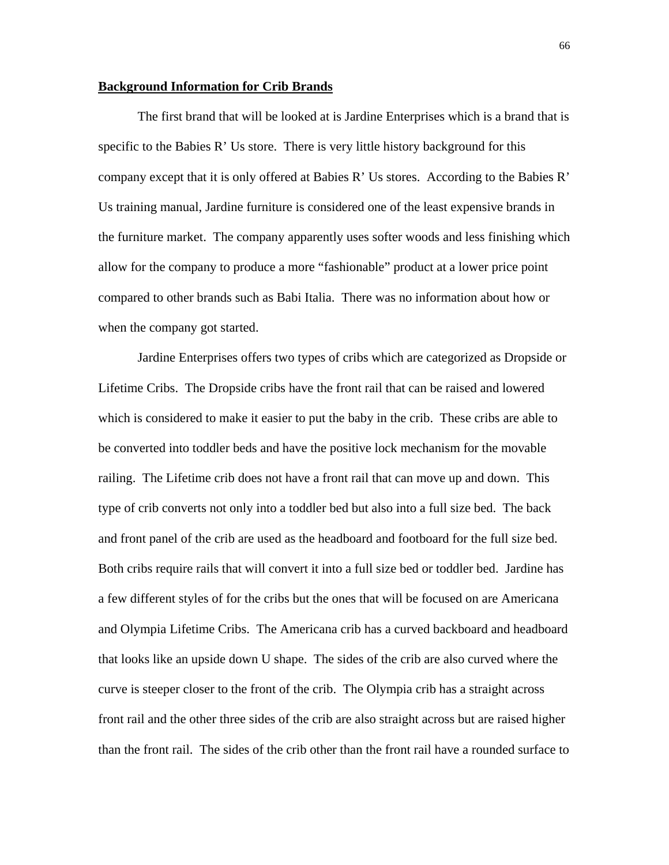#### **Background Information for Crib Brands**

 The first brand that will be looked at is Jardine Enterprises which is a brand that is specific to the Babies R' Us store. There is very little history background for this company except that it is only offered at Babies R' Us stores. According to the Babies R' Us training manual, Jardine furniture is considered one of the least expensive brands in the furniture market. The company apparently uses softer woods and less finishing which allow for the company to produce a more "fashionable" product at a lower price point compared to other brands such as Babi Italia. There was no information about how or when the company got started.

 Jardine Enterprises offers two types of cribs which are categorized as Dropside or Lifetime Cribs. The Dropside cribs have the front rail that can be raised and lowered which is considered to make it easier to put the baby in the crib. These cribs are able to be converted into toddler beds and have the positive lock mechanism for the movable railing. The Lifetime crib does not have a front rail that can move up and down. This type of crib converts not only into a toddler bed but also into a full size bed. The back and front panel of the crib are used as the headboard and footboard for the full size bed. Both cribs require rails that will convert it into a full size bed or toddler bed. Jardine has a few different styles of for the cribs but the ones that will be focused on are Americana and Olympia Lifetime Cribs. The Americana crib has a curved backboard and headboard that looks like an upside down U shape. The sides of the crib are also curved where the curve is steeper closer to the front of the crib. The Olympia crib has a straight across front rail and the other three sides of the crib are also straight across but are raised higher than the front rail. The sides of the crib other than the front rail have a rounded surface to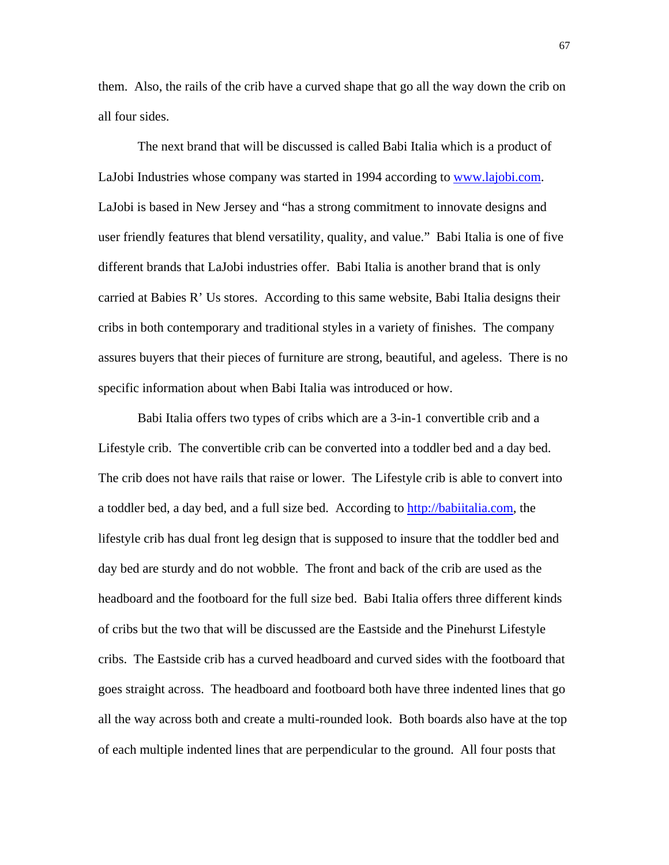them. Also, the rails of the crib have a curved shape that go all the way down the crib on all four sides.

 The next brand that will be discussed is called Babi Italia which is a product of LaJobi Industries whose company was started in 1994 according to [www.lajobi.com](http://www.lajobi.com/). LaJobi is based in New Jersey and "has a strong commitment to innovate designs and user friendly features that blend versatility, quality, and value." Babi Italia is one of five different brands that LaJobi industries offer. Babi Italia is another brand that is only carried at Babies R' Us stores. According to this same website, Babi Italia designs their cribs in both contemporary and traditional styles in a variety of finishes. The company assures buyers that their pieces of furniture are strong, beautiful, and ageless. There is no specific information about when Babi Italia was introduced or how.

 Babi Italia offers two types of cribs which are a 3-in-1 convertible crib and a Lifestyle crib. The convertible crib can be converted into a toddler bed and a day bed. The crib does not have rails that raise or lower. The Lifestyle crib is able to convert into a toddler bed, a day bed, and a full size bed. According to [http://babiitalia.com,](http://babiitalia.com/) the lifestyle crib has dual front leg design that is supposed to insure that the toddler bed and day bed are sturdy and do not wobble. The front and back of the crib are used as the headboard and the footboard for the full size bed. Babi Italia offers three different kinds of cribs but the two that will be discussed are the Eastside and the Pinehurst Lifestyle cribs. The Eastside crib has a curved headboard and curved sides with the footboard that goes straight across. The headboard and footboard both have three indented lines that go all the way across both and create a multi-rounded look. Both boards also have at the top of each multiple indented lines that are perpendicular to the ground. All four posts that

67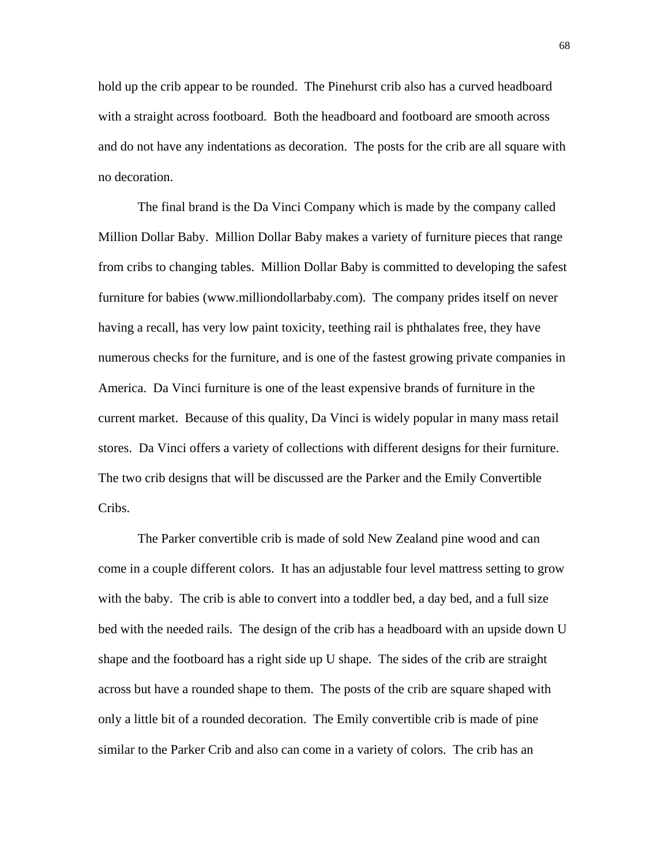hold up the crib appear to be rounded. The Pinehurst crib also has a curved headboard with a straight across footboard. Both the headboard and footboard are smooth across and do not have any indentations as decoration. The posts for the crib are all square with no decoration.

 The final brand is the Da Vinci Company which is made by the company called Million Dollar Baby. Million Dollar Baby makes a variety of furniture pieces that range from cribs to changing tables. Million Dollar Baby is committed to developing the safest furniture for babies (www.milliondollarbaby.com). The company prides itself on never having a recall, has very low paint toxicity, teething rail is phthalates free, they have numerous checks for the furniture, and is one of the fastest growing private companies in America. Da Vinci furniture is one of the least expensive brands of furniture in the current market. Because of this quality, Da Vinci is widely popular in many mass retail stores. Da Vinci offers a variety of collections with different designs for their furniture. The two crib designs that will be discussed are the Parker and the Emily Convertible Cribs.

 The Parker convertible crib is made of sold New Zealand pine wood and can come in a couple different colors. It has an adjustable four level mattress setting to grow with the baby. The crib is able to convert into a toddler bed, a day bed, and a full size bed with the needed rails. The design of the crib has a headboard with an upside down U shape and the footboard has a right side up U shape. The sides of the crib are straight across but have a rounded shape to them. The posts of the crib are square shaped with only a little bit of a rounded decoration. The Emily convertible crib is made of pine similar to the Parker Crib and also can come in a variety of colors. The crib has an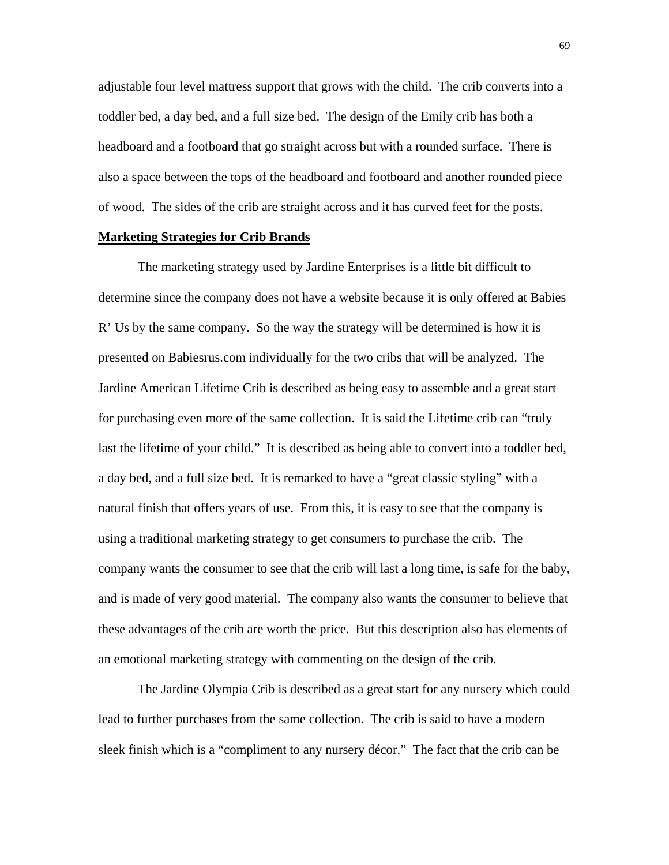adjustable four level mattress support that grows with the child. The crib converts into a toddler bed, a day bed, and a full size bed. The design of the Emily crib has both a headboard and a footboard that go straight across but with a rounded surface. There is also a space between the tops of the headboard and footboard and another rounded piece of wood. The sides of the crib are straight across and it has curved feet for the posts.

# **Marketing Strategies for Crib Brands**

 The marketing strategy used by Jardine Enterprises is a little bit difficult to determine since the company does not have a website because it is only offered at Babies R' Us by the same company. So the way the strategy will be determined is how it is presented on Babiesrus.com individually for the two cribs that will be analyzed. The Jardine American Lifetime Crib is described as being easy to assemble and a great start for purchasing even more of the same collection. It is said the Lifetime crib can "truly last the lifetime of your child." It is described as being able to convert into a toddler bed, a day bed, and a full size bed. It is remarked to have a "great classic styling" with a natural finish that offers years of use. From this, it is easy to see that the company is using a traditional marketing strategy to get consumers to purchase the crib. The company wants the consumer to see that the crib will last a long time, is safe for the baby, and is made of very good material. The company also wants the consumer to believe that these advantages of the crib are worth the price. But this description also has elements of an emotional marketing strategy with commenting on the design of the crib.

 The Jardine Olympia Crib is described as a great start for any nursery which could lead to further purchases from the same collection. The crib is said to have a modern sleek finish which is a "compliment to any nursery décor." The fact that the crib can be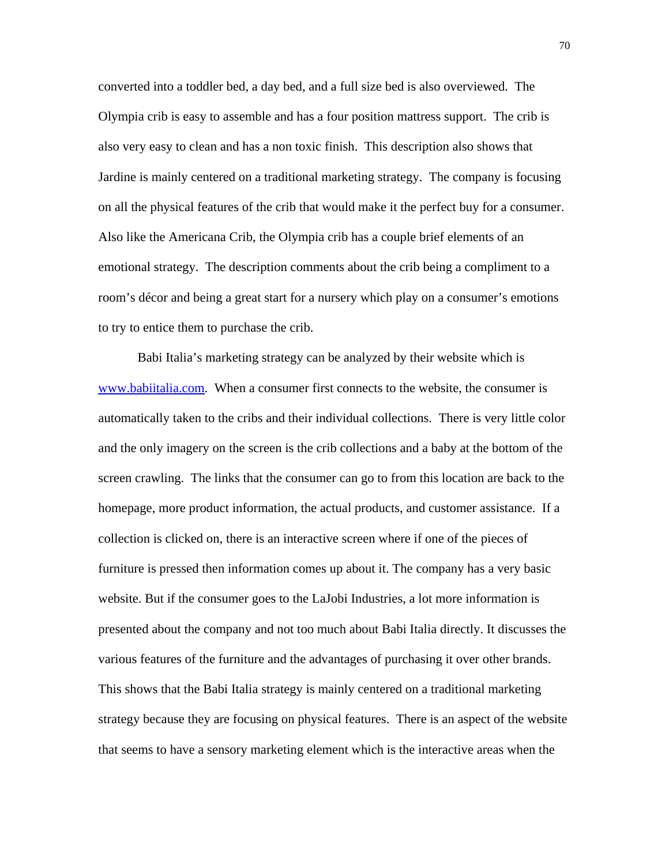converted into a toddler bed, a day bed, and a full size bed is also overviewed. The Olympia crib is easy to assemble and has a four position mattress support. The crib is also very easy to clean and has a non toxic finish. This description also shows that Jardine is mainly centered on a traditional marketing strategy. The company is focusing on all the physical features of the crib that would make it the perfect buy for a consumer. Also like the Americana Crib, the Olympia crib has a couple brief elements of an emotional strategy. The description comments about the crib being a compliment to a room's décor and being a great start for a nursery which play on a consumer's emotions to try to entice them to purchase the crib.

 Babi Italia's marketing strategy can be analyzed by their website which is [www.babiitalia.com](http://www.babiitalia.com/). When a consumer first connects to the website, the consumer is automatically taken to the cribs and their individual collections. There is very little color and the only imagery on the screen is the crib collections and a baby at the bottom of the screen crawling. The links that the consumer can go to from this location are back to the homepage, more product information, the actual products, and customer assistance. If a collection is clicked on, there is an interactive screen where if one of the pieces of furniture is pressed then information comes up about it. The company has a very basic website. But if the consumer goes to the LaJobi Industries, a lot more information is presented about the company and not too much about Babi Italia directly. It discusses the various features of the furniture and the advantages of purchasing it over other brands. This shows that the Babi Italia strategy is mainly centered on a traditional marketing strategy because they are focusing on physical features. There is an aspect of the website that seems to have a sensory marketing element which is the interactive areas when the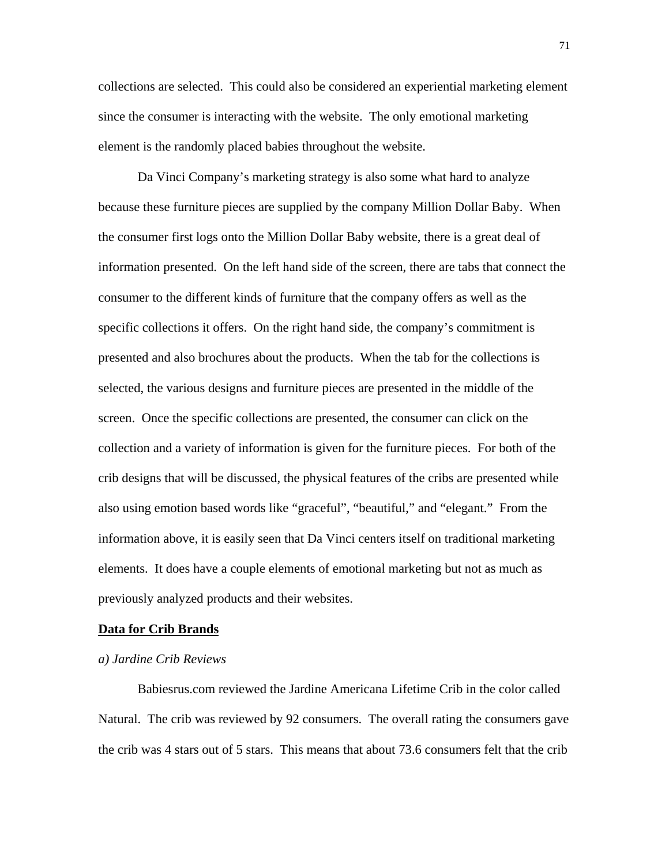collections are selected. This could also be considered an experiential marketing element since the consumer is interacting with the website. The only emotional marketing element is the randomly placed babies throughout the website.

 Da Vinci Company's marketing strategy is also some what hard to analyze because these furniture pieces are supplied by the company Million Dollar Baby. When the consumer first logs onto the Million Dollar Baby website, there is a great deal of information presented. On the left hand side of the screen, there are tabs that connect the consumer to the different kinds of furniture that the company offers as well as the specific collections it offers. On the right hand side, the company's commitment is presented and also brochures about the products. When the tab for the collections is selected, the various designs and furniture pieces are presented in the middle of the screen. Once the specific collections are presented, the consumer can click on the collection and a variety of information is given for the furniture pieces. For both of the crib designs that will be discussed, the physical features of the cribs are presented while also using emotion based words like "graceful", "beautiful," and "elegant." From the information above, it is easily seen that Da Vinci centers itself on traditional marketing elements. It does have a couple elements of emotional marketing but not as much as previously analyzed products and their websites.

## **Data for Crib Brands**

# *a) Jardine Crib Reviews*

 Babiesrus.com reviewed the Jardine Americana Lifetime Crib in the color called Natural. The crib was reviewed by 92 consumers. The overall rating the consumers gave the crib was 4 stars out of 5 stars. This means that about 73.6 consumers felt that the crib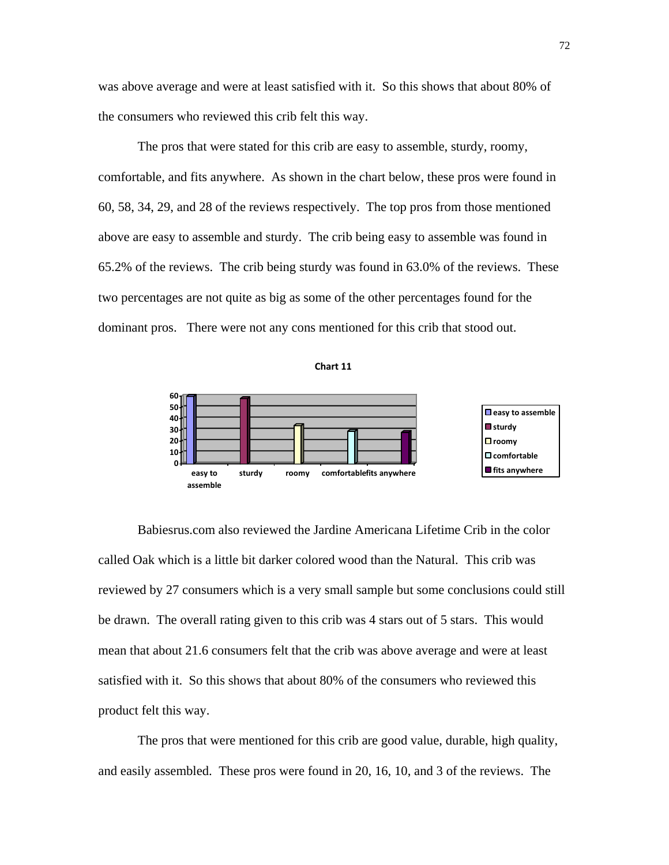was above average and were at least satisfied with it. So this shows that about 80% of the consumers who reviewed this crib felt this way.

 The pros that were stated for this crib are easy to assemble, sturdy, roomy, comfortable, and fits anywhere. As shown in the chart below, these pros were found in 60, 58, 34, 29, and 28 of the reviews respectively. The top pros from those mentioned above are easy to assemble and sturdy. The crib being easy to assemble was found in 65.2% of the reviews. The crib being sturdy was found in 63.0% of the reviews. These two percentages are not quite as big as some of the other percentages found for the dominant pros. There were not any cons mentioned for this crib that stood out.





 Babiesrus.com also reviewed the Jardine Americana Lifetime Crib in the color called Oak which is a little bit darker colored wood than the Natural. This crib was reviewed by 27 consumers which is a very small sample but some conclusions could still be drawn. The overall rating given to this crib was 4 stars out of 5 stars. This would mean that about 21.6 consumers felt that the crib was above average and were at least satisfied with it. So this shows that about 80% of the consumers who reviewed this product felt this way.

 The pros that were mentioned for this crib are good value, durable, high quality, and easily assembled. These pros were found in 20, 16, 10, and 3 of the reviews. The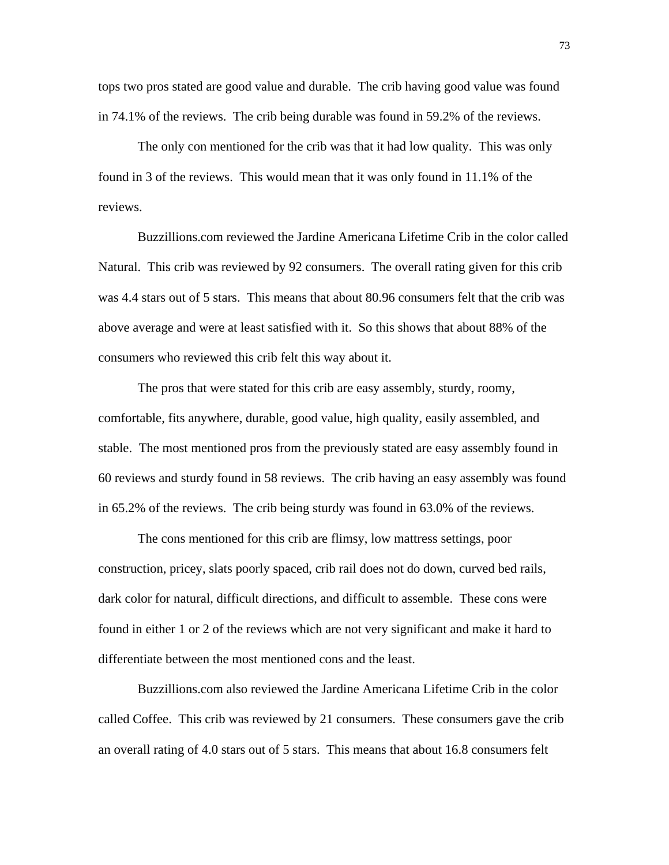tops two pros stated are good value and durable. The crib having good value was found in 74.1% of the reviews. The crib being durable was found in 59.2% of the reviews.

 The only con mentioned for the crib was that it had low quality. This was only found in 3 of the reviews. This would mean that it was only found in 11.1% of the reviews.

 Buzzillions.com reviewed the Jardine Americana Lifetime Crib in the color called Natural. This crib was reviewed by 92 consumers. The overall rating given for this crib was 4.4 stars out of 5 stars. This means that about 80.96 consumers felt that the crib was above average and were at least satisfied with it. So this shows that about 88% of the consumers who reviewed this crib felt this way about it.

 The pros that were stated for this crib are easy assembly, sturdy, roomy, comfortable, fits anywhere, durable, good value, high quality, easily assembled, and stable. The most mentioned pros from the previously stated are easy assembly found in 60 reviews and sturdy found in 58 reviews. The crib having an easy assembly was found in 65.2% of the reviews. The crib being sturdy was found in 63.0% of the reviews.

 The cons mentioned for this crib are flimsy, low mattress settings, poor construction, pricey, slats poorly spaced, crib rail does not do down, curved bed rails, dark color for natural, difficult directions, and difficult to assemble. These cons were found in either 1 or 2 of the reviews which are not very significant and make it hard to differentiate between the most mentioned cons and the least.

 Buzzillions.com also reviewed the Jardine Americana Lifetime Crib in the color called Coffee. This crib was reviewed by 21 consumers. These consumers gave the crib an overall rating of 4.0 stars out of 5 stars. This means that about 16.8 consumers felt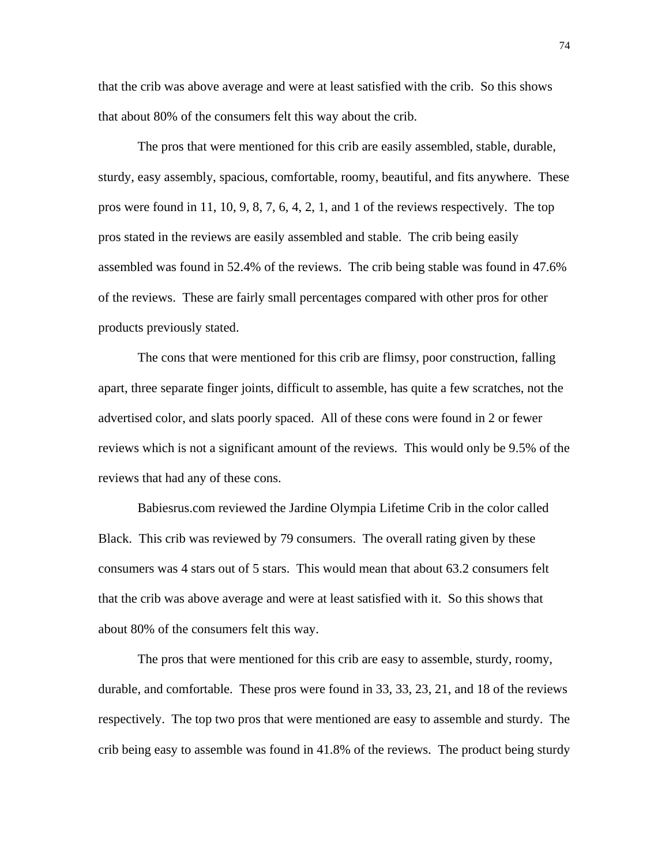that the crib was above average and were at least satisfied with the crib. So this shows that about 80% of the consumers felt this way about the crib.

 The pros that were mentioned for this crib are easily assembled, stable, durable, sturdy, easy assembly, spacious, comfortable, roomy, beautiful, and fits anywhere. These pros were found in 11, 10, 9, 8, 7, 6, 4, 2, 1, and 1 of the reviews respectively. The top pros stated in the reviews are easily assembled and stable. The crib being easily assembled was found in 52.4% of the reviews. The crib being stable was found in 47.6% of the reviews. These are fairly small percentages compared with other pros for other products previously stated.

 The cons that were mentioned for this crib are flimsy, poor construction, falling apart, three separate finger joints, difficult to assemble, has quite a few scratches, not the advertised color, and slats poorly spaced. All of these cons were found in 2 or fewer reviews which is not a significant amount of the reviews. This would only be 9.5% of the reviews that had any of these cons.

 Babiesrus.com reviewed the Jardine Olympia Lifetime Crib in the color called Black. This crib was reviewed by 79 consumers. The overall rating given by these consumers was 4 stars out of 5 stars. This would mean that about 63.2 consumers felt that the crib was above average and were at least satisfied with it. So this shows that about 80% of the consumers felt this way.

 The pros that were mentioned for this crib are easy to assemble, sturdy, roomy, durable, and comfortable. These pros were found in 33, 33, 23, 21, and 18 of the reviews respectively. The top two pros that were mentioned are easy to assemble and sturdy. The crib being easy to assemble was found in 41.8% of the reviews. The product being sturdy

74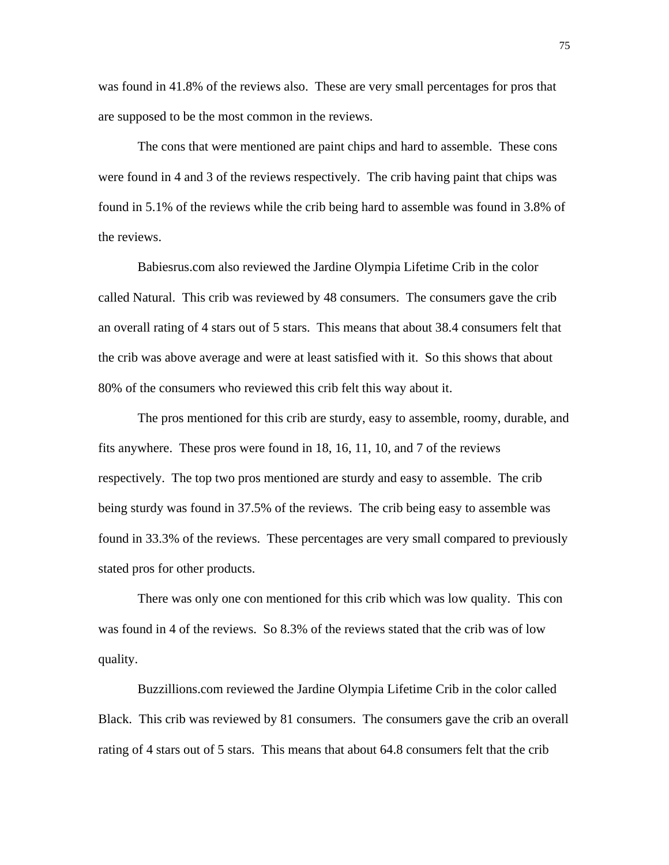was found in 41.8% of the reviews also. These are very small percentages for pros that are supposed to be the most common in the reviews.

 The cons that were mentioned are paint chips and hard to assemble. These cons were found in 4 and 3 of the reviews respectively. The crib having paint that chips was found in 5.1% of the reviews while the crib being hard to assemble was found in 3.8% of the reviews.

 Babiesrus.com also reviewed the Jardine Olympia Lifetime Crib in the color called Natural. This crib was reviewed by 48 consumers. The consumers gave the crib an overall rating of 4 stars out of 5 stars. This means that about 38.4 consumers felt that the crib was above average and were at least satisfied with it. So this shows that about 80% of the consumers who reviewed this crib felt this way about it.

 The pros mentioned for this crib are sturdy, easy to assemble, roomy, durable, and fits anywhere. These pros were found in 18, 16, 11, 10, and 7 of the reviews respectively. The top two pros mentioned are sturdy and easy to assemble. The crib being sturdy was found in 37.5% of the reviews. The crib being easy to assemble was found in 33.3% of the reviews. These percentages are very small compared to previously stated pros for other products.

 There was only one con mentioned for this crib which was low quality. This con was found in 4 of the reviews. So 8.3% of the reviews stated that the crib was of low quality.

 Buzzillions.com reviewed the Jardine Olympia Lifetime Crib in the color called Black. This crib was reviewed by 81 consumers. The consumers gave the crib an overall rating of 4 stars out of 5 stars. This means that about 64.8 consumers felt that the crib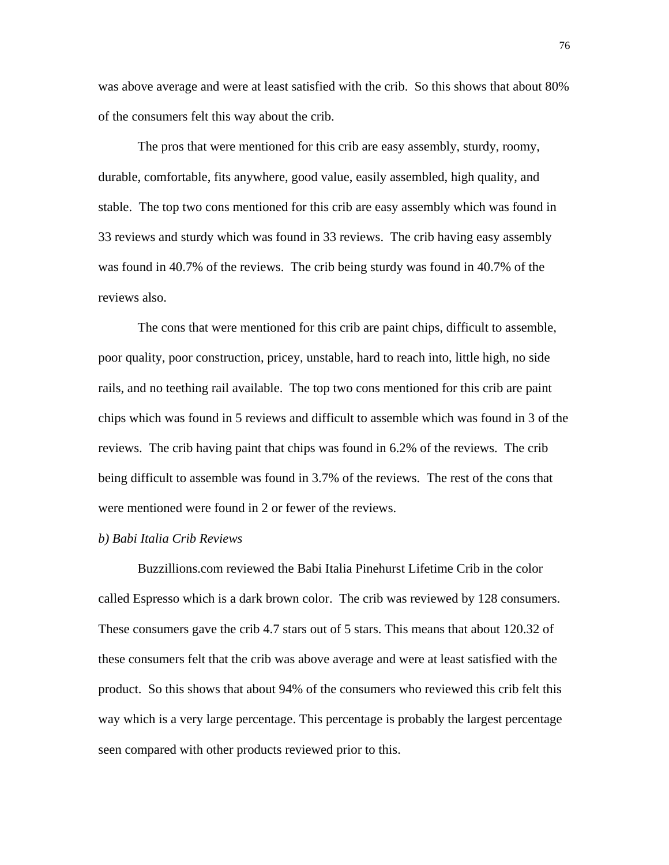was above average and were at least satisfied with the crib. So this shows that about 80% of the consumers felt this way about the crib.

 The pros that were mentioned for this crib are easy assembly, sturdy, roomy, durable, comfortable, fits anywhere, good value, easily assembled, high quality, and stable. The top two cons mentioned for this crib are easy assembly which was found in 33 reviews and sturdy which was found in 33 reviews. The crib having easy assembly was found in 40.7% of the reviews. The crib being sturdy was found in 40.7% of the reviews also.

 The cons that were mentioned for this crib are paint chips, difficult to assemble, poor quality, poor construction, pricey, unstable, hard to reach into, little high, no side rails, and no teething rail available. The top two cons mentioned for this crib are paint chips which was found in 5 reviews and difficult to assemble which was found in 3 of the reviews. The crib having paint that chips was found in 6.2% of the reviews. The crib being difficult to assemble was found in 3.7% of the reviews. The rest of the cons that were mentioned were found in 2 or fewer of the reviews.

# *b) Babi Italia Crib Reviews*

 Buzzillions.com reviewed the Babi Italia Pinehurst Lifetime Crib in the color called Espresso which is a dark brown color. The crib was reviewed by 128 consumers. These consumers gave the crib 4.7 stars out of 5 stars. This means that about 120.32 of these consumers felt that the crib was above average and were at least satisfied with the product. So this shows that about 94% of the consumers who reviewed this crib felt this way which is a very large percentage. This percentage is probably the largest percentage seen compared with other products reviewed prior to this.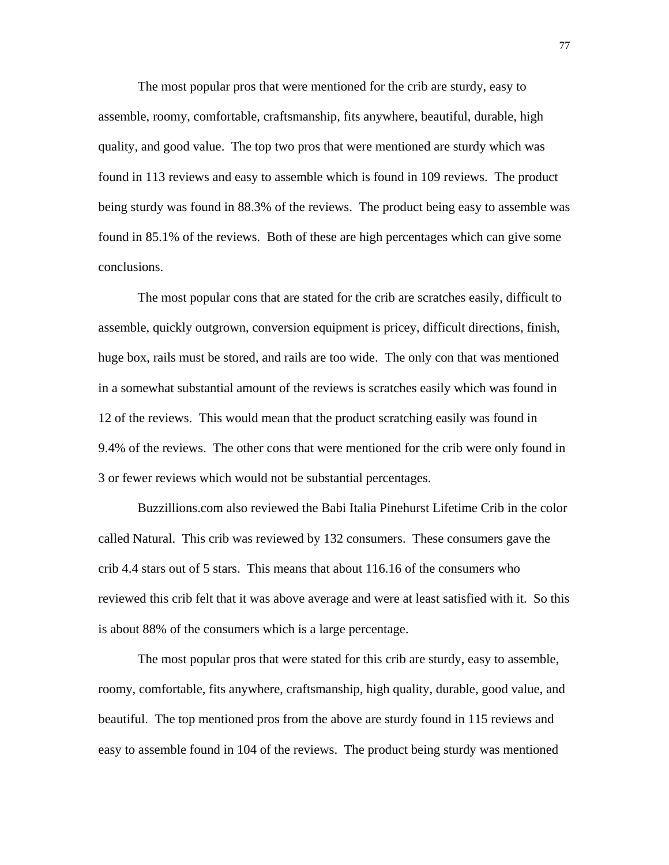The most popular pros that were mentioned for the crib are sturdy, easy to assemble, roomy, comfortable, craftsmanship, fits anywhere, beautiful, durable, high quality, and good value. The top two pros that were mentioned are sturdy which was found in 113 reviews and easy to assemble which is found in 109 reviews. The product being sturdy was found in 88.3% of the reviews. The product being easy to assemble was found in 85.1% of the reviews. Both of these are high percentages which can give some conclusions.

 The most popular cons that are stated for the crib are scratches easily, difficult to assemble, quickly outgrown, conversion equipment is pricey, difficult directions, finish, huge box, rails must be stored, and rails are too wide. The only con that was mentioned in a somewhat substantial amount of the reviews is scratches easily which was found in 12 of the reviews. This would mean that the product scratching easily was found in 9.4% of the reviews. The other cons that were mentioned for the crib were only found in 3 or fewer reviews which would not be substantial percentages.

 Buzzillions.com also reviewed the Babi Italia Pinehurst Lifetime Crib in the color called Natural. This crib was reviewed by 132 consumers. These consumers gave the crib 4.4 stars out of 5 stars. This means that about 116.16 of the consumers who reviewed this crib felt that it was above average and were at least satisfied with it. So this is about 88% of the consumers which is a large percentage.

 The most popular pros that were stated for this crib are sturdy, easy to assemble, roomy, comfortable, fits anywhere, craftsmanship, high quality, durable, good value, and beautiful. The top mentioned pros from the above are sturdy found in 115 reviews and easy to assemble found in 104 of the reviews. The product being sturdy was mentioned

77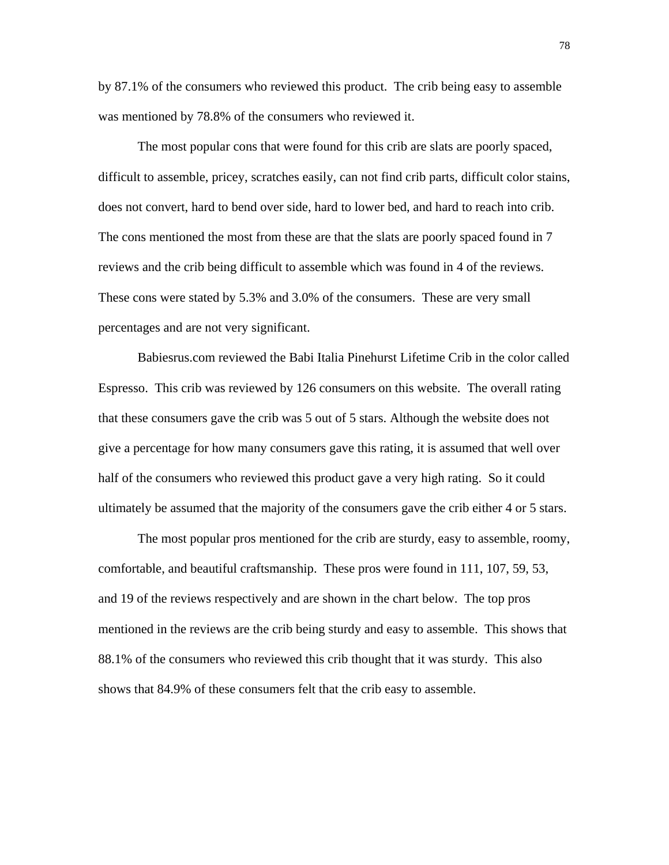by 87.1% of the consumers who reviewed this product. The crib being easy to assemble was mentioned by 78.8% of the consumers who reviewed it.

 The most popular cons that were found for this crib are slats are poorly spaced, difficult to assemble, pricey, scratches easily, can not find crib parts, difficult color stains, does not convert, hard to bend over side, hard to lower bed, and hard to reach into crib. The cons mentioned the most from these are that the slats are poorly spaced found in 7 reviews and the crib being difficult to assemble which was found in 4 of the reviews. These cons were stated by 5.3% and 3.0% of the consumers. These are very small percentages and are not very significant.

 Babiesrus.com reviewed the Babi Italia Pinehurst Lifetime Crib in the color called Espresso. This crib was reviewed by 126 consumers on this website. The overall rating that these consumers gave the crib was 5 out of 5 stars. Although the website does not give a percentage for how many consumers gave this rating, it is assumed that well over half of the consumers who reviewed this product gave a very high rating. So it could ultimately be assumed that the majority of the consumers gave the crib either 4 or 5 stars.

 The most popular pros mentioned for the crib are sturdy, easy to assemble, roomy, comfortable, and beautiful craftsmanship. These pros were found in 111, 107, 59, 53, and 19 of the reviews respectively and are shown in the chart below. The top pros mentioned in the reviews are the crib being sturdy and easy to assemble. This shows that 88.1% of the consumers who reviewed this crib thought that it was sturdy. This also shows that 84.9% of these consumers felt that the crib easy to assemble.

78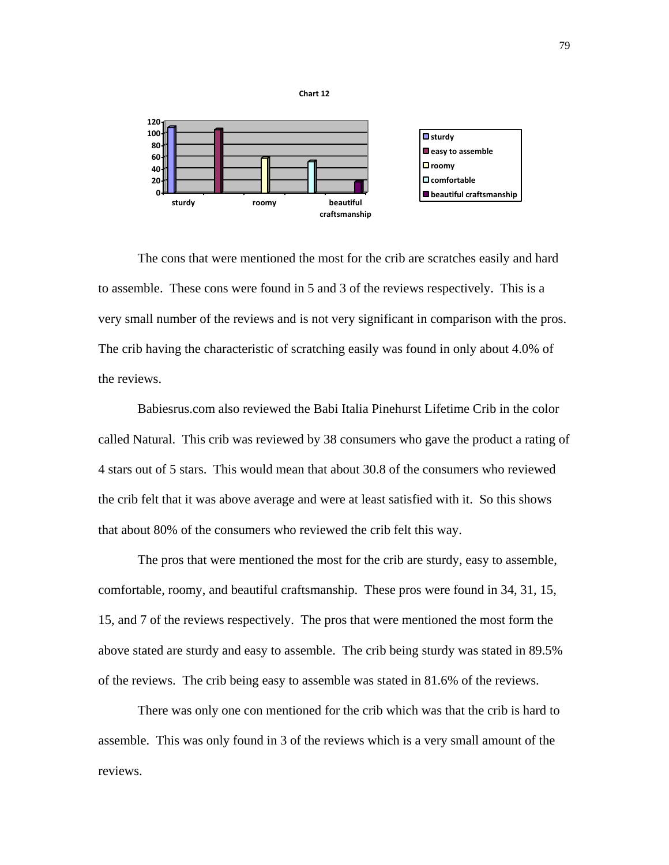

The cons that were mentioned the most for the crib are scratches easily and hard to assemble. These cons were found in 5 and 3 of the reviews respectively. This is a very small number of the reviews and is not very significant in comparison with the pros. The crib having the characteristic of scratching easily was found in only about 4.0% of the reviews.

 Babiesrus.com also reviewed the Babi Italia Pinehurst Lifetime Crib in the color called Natural. This crib was reviewed by 38 consumers who gave the product a rating of 4 stars out of 5 stars. This would mean that about 30.8 of the consumers who reviewed the crib felt that it was above average and were at least satisfied with it. So this shows that about 80% of the consumers who reviewed the crib felt this way.

 The pros that were mentioned the most for the crib are sturdy, easy to assemble, comfortable, roomy, and beautiful craftsmanship. These pros were found in 34, 31, 15, 15, and 7 of the reviews respectively. The pros that were mentioned the most form the above stated are sturdy and easy to assemble. The crib being sturdy was stated in 89.5% of the reviews. The crib being easy to assemble was stated in 81.6% of the reviews.

 There was only one con mentioned for the crib which was that the crib is hard to assemble. This was only found in 3 of the reviews which is a very small amount of the reviews.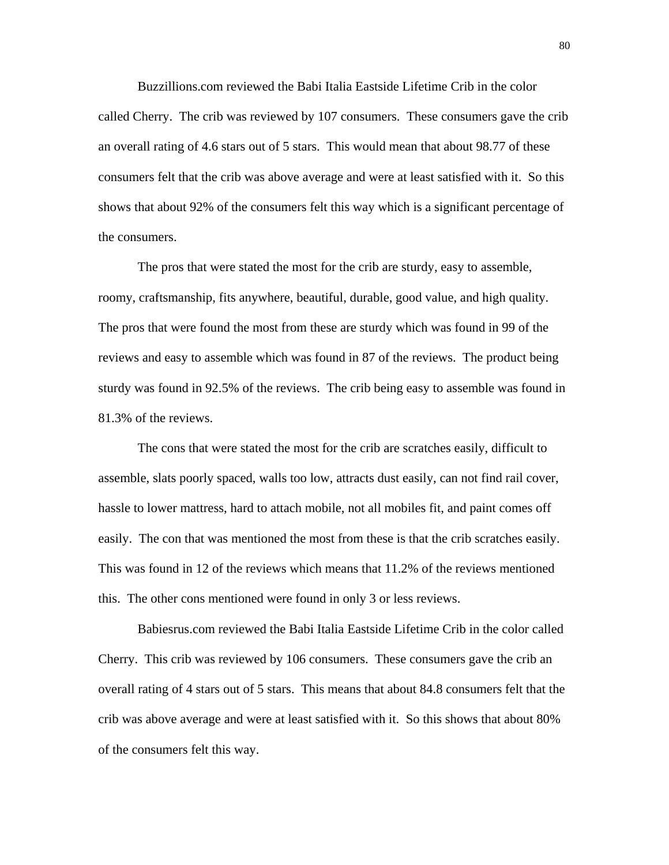Buzzillions.com reviewed the Babi Italia Eastside Lifetime Crib in the color called Cherry. The crib was reviewed by 107 consumers. These consumers gave the crib an overall rating of 4.6 stars out of 5 stars. This would mean that about 98.77 of these consumers felt that the crib was above average and were at least satisfied with it. So this shows that about 92% of the consumers felt this way which is a significant percentage of the consumers.

 The pros that were stated the most for the crib are sturdy, easy to assemble, roomy, craftsmanship, fits anywhere, beautiful, durable, good value, and high quality. The pros that were found the most from these are sturdy which was found in 99 of the reviews and easy to assemble which was found in 87 of the reviews. The product being sturdy was found in 92.5% of the reviews. The crib being easy to assemble was found in 81.3% of the reviews.

 The cons that were stated the most for the crib are scratches easily, difficult to assemble, slats poorly spaced, walls too low, attracts dust easily, can not find rail cover, hassle to lower mattress, hard to attach mobile, not all mobiles fit, and paint comes off easily. The con that was mentioned the most from these is that the crib scratches easily. This was found in 12 of the reviews which means that 11.2% of the reviews mentioned this. The other cons mentioned were found in only 3 or less reviews.

 Babiesrus.com reviewed the Babi Italia Eastside Lifetime Crib in the color called Cherry. This crib was reviewed by 106 consumers. These consumers gave the crib an overall rating of 4 stars out of 5 stars. This means that about 84.8 consumers felt that the crib was above average and were at least satisfied with it. So this shows that about 80% of the consumers felt this way.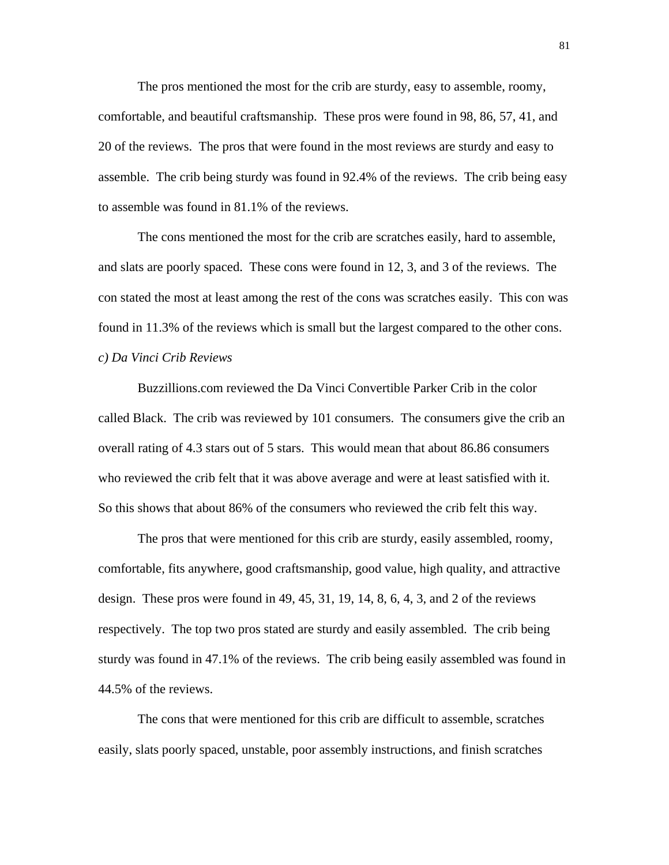The pros mentioned the most for the crib are sturdy, easy to assemble, roomy, comfortable, and beautiful craftsmanship. These pros were found in 98, 86, 57, 41, and 20 of the reviews. The pros that were found in the most reviews are sturdy and easy to assemble. The crib being sturdy was found in 92.4% of the reviews. The crib being easy to assemble was found in 81.1% of the reviews.

 The cons mentioned the most for the crib are scratches easily, hard to assemble, and slats are poorly spaced. These cons were found in 12, 3, and 3 of the reviews. The con stated the most at least among the rest of the cons was scratches easily. This con was found in 11.3% of the reviews which is small but the largest compared to the other cons. *c) Da Vinci Crib Reviews* 

 Buzzillions.com reviewed the Da Vinci Convertible Parker Crib in the color called Black. The crib was reviewed by 101 consumers. The consumers give the crib an overall rating of 4.3 stars out of 5 stars. This would mean that about 86.86 consumers who reviewed the crib felt that it was above average and were at least satisfied with it. So this shows that about 86% of the consumers who reviewed the crib felt this way.

 The pros that were mentioned for this crib are sturdy, easily assembled, roomy, comfortable, fits anywhere, good craftsmanship, good value, high quality, and attractive design. These pros were found in 49, 45, 31, 19, 14, 8, 6, 4, 3, and 2 of the reviews respectively. The top two pros stated are sturdy and easily assembled. The crib being sturdy was found in 47.1% of the reviews. The crib being easily assembled was found in 44.5% of the reviews.

 The cons that were mentioned for this crib are difficult to assemble, scratches easily, slats poorly spaced, unstable, poor assembly instructions, and finish scratches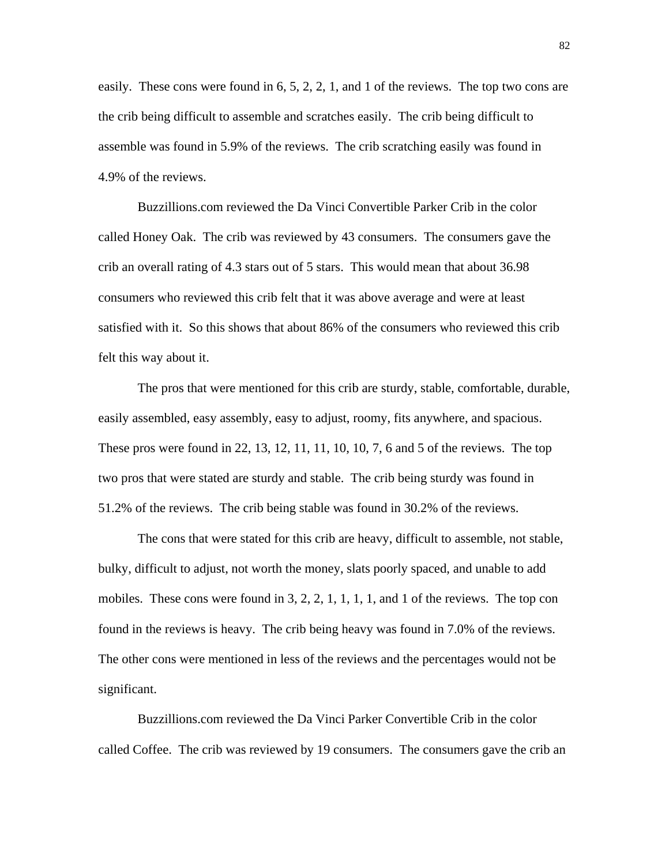easily. These cons were found in 6, 5, 2, 2, 1, and 1 of the reviews. The top two cons are the crib being difficult to assemble and scratches easily. The crib being difficult to assemble was found in 5.9% of the reviews. The crib scratching easily was found in 4.9% of the reviews.

 Buzzillions.com reviewed the Da Vinci Convertible Parker Crib in the color called Honey Oak. The crib was reviewed by 43 consumers. The consumers gave the crib an overall rating of 4.3 stars out of 5 stars. This would mean that about 36.98 consumers who reviewed this crib felt that it was above average and were at least satisfied with it. So this shows that about 86% of the consumers who reviewed this crib felt this way about it.

 The pros that were mentioned for this crib are sturdy, stable, comfortable, durable, easily assembled, easy assembly, easy to adjust, roomy, fits anywhere, and spacious. These pros were found in 22, 13, 12, 11, 11, 10, 10, 7, 6 and 5 of the reviews. The top two pros that were stated are sturdy and stable. The crib being sturdy was found in 51.2% of the reviews. The crib being stable was found in 30.2% of the reviews.

 The cons that were stated for this crib are heavy, difficult to assemble, not stable, bulky, difficult to adjust, not worth the money, slats poorly spaced, and unable to add mobiles. These cons were found in 3, 2, 2, 1, 1, 1, 1, and 1 of the reviews. The top con found in the reviews is heavy. The crib being heavy was found in 7.0% of the reviews. The other cons were mentioned in less of the reviews and the percentages would not be significant.

 Buzzillions.com reviewed the Da Vinci Parker Convertible Crib in the color called Coffee. The crib was reviewed by 19 consumers. The consumers gave the crib an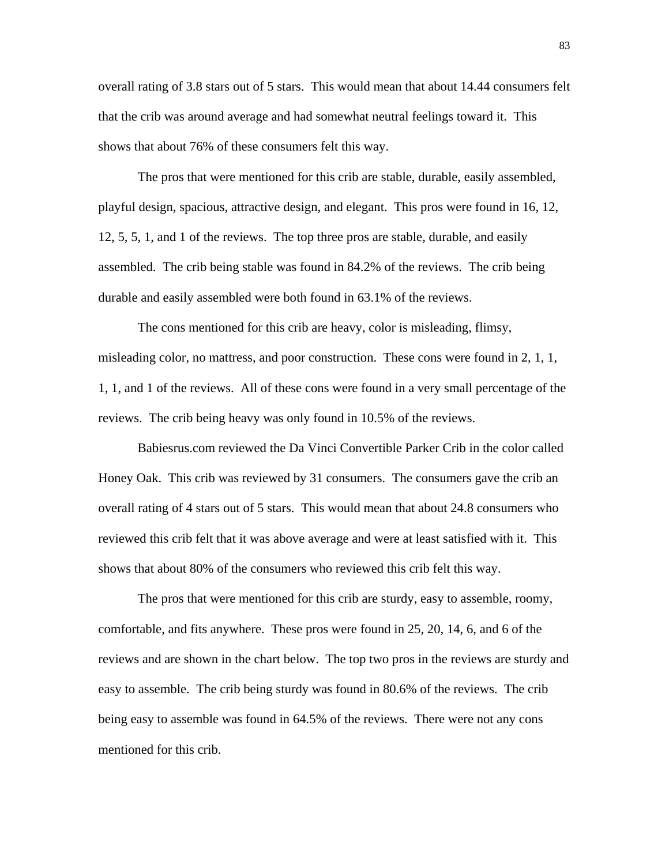overall rating of 3.8 stars out of 5 stars. This would mean that about 14.44 consumers felt that the crib was around average and had somewhat neutral feelings toward it. This shows that about 76% of these consumers felt this way.

 The pros that were mentioned for this crib are stable, durable, easily assembled, playful design, spacious, attractive design, and elegant. This pros were found in 16, 12, 12, 5, 5, 1, and 1 of the reviews. The top three pros are stable, durable, and easily assembled. The crib being stable was found in 84.2% of the reviews. The crib being durable and easily assembled were both found in 63.1% of the reviews.

 The cons mentioned for this crib are heavy, color is misleading, flimsy, misleading color, no mattress, and poor construction. These cons were found in 2, 1, 1, 1, 1, and 1 of the reviews. All of these cons were found in a very small percentage of the reviews. The crib being heavy was only found in 10.5% of the reviews.

 Babiesrus.com reviewed the Da Vinci Convertible Parker Crib in the color called Honey Oak. This crib was reviewed by 31 consumers. The consumers gave the crib an overall rating of 4 stars out of 5 stars. This would mean that about 24.8 consumers who reviewed this crib felt that it was above average and were at least satisfied with it. This shows that about 80% of the consumers who reviewed this crib felt this way.

 The pros that were mentioned for this crib are sturdy, easy to assemble, roomy, comfortable, and fits anywhere. These pros were found in 25, 20, 14, 6, and 6 of the reviews and are shown in the chart below. The top two pros in the reviews are sturdy and easy to assemble. The crib being sturdy was found in 80.6% of the reviews. The crib being easy to assemble was found in 64.5% of the reviews. There were not any cons mentioned for this crib.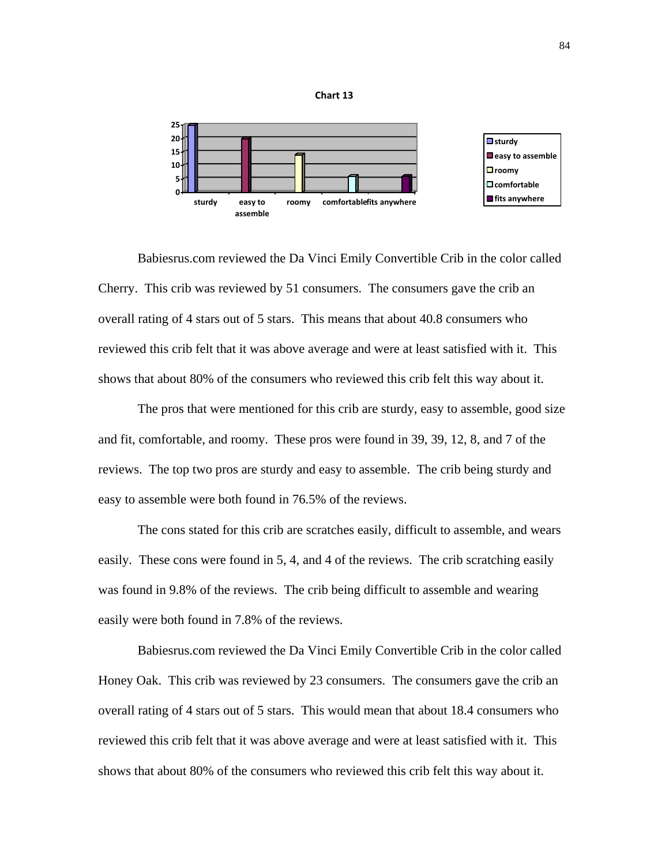

**Chart 13**

 Babiesrus.com reviewed the Da Vinci Emily Convertible Crib in the color called Cherry. This crib was reviewed by 51 consumers. The consumers gave the crib an overall rating of 4 stars out of 5 stars. This means that about 40.8 consumers who reviewed this crib felt that it was above average and were at least satisfied with it. This shows that about 80% of the consumers who reviewed this crib felt this way about it.

 The pros that were mentioned for this crib are sturdy, easy to assemble, good size and fit, comfortable, and roomy. These pros were found in 39, 39, 12, 8, and 7 of the reviews. The top two pros are sturdy and easy to assemble. The crib being sturdy and easy to assemble were both found in 76.5% of the reviews.

 The cons stated for this crib are scratches easily, difficult to assemble, and wears easily. These cons were found in 5, 4, and 4 of the reviews. The crib scratching easily was found in 9.8% of the reviews. The crib being difficult to assemble and wearing easily were both found in 7.8% of the reviews.

 Babiesrus.com reviewed the Da Vinci Emily Convertible Crib in the color called Honey Oak. This crib was reviewed by 23 consumers. The consumers gave the crib an overall rating of 4 stars out of 5 stars. This would mean that about 18.4 consumers who reviewed this crib felt that it was above average and were at least satisfied with it. This shows that about 80% of the consumers who reviewed this crib felt this way about it.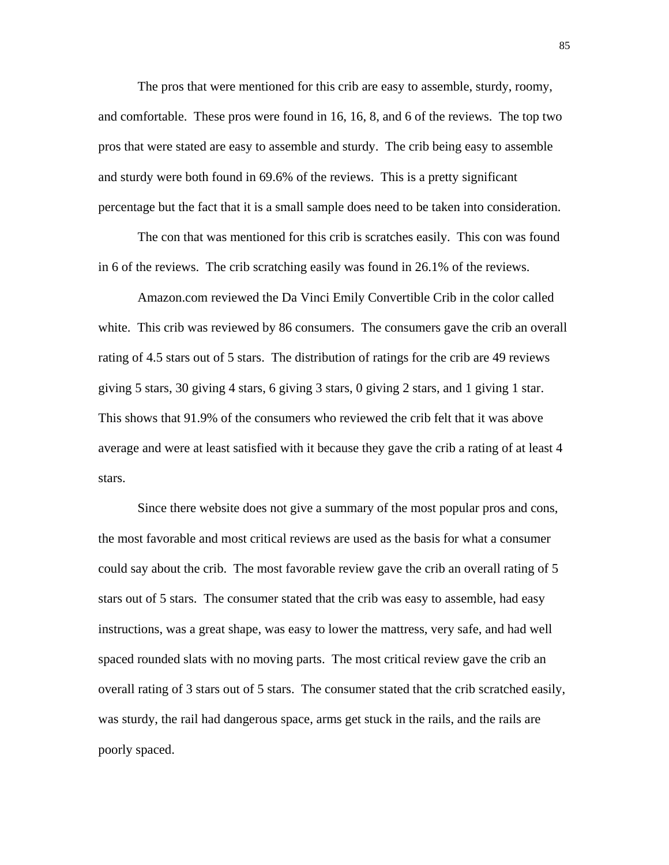The pros that were mentioned for this crib are easy to assemble, sturdy, roomy, and comfortable. These pros were found in 16, 16, 8, and 6 of the reviews. The top two pros that were stated are easy to assemble and sturdy. The crib being easy to assemble and sturdy were both found in 69.6% of the reviews. This is a pretty significant percentage but the fact that it is a small sample does need to be taken into consideration.

 The con that was mentioned for this crib is scratches easily. This con was found in 6 of the reviews. The crib scratching easily was found in 26.1% of the reviews.

 Amazon.com reviewed the Da Vinci Emily Convertible Crib in the color called white. This crib was reviewed by 86 consumers. The consumers gave the crib an overall rating of 4.5 stars out of 5 stars. The distribution of ratings for the crib are 49 reviews giving 5 stars, 30 giving 4 stars, 6 giving 3 stars, 0 giving 2 stars, and 1 giving 1 star. This shows that 91.9% of the consumers who reviewed the crib felt that it was above average and were at least satisfied with it because they gave the crib a rating of at least 4 stars.

Since there website does not give a summary of the most popular pros and cons, the most favorable and most critical reviews are used as the basis for what a consumer could say about the crib. The most favorable review gave the crib an overall rating of 5 stars out of 5 stars. The consumer stated that the crib was easy to assemble, had easy instructions, was a great shape, was easy to lower the mattress, very safe, and had well spaced rounded slats with no moving parts. The most critical review gave the crib an overall rating of 3 stars out of 5 stars. The consumer stated that the crib scratched easily, was sturdy, the rail had dangerous space, arms get stuck in the rails, and the rails are poorly spaced.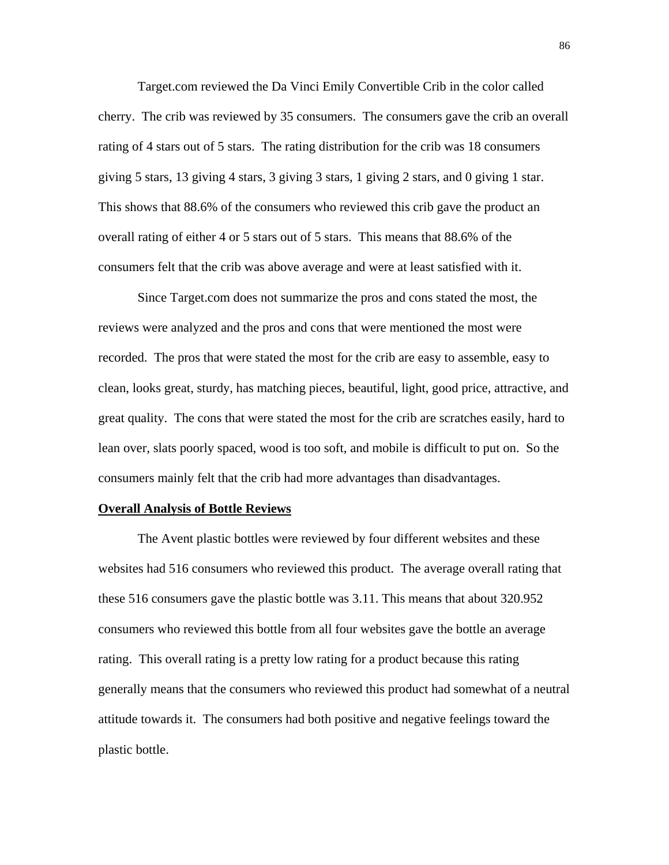Target.com reviewed the Da Vinci Emily Convertible Crib in the color called cherry. The crib was reviewed by 35 consumers. The consumers gave the crib an overall rating of 4 stars out of 5 stars. The rating distribution for the crib was 18 consumers giving 5 stars, 13 giving 4 stars, 3 giving 3 stars, 1 giving 2 stars, and 0 giving 1 star. This shows that 88.6% of the consumers who reviewed this crib gave the product an overall rating of either 4 or 5 stars out of 5 stars. This means that 88.6% of the consumers felt that the crib was above average and were at least satisfied with it.

 Since Target.com does not summarize the pros and cons stated the most, the reviews were analyzed and the pros and cons that were mentioned the most were recorded. The pros that were stated the most for the crib are easy to assemble, easy to clean, looks great, sturdy, has matching pieces, beautiful, light, good price, attractive, and great quality. The cons that were stated the most for the crib are scratches easily, hard to lean over, slats poorly spaced, wood is too soft, and mobile is difficult to put on. So the consumers mainly felt that the crib had more advantages than disadvantages.

## **Overall Analysis of Bottle Reviews**

 The Avent plastic bottles were reviewed by four different websites and these websites had 516 consumers who reviewed this product. The average overall rating that these 516 consumers gave the plastic bottle was 3.11. This means that about 320.952 consumers who reviewed this bottle from all four websites gave the bottle an average rating. This overall rating is a pretty low rating for a product because this rating generally means that the consumers who reviewed this product had somewhat of a neutral attitude towards it. The consumers had both positive and negative feelings toward the plastic bottle.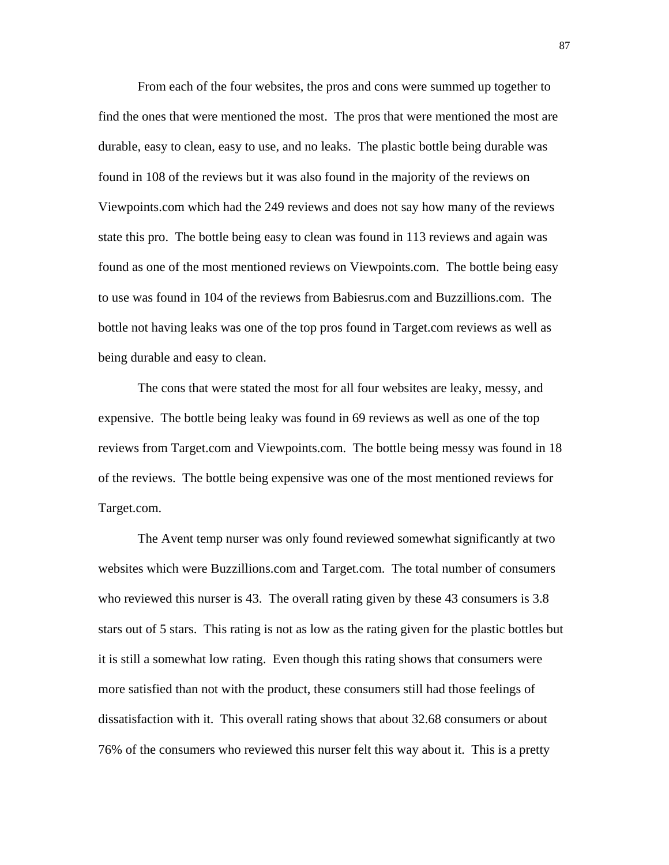From each of the four websites, the pros and cons were summed up together to find the ones that were mentioned the most. The pros that were mentioned the most are durable, easy to clean, easy to use, and no leaks. The plastic bottle being durable was found in 108 of the reviews but it was also found in the majority of the reviews on Viewpoints.com which had the 249 reviews and does not say how many of the reviews state this pro. The bottle being easy to clean was found in 113 reviews and again was found as one of the most mentioned reviews on Viewpoints.com. The bottle being easy to use was found in 104 of the reviews from Babiesrus.com and Buzzillions.com. The bottle not having leaks was one of the top pros found in Target.com reviews as well as being durable and easy to clean.

 The cons that were stated the most for all four websites are leaky, messy, and expensive. The bottle being leaky was found in 69 reviews as well as one of the top reviews from Target.com and Viewpoints.com. The bottle being messy was found in 18 of the reviews. The bottle being expensive was one of the most mentioned reviews for Target.com.

 The Avent temp nurser was only found reviewed somewhat significantly at two websites which were Buzzillions.com and Target.com. The total number of consumers who reviewed this nurser is 43. The overall rating given by these 43 consumers is 3.8 stars out of 5 stars. This rating is not as low as the rating given for the plastic bottles but it is still a somewhat low rating. Even though this rating shows that consumers were more satisfied than not with the product, these consumers still had those feelings of dissatisfaction with it. This overall rating shows that about 32.68 consumers or about 76% of the consumers who reviewed this nurser felt this way about it. This is a pretty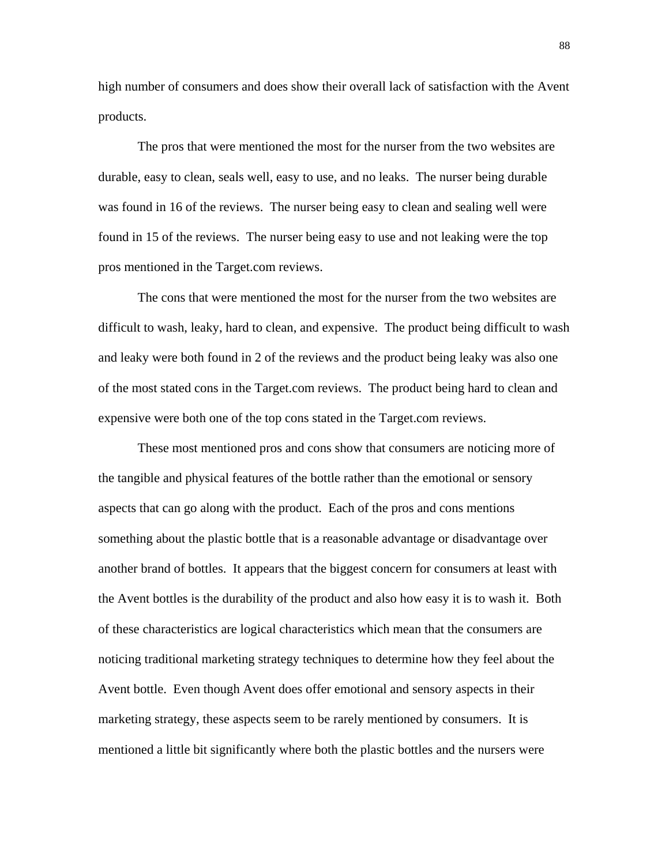high number of consumers and does show their overall lack of satisfaction with the Avent products.

 The pros that were mentioned the most for the nurser from the two websites are durable, easy to clean, seals well, easy to use, and no leaks. The nurser being durable was found in 16 of the reviews. The nurser being easy to clean and sealing well were found in 15 of the reviews. The nurser being easy to use and not leaking were the top pros mentioned in the Target.com reviews.

 The cons that were mentioned the most for the nurser from the two websites are difficult to wash, leaky, hard to clean, and expensive. The product being difficult to wash and leaky were both found in 2 of the reviews and the product being leaky was also one of the most stated cons in the Target.com reviews. The product being hard to clean and expensive were both one of the top cons stated in the Target.com reviews.

 These most mentioned pros and cons show that consumers are noticing more of the tangible and physical features of the bottle rather than the emotional or sensory aspects that can go along with the product. Each of the pros and cons mentions something about the plastic bottle that is a reasonable advantage or disadvantage over another brand of bottles. It appears that the biggest concern for consumers at least with the Avent bottles is the durability of the product and also how easy it is to wash it. Both of these characteristics are logical characteristics which mean that the consumers are noticing traditional marketing strategy techniques to determine how they feel about the Avent bottle. Even though Avent does offer emotional and sensory aspects in their marketing strategy, these aspects seem to be rarely mentioned by consumers. It is mentioned a little bit significantly where both the plastic bottles and the nursers were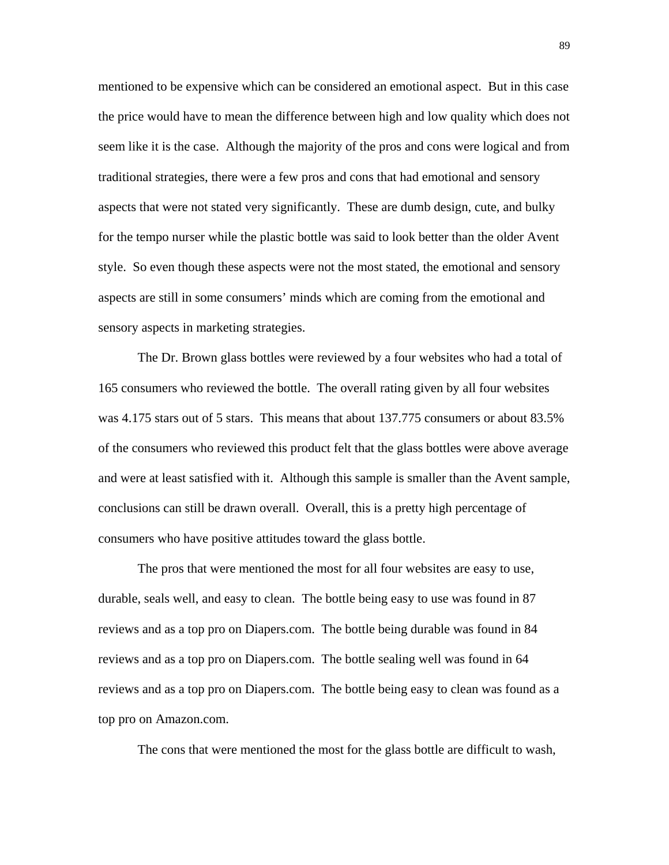mentioned to be expensive which can be considered an emotional aspect. But in this case the price would have to mean the difference between high and low quality which does not seem like it is the case. Although the majority of the pros and cons were logical and from traditional strategies, there were a few pros and cons that had emotional and sensory aspects that were not stated very significantly. These are dumb design, cute, and bulky for the tempo nurser while the plastic bottle was said to look better than the older Avent style. So even though these aspects were not the most stated, the emotional and sensory aspects are still in some consumers' minds which are coming from the emotional and sensory aspects in marketing strategies.

 The Dr. Brown glass bottles were reviewed by a four websites who had a total of 165 consumers who reviewed the bottle. The overall rating given by all four websites was 4.175 stars out of 5 stars. This means that about 137.775 consumers or about 83.5% of the consumers who reviewed this product felt that the glass bottles were above average and were at least satisfied with it. Although this sample is smaller than the Avent sample, conclusions can still be drawn overall. Overall, this is a pretty high percentage of consumers who have positive attitudes toward the glass bottle.

 The pros that were mentioned the most for all four websites are easy to use, durable, seals well, and easy to clean. The bottle being easy to use was found in 87 reviews and as a top pro on Diapers.com. The bottle being durable was found in 84 reviews and as a top pro on Diapers.com. The bottle sealing well was found in 64 reviews and as a top pro on Diapers.com. The bottle being easy to clean was found as a top pro on Amazon.com.

The cons that were mentioned the most for the glass bottle are difficult to wash,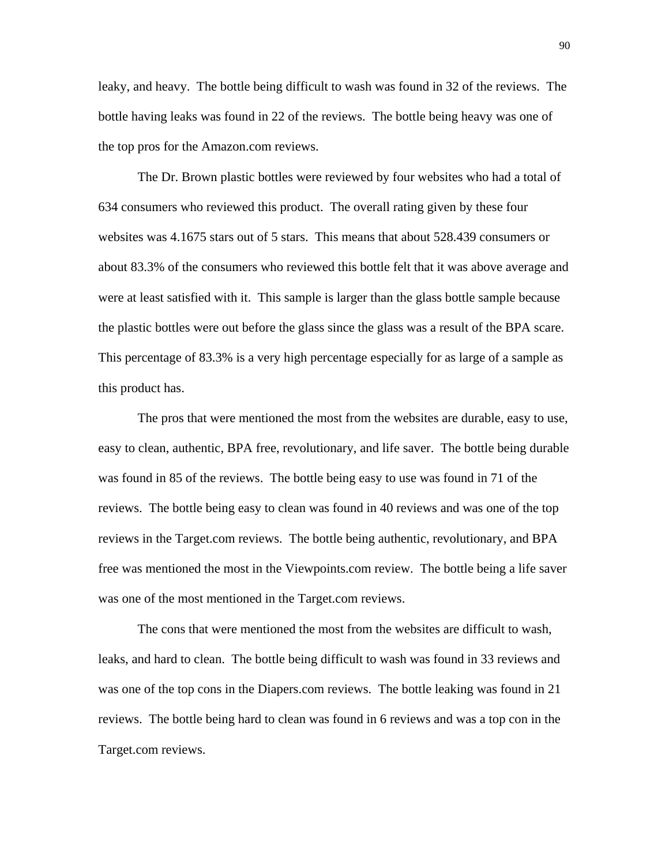leaky, and heavy. The bottle being difficult to wash was found in 32 of the reviews. The bottle having leaks was found in 22 of the reviews. The bottle being heavy was one of the top pros for the Amazon.com reviews.

 The Dr. Brown plastic bottles were reviewed by four websites who had a total of 634 consumers who reviewed this product. The overall rating given by these four websites was 4.1675 stars out of 5 stars. This means that about 528.439 consumers or about 83.3% of the consumers who reviewed this bottle felt that it was above average and were at least satisfied with it. This sample is larger than the glass bottle sample because the plastic bottles were out before the glass since the glass was a result of the BPA scare. This percentage of 83.3% is a very high percentage especially for as large of a sample as this product has.

 The pros that were mentioned the most from the websites are durable, easy to use, easy to clean, authentic, BPA free, revolutionary, and life saver. The bottle being durable was found in 85 of the reviews. The bottle being easy to use was found in 71 of the reviews. The bottle being easy to clean was found in 40 reviews and was one of the top reviews in the Target.com reviews. The bottle being authentic, revolutionary, and BPA free was mentioned the most in the Viewpoints.com review. The bottle being a life saver was one of the most mentioned in the Target.com reviews.

 The cons that were mentioned the most from the websites are difficult to wash, leaks, and hard to clean. The bottle being difficult to wash was found in 33 reviews and was one of the top cons in the Diapers.com reviews. The bottle leaking was found in 21 reviews. The bottle being hard to clean was found in 6 reviews and was a top con in the Target.com reviews.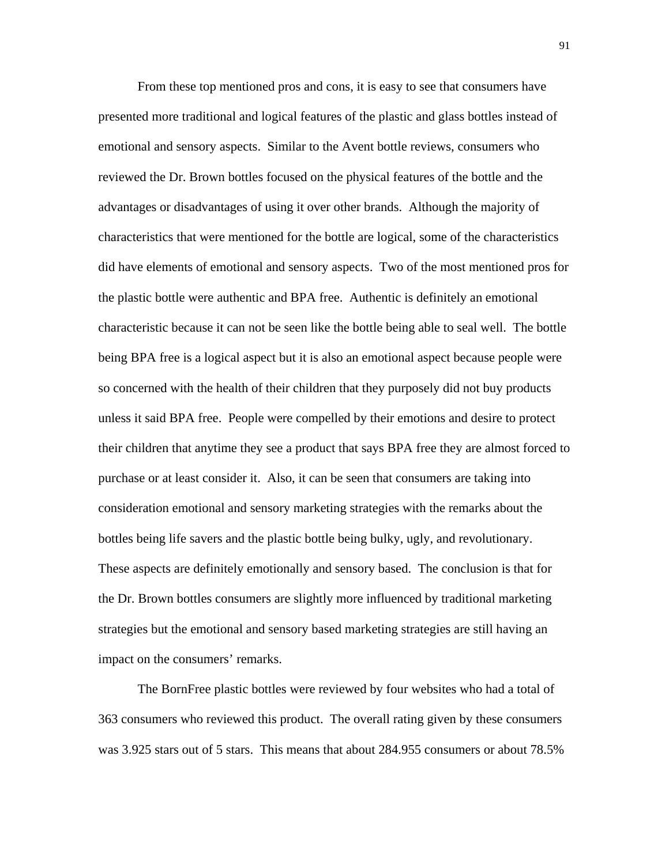From these top mentioned pros and cons, it is easy to see that consumers have presented more traditional and logical features of the plastic and glass bottles instead of emotional and sensory aspects. Similar to the Avent bottle reviews, consumers who reviewed the Dr. Brown bottles focused on the physical features of the bottle and the advantages or disadvantages of using it over other brands. Although the majority of characteristics that were mentioned for the bottle are logical, some of the characteristics did have elements of emotional and sensory aspects. Two of the most mentioned pros for the plastic bottle were authentic and BPA free. Authentic is definitely an emotional characteristic because it can not be seen like the bottle being able to seal well. The bottle being BPA free is a logical aspect but it is also an emotional aspect because people were so concerned with the health of their children that they purposely did not buy products unless it said BPA free. People were compelled by their emotions and desire to protect their children that anytime they see a product that says BPA free they are almost forced to purchase or at least consider it. Also, it can be seen that consumers are taking into consideration emotional and sensory marketing strategies with the remarks about the bottles being life savers and the plastic bottle being bulky, ugly, and revolutionary. These aspects are definitely emotionally and sensory based. The conclusion is that for the Dr. Brown bottles consumers are slightly more influenced by traditional marketing strategies but the emotional and sensory based marketing strategies are still having an impact on the consumers' remarks.

 The BornFree plastic bottles were reviewed by four websites who had a total of 363 consumers who reviewed this product. The overall rating given by these consumers was 3.925 stars out of 5 stars. This means that about 284.955 consumers or about 78.5%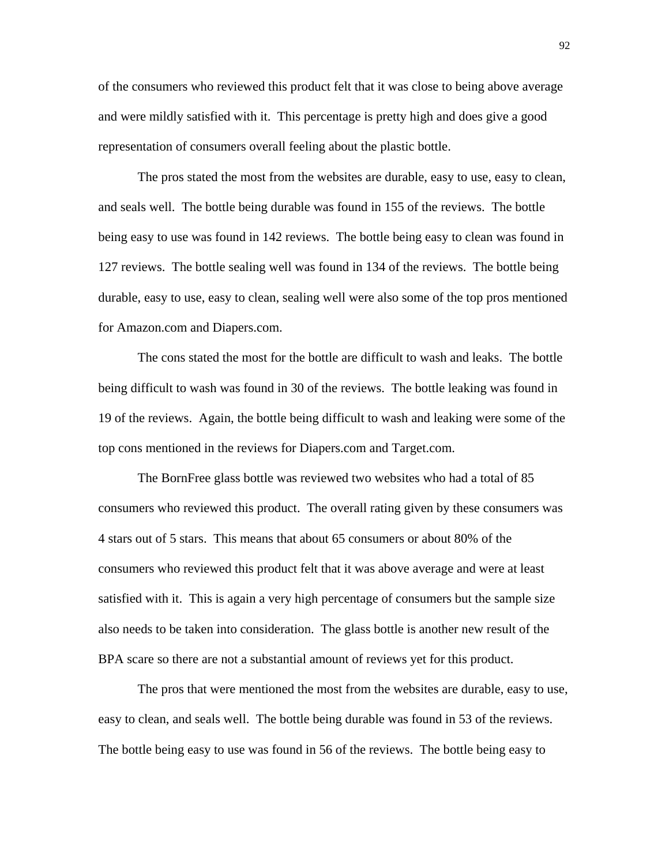of the consumers who reviewed this product felt that it was close to being above average and were mildly satisfied with it. This percentage is pretty high and does give a good representation of consumers overall feeling about the plastic bottle.

 The pros stated the most from the websites are durable, easy to use, easy to clean, and seals well. The bottle being durable was found in 155 of the reviews. The bottle being easy to use was found in 142 reviews. The bottle being easy to clean was found in 127 reviews. The bottle sealing well was found in 134 of the reviews. The bottle being durable, easy to use, easy to clean, sealing well were also some of the top pros mentioned for Amazon.com and Diapers.com.

 The cons stated the most for the bottle are difficult to wash and leaks. The bottle being difficult to wash was found in 30 of the reviews. The bottle leaking was found in 19 of the reviews. Again, the bottle being difficult to wash and leaking were some of the top cons mentioned in the reviews for Diapers.com and Target.com.

 The BornFree glass bottle was reviewed two websites who had a total of 85 consumers who reviewed this product. The overall rating given by these consumers was 4 stars out of 5 stars. This means that about 65 consumers or about 80% of the consumers who reviewed this product felt that it was above average and were at least satisfied with it. This is again a very high percentage of consumers but the sample size also needs to be taken into consideration. The glass bottle is another new result of the BPA scare so there are not a substantial amount of reviews yet for this product.

 The pros that were mentioned the most from the websites are durable, easy to use, easy to clean, and seals well. The bottle being durable was found in 53 of the reviews. The bottle being easy to use was found in 56 of the reviews. The bottle being easy to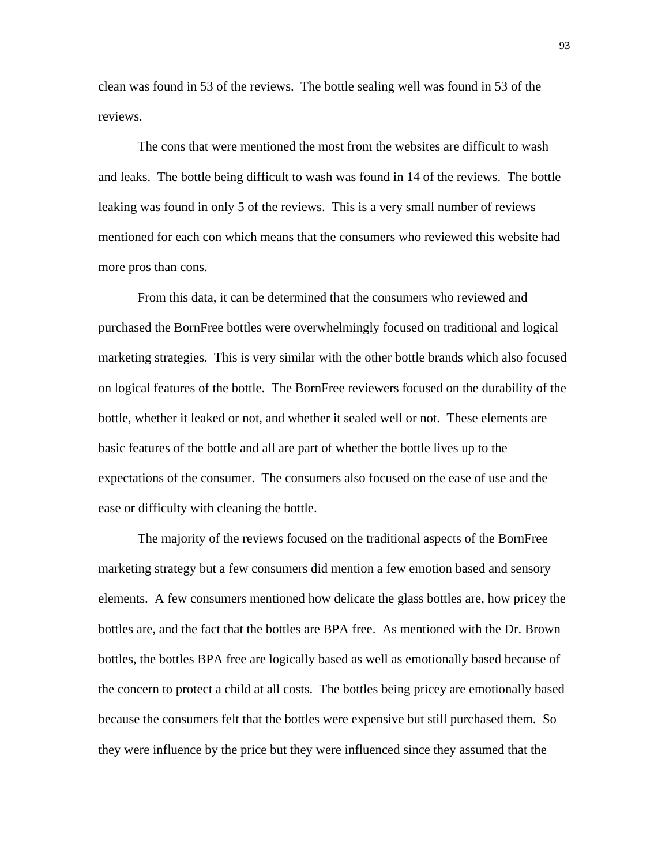clean was found in 53 of the reviews. The bottle sealing well was found in 53 of the reviews.

 The cons that were mentioned the most from the websites are difficult to wash and leaks. The bottle being difficult to wash was found in 14 of the reviews. The bottle leaking was found in only 5 of the reviews. This is a very small number of reviews mentioned for each con which means that the consumers who reviewed this website had more pros than cons.

 From this data, it can be determined that the consumers who reviewed and purchased the BornFree bottles were overwhelmingly focused on traditional and logical marketing strategies. This is very similar with the other bottle brands which also focused on logical features of the bottle. The BornFree reviewers focused on the durability of the bottle, whether it leaked or not, and whether it sealed well or not. These elements are basic features of the bottle and all are part of whether the bottle lives up to the expectations of the consumer. The consumers also focused on the ease of use and the ease or difficulty with cleaning the bottle.

 The majority of the reviews focused on the traditional aspects of the BornFree marketing strategy but a few consumers did mention a few emotion based and sensory elements. A few consumers mentioned how delicate the glass bottles are, how pricey the bottles are, and the fact that the bottles are BPA free. As mentioned with the Dr. Brown bottles, the bottles BPA free are logically based as well as emotionally based because of the concern to protect a child at all costs. The bottles being pricey are emotionally based because the consumers felt that the bottles were expensive but still purchased them. So they were influence by the price but they were influenced since they assumed that the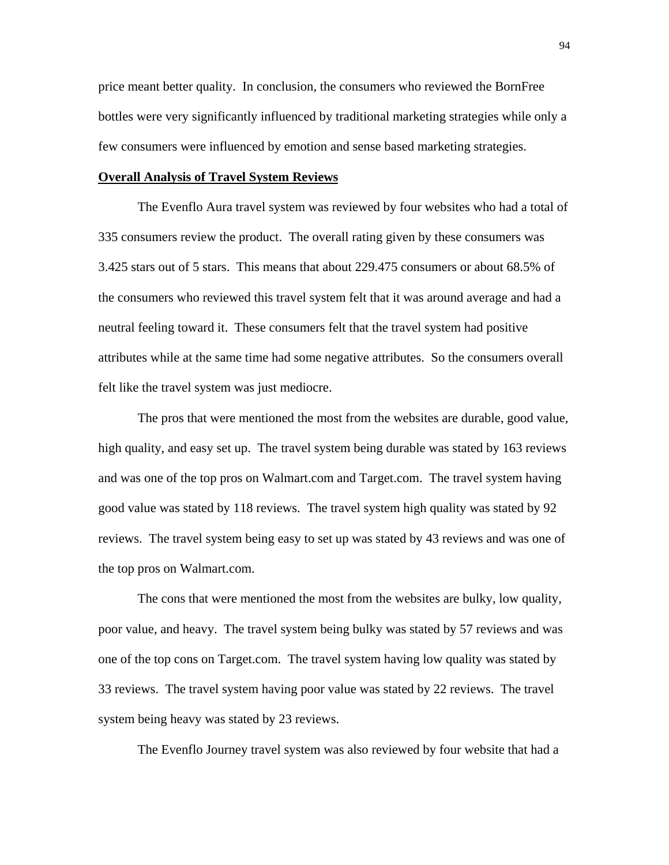price meant better quality. In conclusion, the consumers who reviewed the BornFree bottles were very significantly influenced by traditional marketing strategies while only a few consumers were influenced by emotion and sense based marketing strategies.

## **Overall Analysis of Travel System Reviews**

 The Evenflo Aura travel system was reviewed by four websites who had a total of 335 consumers review the product. The overall rating given by these consumers was 3.425 stars out of 5 stars. This means that about 229.475 consumers or about 68.5% of the consumers who reviewed this travel system felt that it was around average and had a neutral feeling toward it. These consumers felt that the travel system had positive attributes while at the same time had some negative attributes. So the consumers overall felt like the travel system was just mediocre.

 The pros that were mentioned the most from the websites are durable, good value, high quality, and easy set up. The travel system being durable was stated by 163 reviews and was one of the top pros on Walmart.com and Target.com. The travel system having good value was stated by 118 reviews. The travel system high quality was stated by 92 reviews. The travel system being easy to set up was stated by 43 reviews and was one of the top pros on Walmart.com.

 The cons that were mentioned the most from the websites are bulky, low quality, poor value, and heavy. The travel system being bulky was stated by 57 reviews and was one of the top cons on Target.com. The travel system having low quality was stated by 33 reviews. The travel system having poor value was stated by 22 reviews. The travel system being heavy was stated by 23 reviews.

The Evenflo Journey travel system was also reviewed by four website that had a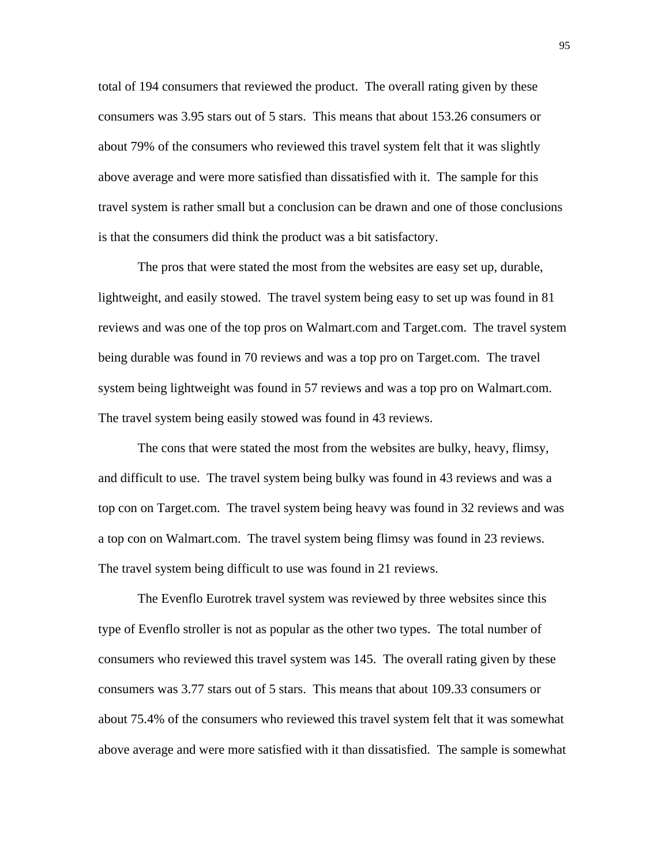total of 194 consumers that reviewed the product. The overall rating given by these consumers was 3.95 stars out of 5 stars. This means that about 153.26 consumers or about 79% of the consumers who reviewed this travel system felt that it was slightly above average and were more satisfied than dissatisfied with it. The sample for this travel system is rather small but a conclusion can be drawn and one of those conclusions is that the consumers did think the product was a bit satisfactory.

 The pros that were stated the most from the websites are easy set up, durable, lightweight, and easily stowed. The travel system being easy to set up was found in 81 reviews and was one of the top pros on Walmart.com and Target.com. The travel system being durable was found in 70 reviews and was a top pro on Target.com. The travel system being lightweight was found in 57 reviews and was a top pro on Walmart.com. The travel system being easily stowed was found in 43 reviews.

 The cons that were stated the most from the websites are bulky, heavy, flimsy, and difficult to use. The travel system being bulky was found in 43 reviews and was a top con on Target.com. The travel system being heavy was found in 32 reviews and was a top con on Walmart.com. The travel system being flimsy was found in 23 reviews. The travel system being difficult to use was found in 21 reviews.

 The Evenflo Eurotrek travel system was reviewed by three websites since this type of Evenflo stroller is not as popular as the other two types. The total number of consumers who reviewed this travel system was 145. The overall rating given by these consumers was 3.77 stars out of 5 stars. This means that about 109.33 consumers or about 75.4% of the consumers who reviewed this travel system felt that it was somewhat above average and were more satisfied with it than dissatisfied. The sample is somewhat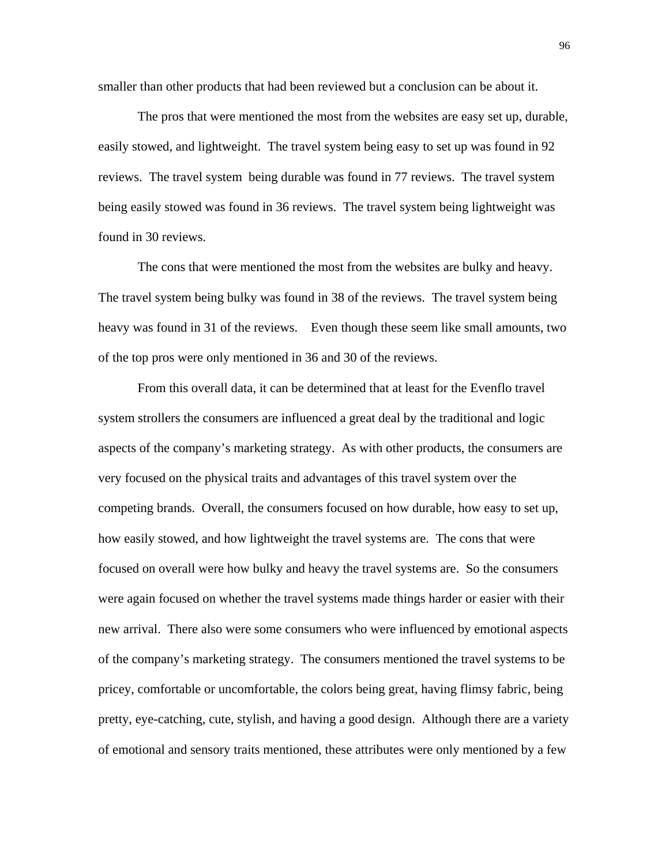smaller than other products that had been reviewed but a conclusion can be about it.

 The pros that were mentioned the most from the websites are easy set up, durable, easily stowed, and lightweight. The travel system being easy to set up was found in 92 reviews. The travel system being durable was found in 77 reviews. The travel system being easily stowed was found in 36 reviews. The travel system being lightweight was found in 30 reviews.

 The cons that were mentioned the most from the websites are bulky and heavy. The travel system being bulky was found in 38 of the reviews. The travel system being heavy was found in 31 of the reviews. Even though these seem like small amounts, two of the top pros were only mentioned in 36 and 30 of the reviews.

 From this overall data, it can be determined that at least for the Evenflo travel system strollers the consumers are influenced a great deal by the traditional and logic aspects of the company's marketing strategy. As with other products, the consumers are very focused on the physical traits and advantages of this travel system over the competing brands. Overall, the consumers focused on how durable, how easy to set up, how easily stowed, and how lightweight the travel systems are. The cons that were focused on overall were how bulky and heavy the travel systems are. So the consumers were again focused on whether the travel systems made things harder or easier with their new arrival. There also were some consumers who were influenced by emotional aspects of the company's marketing strategy. The consumers mentioned the travel systems to be pricey, comfortable or uncomfortable, the colors being great, having flimsy fabric, being pretty, eye-catching, cute, stylish, and having a good design. Although there are a variety of emotional and sensory traits mentioned, these attributes were only mentioned by a few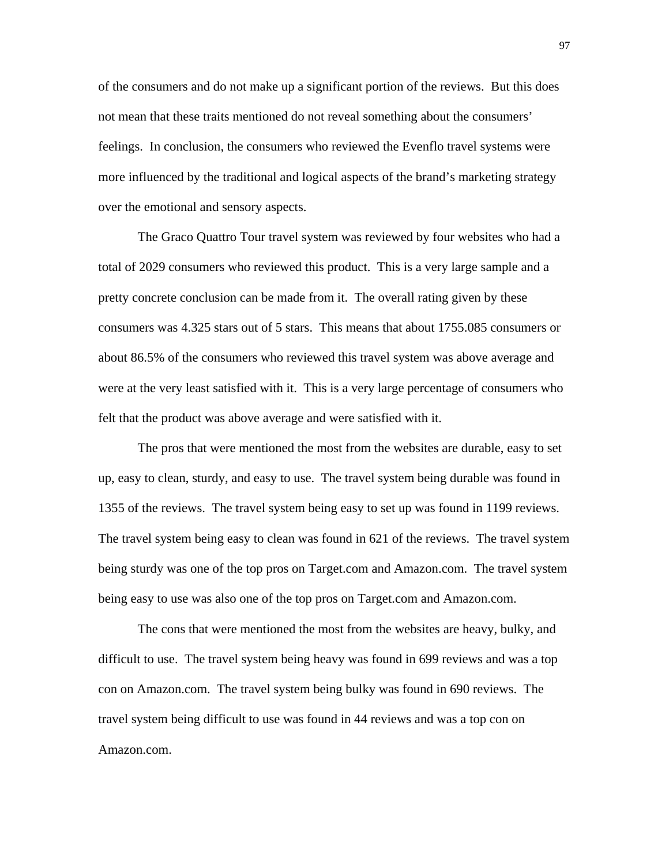of the consumers and do not make up a significant portion of the reviews. But this does not mean that these traits mentioned do not reveal something about the consumers' feelings. In conclusion, the consumers who reviewed the Evenflo travel systems were more influenced by the traditional and logical aspects of the brand's marketing strategy over the emotional and sensory aspects.

 The Graco Quattro Tour travel system was reviewed by four websites who had a total of 2029 consumers who reviewed this product. This is a very large sample and a pretty concrete conclusion can be made from it. The overall rating given by these consumers was 4.325 stars out of 5 stars. This means that about 1755.085 consumers or about 86.5% of the consumers who reviewed this travel system was above average and were at the very least satisfied with it. This is a very large percentage of consumers who felt that the product was above average and were satisfied with it.

 The pros that were mentioned the most from the websites are durable, easy to set up, easy to clean, sturdy, and easy to use. The travel system being durable was found in 1355 of the reviews. The travel system being easy to set up was found in 1199 reviews. The travel system being easy to clean was found in 621 of the reviews. The travel system being sturdy was one of the top pros on Target.com and Amazon.com. The travel system being easy to use was also one of the top pros on Target.com and Amazon.com.

 The cons that were mentioned the most from the websites are heavy, bulky, and difficult to use. The travel system being heavy was found in 699 reviews and was a top con on Amazon.com. The travel system being bulky was found in 690 reviews. The travel system being difficult to use was found in 44 reviews and was a top con on Amazon.com.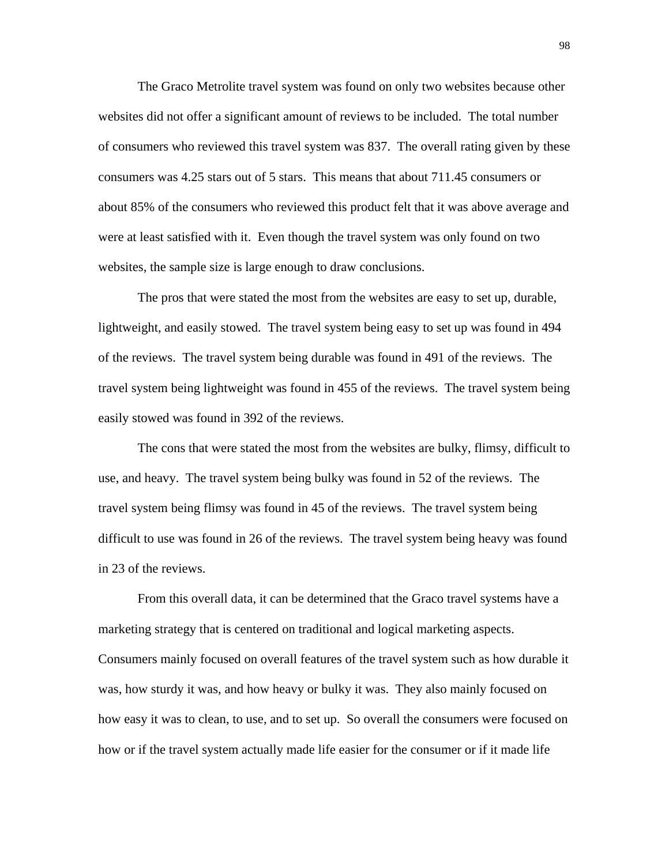The Graco Metrolite travel system was found on only two websites because other websites did not offer a significant amount of reviews to be included. The total number of consumers who reviewed this travel system was 837. The overall rating given by these consumers was 4.25 stars out of 5 stars. This means that about 711.45 consumers or about 85% of the consumers who reviewed this product felt that it was above average and were at least satisfied with it. Even though the travel system was only found on two websites, the sample size is large enough to draw conclusions.

 The pros that were stated the most from the websites are easy to set up, durable, lightweight, and easily stowed. The travel system being easy to set up was found in 494 of the reviews. The travel system being durable was found in 491 of the reviews. The travel system being lightweight was found in 455 of the reviews. The travel system being easily stowed was found in 392 of the reviews.

 The cons that were stated the most from the websites are bulky, flimsy, difficult to use, and heavy. The travel system being bulky was found in 52 of the reviews. The travel system being flimsy was found in 45 of the reviews. The travel system being difficult to use was found in 26 of the reviews. The travel system being heavy was found in 23 of the reviews.

 From this overall data, it can be determined that the Graco travel systems have a marketing strategy that is centered on traditional and logical marketing aspects. Consumers mainly focused on overall features of the travel system such as how durable it was, how sturdy it was, and how heavy or bulky it was. They also mainly focused on how easy it was to clean, to use, and to set up. So overall the consumers were focused on how or if the travel system actually made life easier for the consumer or if it made life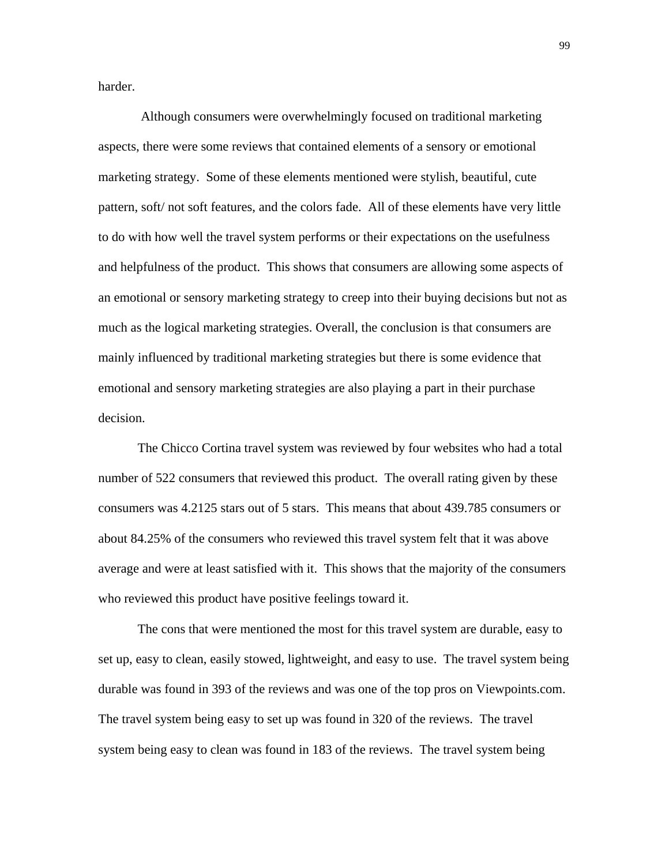harder.

 Although consumers were overwhelmingly focused on traditional marketing aspects, there were some reviews that contained elements of a sensory or emotional marketing strategy. Some of these elements mentioned were stylish, beautiful, cute pattern, soft/ not soft features, and the colors fade. All of these elements have very little to do with how well the travel system performs or their expectations on the usefulness and helpfulness of the product. This shows that consumers are allowing some aspects of an emotional or sensory marketing strategy to creep into their buying decisions but not as much as the logical marketing strategies. Overall, the conclusion is that consumers are mainly influenced by traditional marketing strategies but there is some evidence that emotional and sensory marketing strategies are also playing a part in their purchase decision.

 The Chicco Cortina travel system was reviewed by four websites who had a total number of 522 consumers that reviewed this product. The overall rating given by these consumers was 4.2125 stars out of 5 stars. This means that about 439.785 consumers or about 84.25% of the consumers who reviewed this travel system felt that it was above average and were at least satisfied with it. This shows that the majority of the consumers who reviewed this product have positive feelings toward it.

 The cons that were mentioned the most for this travel system are durable, easy to set up, easy to clean, easily stowed, lightweight, and easy to use. The travel system being durable was found in 393 of the reviews and was one of the top pros on Viewpoints.com. The travel system being easy to set up was found in 320 of the reviews. The travel system being easy to clean was found in 183 of the reviews. The travel system being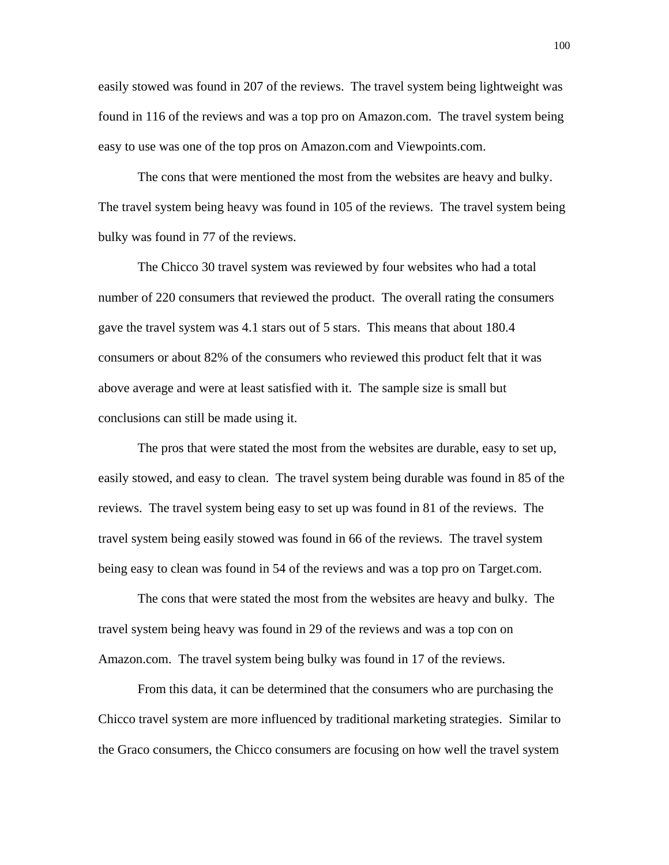easily stowed was found in 207 of the reviews. The travel system being lightweight was found in 116 of the reviews and was a top pro on Amazon.com. The travel system being easy to use was one of the top pros on Amazon.com and Viewpoints.com.

 The cons that were mentioned the most from the websites are heavy and bulky. The travel system being heavy was found in 105 of the reviews. The travel system being bulky was found in 77 of the reviews.

 The Chicco 30 travel system was reviewed by four websites who had a total number of 220 consumers that reviewed the product. The overall rating the consumers gave the travel system was 4.1 stars out of 5 stars. This means that about 180.4 consumers or about 82% of the consumers who reviewed this product felt that it was above average and were at least satisfied with it. The sample size is small but conclusions can still be made using it.

 The pros that were stated the most from the websites are durable, easy to set up, easily stowed, and easy to clean. The travel system being durable was found in 85 of the reviews. The travel system being easy to set up was found in 81 of the reviews. The travel system being easily stowed was found in 66 of the reviews. The travel system being easy to clean was found in 54 of the reviews and was a top pro on Target.com.

 The cons that were stated the most from the websites are heavy and bulky. The travel system being heavy was found in 29 of the reviews and was a top con on Amazon.com. The travel system being bulky was found in 17 of the reviews.

 From this data, it can be determined that the consumers who are purchasing the Chicco travel system are more influenced by traditional marketing strategies. Similar to the Graco consumers, the Chicco consumers are focusing on how well the travel system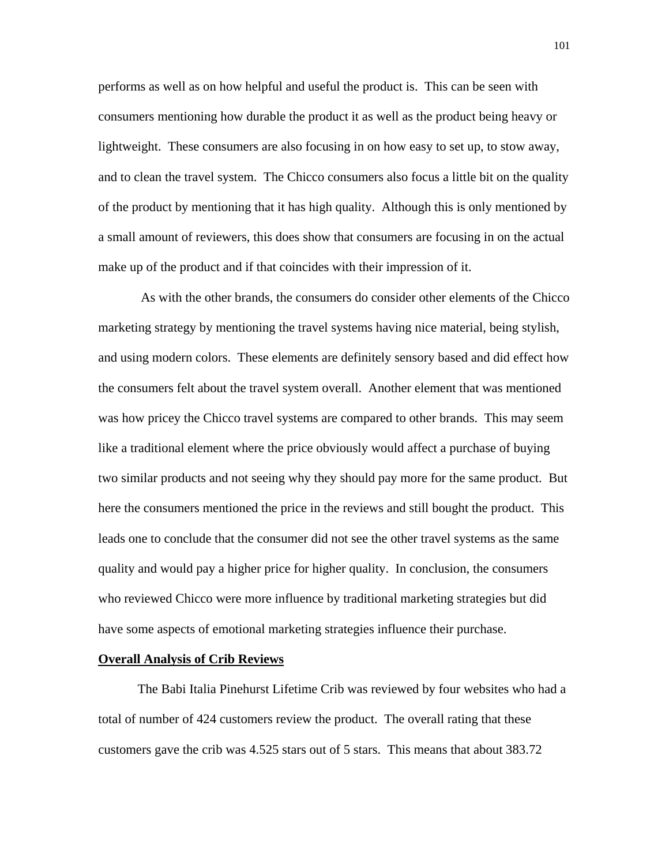performs as well as on how helpful and useful the product is. This can be seen with consumers mentioning how durable the product it as well as the product being heavy or lightweight. These consumers are also focusing in on how easy to set up, to stow away, and to clean the travel system. The Chicco consumers also focus a little bit on the quality of the product by mentioning that it has high quality. Although this is only mentioned by a small amount of reviewers, this does show that consumers are focusing in on the actual make up of the product and if that coincides with their impression of it.

 As with the other brands, the consumers do consider other elements of the Chicco marketing strategy by mentioning the travel systems having nice material, being stylish, and using modern colors. These elements are definitely sensory based and did effect how the consumers felt about the travel system overall. Another element that was mentioned was how pricey the Chicco travel systems are compared to other brands. This may seem like a traditional element where the price obviously would affect a purchase of buying two similar products and not seeing why they should pay more for the same product. But here the consumers mentioned the price in the reviews and still bought the product. This leads one to conclude that the consumer did not see the other travel systems as the same quality and would pay a higher price for higher quality. In conclusion, the consumers who reviewed Chicco were more influence by traditional marketing strategies but did have some aspects of emotional marketing strategies influence their purchase.

#### **Overall Analysis of Crib Reviews**

 The Babi Italia Pinehurst Lifetime Crib was reviewed by four websites who had a total of number of 424 customers review the product. The overall rating that these customers gave the crib was 4.525 stars out of 5 stars. This means that about 383.72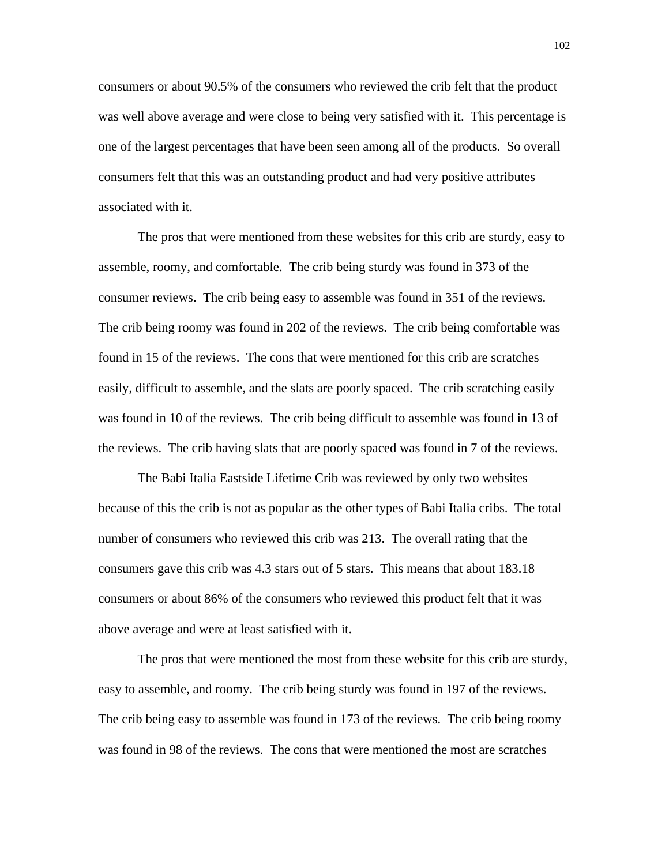consumers or about 90.5% of the consumers who reviewed the crib felt that the product was well above average and were close to being very satisfied with it. This percentage is one of the largest percentages that have been seen among all of the products. So overall consumers felt that this was an outstanding product and had very positive attributes associated with it.

 The pros that were mentioned from these websites for this crib are sturdy, easy to assemble, roomy, and comfortable. The crib being sturdy was found in 373 of the consumer reviews. The crib being easy to assemble was found in 351 of the reviews. The crib being roomy was found in 202 of the reviews. The crib being comfortable was found in 15 of the reviews. The cons that were mentioned for this crib are scratches easily, difficult to assemble, and the slats are poorly spaced. The crib scratching easily was found in 10 of the reviews. The crib being difficult to assemble was found in 13 of the reviews. The crib having slats that are poorly spaced was found in 7 of the reviews.

 The Babi Italia Eastside Lifetime Crib was reviewed by only two websites because of this the crib is not as popular as the other types of Babi Italia cribs. The total number of consumers who reviewed this crib was 213. The overall rating that the consumers gave this crib was 4.3 stars out of 5 stars. This means that about 183.18 consumers or about 86% of the consumers who reviewed this product felt that it was above average and were at least satisfied with it.

 The pros that were mentioned the most from these website for this crib are sturdy, easy to assemble, and roomy. The crib being sturdy was found in 197 of the reviews. The crib being easy to assemble was found in 173 of the reviews. The crib being roomy was found in 98 of the reviews. The cons that were mentioned the most are scratches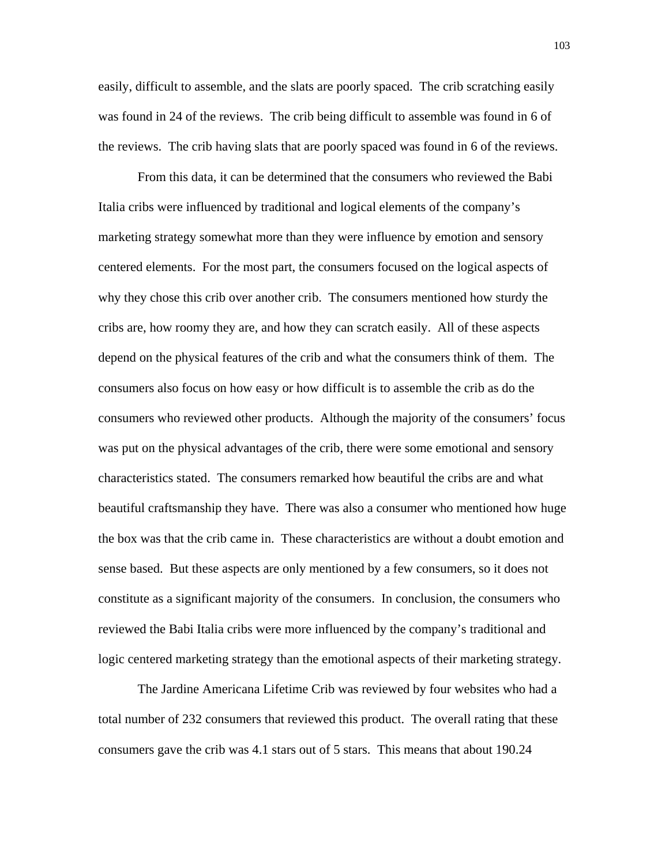easily, difficult to assemble, and the slats are poorly spaced. The crib scratching easily was found in 24 of the reviews. The crib being difficult to assemble was found in 6 of the reviews. The crib having slats that are poorly spaced was found in 6 of the reviews.

 From this data, it can be determined that the consumers who reviewed the Babi Italia cribs were influenced by traditional and logical elements of the company's marketing strategy somewhat more than they were influence by emotion and sensory centered elements. For the most part, the consumers focused on the logical aspects of why they chose this crib over another crib. The consumers mentioned how sturdy the cribs are, how roomy they are, and how they can scratch easily. All of these aspects depend on the physical features of the crib and what the consumers think of them. The consumers also focus on how easy or how difficult is to assemble the crib as do the consumers who reviewed other products. Although the majority of the consumers' focus was put on the physical advantages of the crib, there were some emotional and sensory characteristics stated. The consumers remarked how beautiful the cribs are and what beautiful craftsmanship they have. There was also a consumer who mentioned how huge the box was that the crib came in. These characteristics are without a doubt emotion and sense based. But these aspects are only mentioned by a few consumers, so it does not constitute as a significant majority of the consumers. In conclusion, the consumers who reviewed the Babi Italia cribs were more influenced by the company's traditional and logic centered marketing strategy than the emotional aspects of their marketing strategy.

 The Jardine Americana Lifetime Crib was reviewed by four websites who had a total number of 232 consumers that reviewed this product. The overall rating that these consumers gave the crib was 4.1 stars out of 5 stars. This means that about 190.24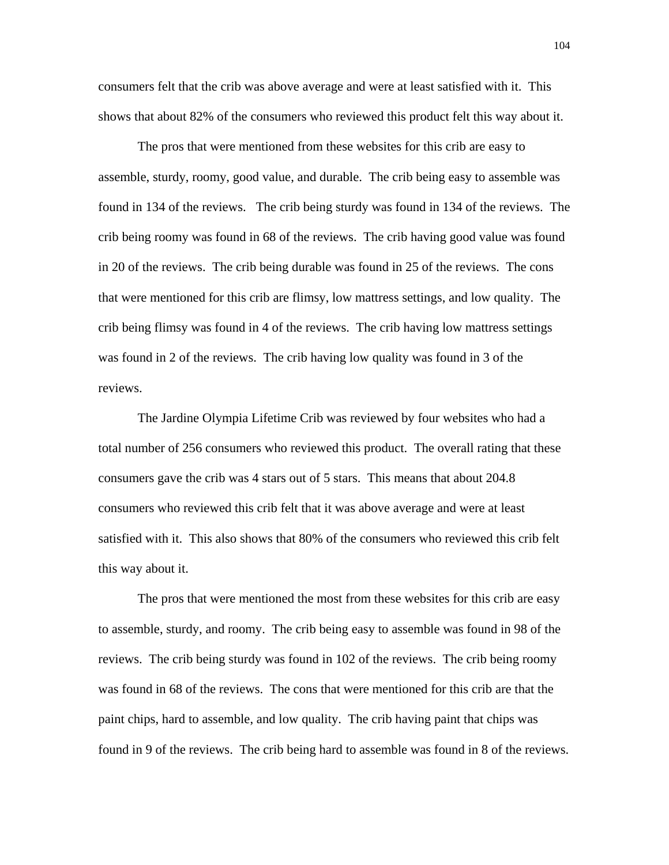consumers felt that the crib was above average and were at least satisfied with it. This shows that about 82% of the consumers who reviewed this product felt this way about it.

 The pros that were mentioned from these websites for this crib are easy to assemble, sturdy, roomy, good value, and durable. The crib being easy to assemble was found in 134 of the reviews. The crib being sturdy was found in 134 of the reviews. The crib being roomy was found in 68 of the reviews. The crib having good value was found in 20 of the reviews. The crib being durable was found in 25 of the reviews. The cons that were mentioned for this crib are flimsy, low mattress settings, and low quality. The crib being flimsy was found in 4 of the reviews. The crib having low mattress settings was found in 2 of the reviews. The crib having low quality was found in 3 of the reviews.

 The Jardine Olympia Lifetime Crib was reviewed by four websites who had a total number of 256 consumers who reviewed this product. The overall rating that these consumers gave the crib was 4 stars out of 5 stars. This means that about 204.8 consumers who reviewed this crib felt that it was above average and were at least satisfied with it. This also shows that 80% of the consumers who reviewed this crib felt this way about it.

 The pros that were mentioned the most from these websites for this crib are easy to assemble, sturdy, and roomy. The crib being easy to assemble was found in 98 of the reviews. The crib being sturdy was found in 102 of the reviews. The crib being roomy was found in 68 of the reviews. The cons that were mentioned for this crib are that the paint chips, hard to assemble, and low quality. The crib having paint that chips was found in 9 of the reviews. The crib being hard to assemble was found in 8 of the reviews.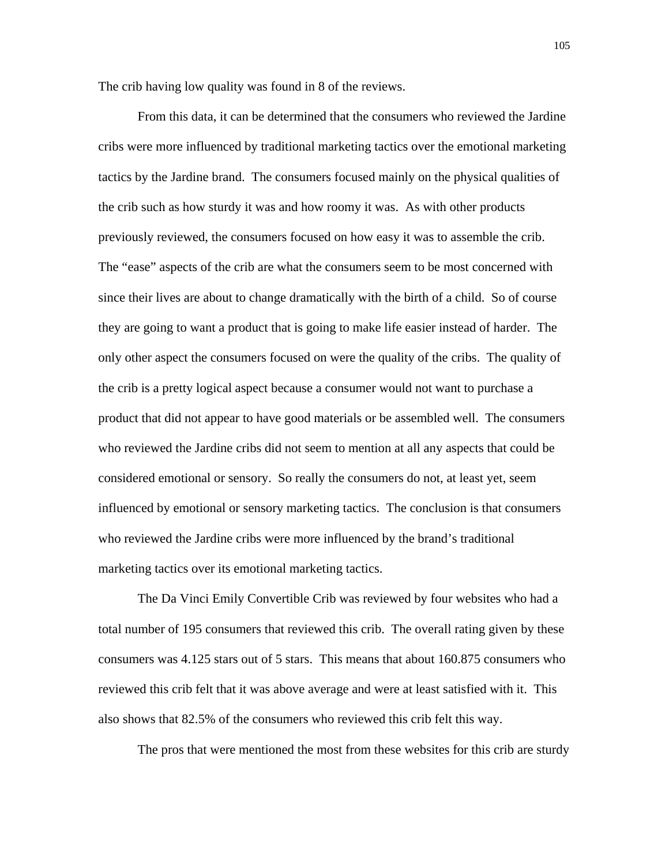The crib having low quality was found in 8 of the reviews.

 From this data, it can be determined that the consumers who reviewed the Jardine cribs were more influenced by traditional marketing tactics over the emotional marketing tactics by the Jardine brand. The consumers focused mainly on the physical qualities of the crib such as how sturdy it was and how roomy it was. As with other products previously reviewed, the consumers focused on how easy it was to assemble the crib. The "ease" aspects of the crib are what the consumers seem to be most concerned with since their lives are about to change dramatically with the birth of a child. So of course they are going to want a product that is going to make life easier instead of harder. The only other aspect the consumers focused on were the quality of the cribs. The quality of the crib is a pretty logical aspect because a consumer would not want to purchase a product that did not appear to have good materials or be assembled well. The consumers who reviewed the Jardine cribs did not seem to mention at all any aspects that could be considered emotional or sensory. So really the consumers do not, at least yet, seem influenced by emotional or sensory marketing tactics. The conclusion is that consumers who reviewed the Jardine cribs were more influenced by the brand's traditional marketing tactics over its emotional marketing tactics.

 The Da Vinci Emily Convertible Crib was reviewed by four websites who had a total number of 195 consumers that reviewed this crib. The overall rating given by these consumers was 4.125 stars out of 5 stars. This means that about 160.875 consumers who reviewed this crib felt that it was above average and were at least satisfied with it. This also shows that 82.5% of the consumers who reviewed this crib felt this way.

The pros that were mentioned the most from these websites for this crib are sturdy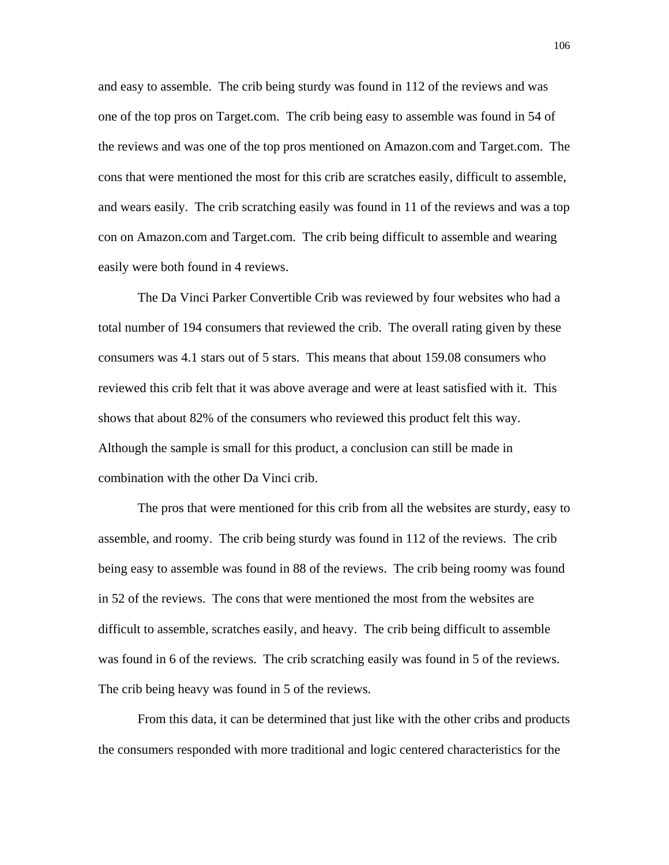and easy to assemble. The crib being sturdy was found in 112 of the reviews and was one of the top pros on Target.com. The crib being easy to assemble was found in 54 of the reviews and was one of the top pros mentioned on Amazon.com and Target.com. The cons that were mentioned the most for this crib are scratches easily, difficult to assemble, and wears easily. The crib scratching easily was found in 11 of the reviews and was a top con on Amazon.com and Target.com. The crib being difficult to assemble and wearing easily were both found in 4 reviews.

 The Da Vinci Parker Convertible Crib was reviewed by four websites who had a total number of 194 consumers that reviewed the crib. The overall rating given by these consumers was 4.1 stars out of 5 stars. This means that about 159.08 consumers who reviewed this crib felt that it was above average and were at least satisfied with it. This shows that about 82% of the consumers who reviewed this product felt this way. Although the sample is small for this product, a conclusion can still be made in combination with the other Da Vinci crib.

 The pros that were mentioned for this crib from all the websites are sturdy, easy to assemble, and roomy. The crib being sturdy was found in 112 of the reviews. The crib being easy to assemble was found in 88 of the reviews. The crib being roomy was found in 52 of the reviews. The cons that were mentioned the most from the websites are difficult to assemble, scratches easily, and heavy. The crib being difficult to assemble was found in 6 of the reviews. The crib scratching easily was found in 5 of the reviews. The crib being heavy was found in 5 of the reviews.

 From this data, it can be determined that just like with the other cribs and products the consumers responded with more traditional and logic centered characteristics for the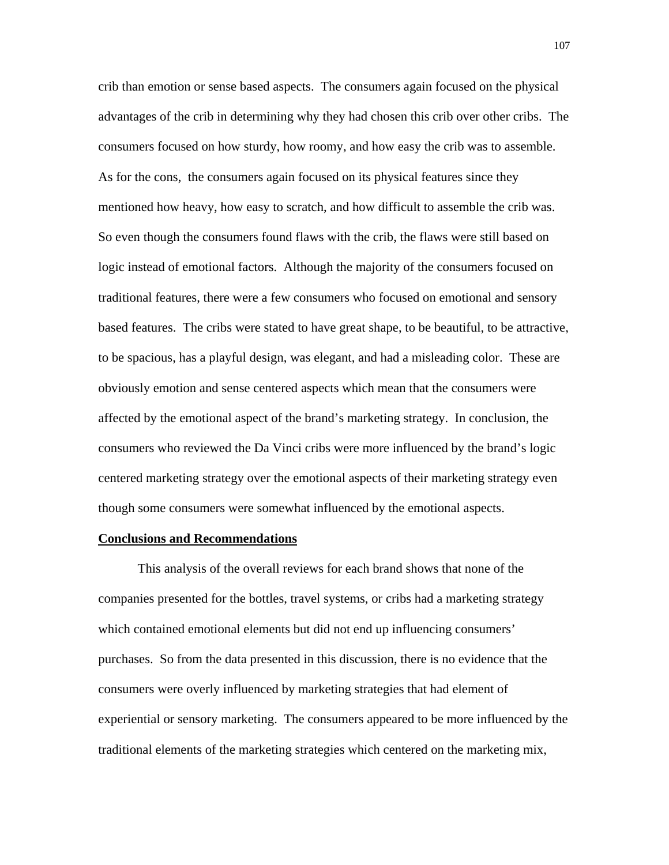crib than emotion or sense based aspects. The consumers again focused on the physical advantages of the crib in determining why they had chosen this crib over other cribs. The consumers focused on how sturdy, how roomy, and how easy the crib was to assemble. As for the cons, the consumers again focused on its physical features since they mentioned how heavy, how easy to scratch, and how difficult to assemble the crib was. So even though the consumers found flaws with the crib, the flaws were still based on logic instead of emotional factors. Although the majority of the consumers focused on traditional features, there were a few consumers who focused on emotional and sensory based features. The cribs were stated to have great shape, to be beautiful, to be attractive, to be spacious, has a playful design, was elegant, and had a misleading color. These are obviously emotion and sense centered aspects which mean that the consumers were affected by the emotional aspect of the brand's marketing strategy. In conclusion, the consumers who reviewed the Da Vinci cribs were more influenced by the brand's logic centered marketing strategy over the emotional aspects of their marketing strategy even though some consumers were somewhat influenced by the emotional aspects.

## **Conclusions and Recommendations**

 This analysis of the overall reviews for each brand shows that none of the companies presented for the bottles, travel systems, or cribs had a marketing strategy which contained emotional elements but did not end up influencing consumers' purchases. So from the data presented in this discussion, there is no evidence that the consumers were overly influenced by marketing strategies that had element of experiential or sensory marketing. The consumers appeared to be more influenced by the traditional elements of the marketing strategies which centered on the marketing mix,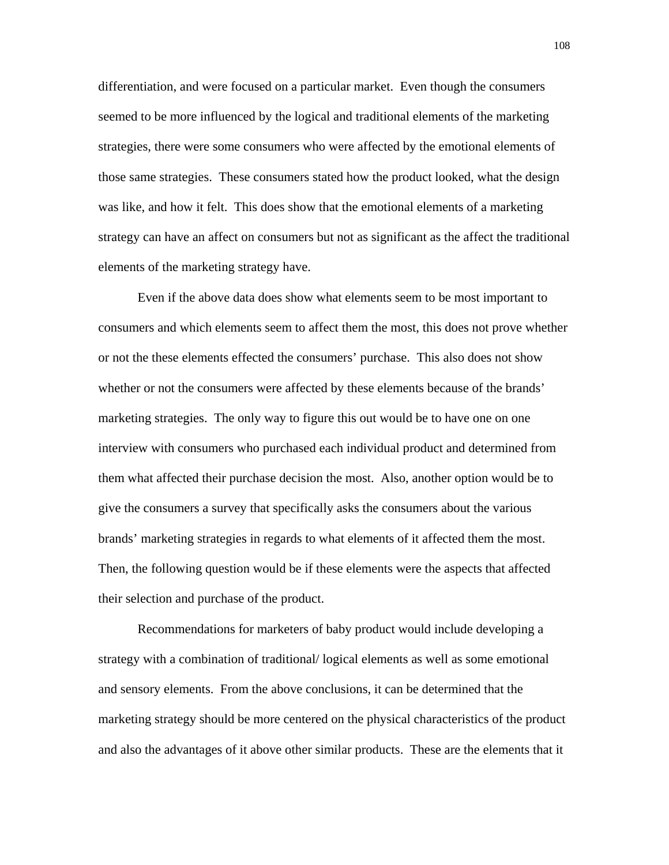differentiation, and were focused on a particular market. Even though the consumers seemed to be more influenced by the logical and traditional elements of the marketing strategies, there were some consumers who were affected by the emotional elements of those same strategies. These consumers stated how the product looked, what the design was like, and how it felt. This does show that the emotional elements of a marketing strategy can have an affect on consumers but not as significant as the affect the traditional elements of the marketing strategy have.

 Even if the above data does show what elements seem to be most important to consumers and which elements seem to affect them the most, this does not prove whether or not the these elements effected the consumers' purchase. This also does not show whether or not the consumers were affected by these elements because of the brands' marketing strategies. The only way to figure this out would be to have one on one interview with consumers who purchased each individual product and determined from them what affected their purchase decision the most. Also, another option would be to give the consumers a survey that specifically asks the consumers about the various brands' marketing strategies in regards to what elements of it affected them the most. Then, the following question would be if these elements were the aspects that affected their selection and purchase of the product.

 Recommendations for marketers of baby product would include developing a strategy with a combination of traditional/ logical elements as well as some emotional and sensory elements. From the above conclusions, it can be determined that the marketing strategy should be more centered on the physical characteristics of the product and also the advantages of it above other similar products. These are the elements that it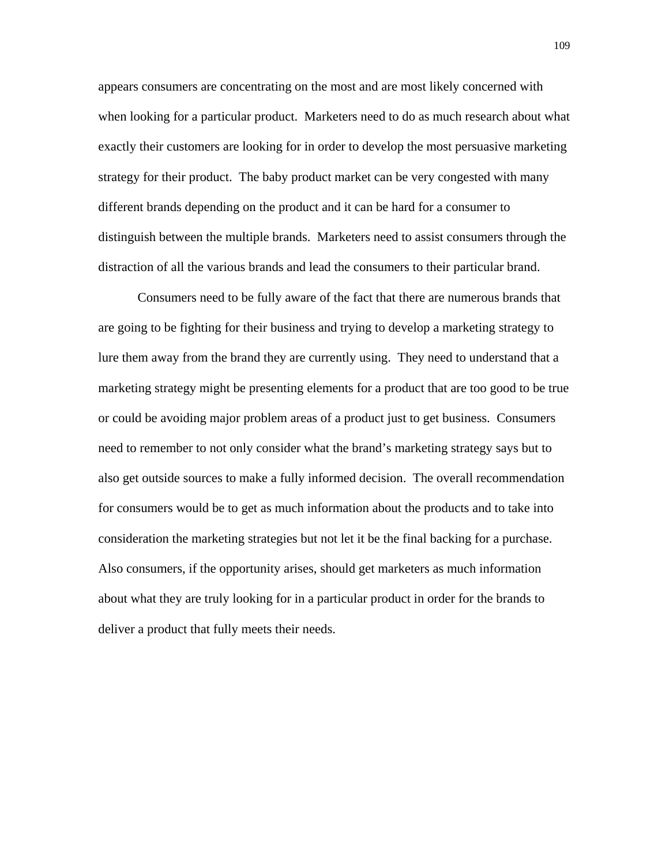appears consumers are concentrating on the most and are most likely concerned with when looking for a particular product. Marketers need to do as much research about what exactly their customers are looking for in order to develop the most persuasive marketing strategy for their product. The baby product market can be very congested with many different brands depending on the product and it can be hard for a consumer to distinguish between the multiple brands. Marketers need to assist consumers through the distraction of all the various brands and lead the consumers to their particular brand.

 Consumers need to be fully aware of the fact that there are numerous brands that are going to be fighting for their business and trying to develop a marketing strategy to lure them away from the brand they are currently using. They need to understand that a marketing strategy might be presenting elements for a product that are too good to be true or could be avoiding major problem areas of a product just to get business. Consumers need to remember to not only consider what the brand's marketing strategy says but to also get outside sources to make a fully informed decision. The overall recommendation for consumers would be to get as much information about the products and to take into consideration the marketing strategies but not let it be the final backing for a purchase. Also consumers, if the opportunity arises, should get marketers as much information about what they are truly looking for in a particular product in order for the brands to deliver a product that fully meets their needs.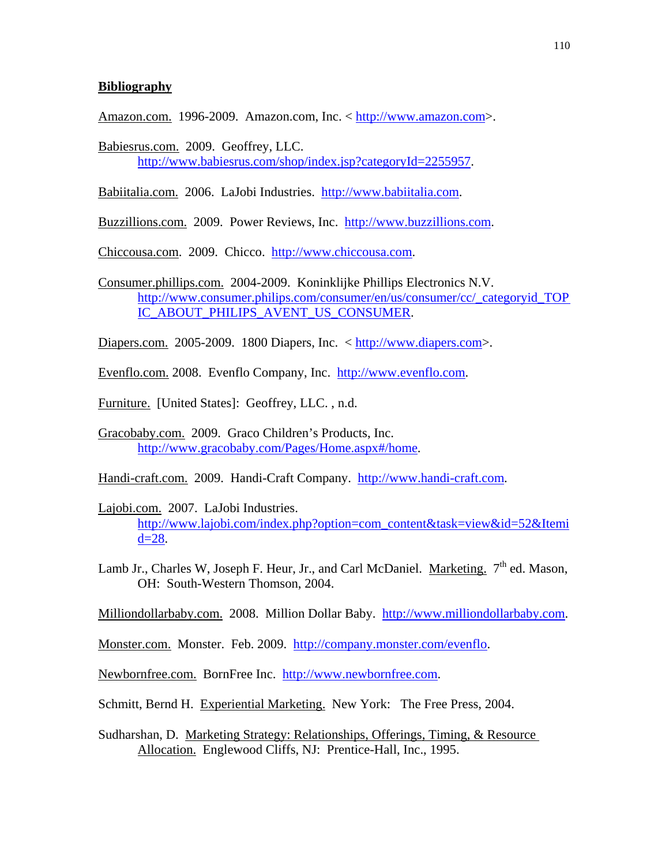## **Bibliography**

Amazon.com. 1996-2009. Amazon.com, Inc. < [http://www.amazon.com](http://www.amazon.com/)>.

Babiesrus.com. 2009. Geoffrey, LLC. <http://www.babiesrus.com/shop/index.jsp?categoryId=2255957>.

Babiitalia.com. 2006. LaJobi Industries. [http://www.babiitalia.com](http://www.babiitalia.com/).

Buzzillions.com. 2009. Power Reviews, Inc. [http://www.buzzillions.com.](http://www.buzzillions.com/)

Chiccousa.com. 2009. Chicco. [http://www.chiccousa.com](http://www.chiccousa.com/).

Consumer.phillips.com. 2004-2009. Koninklijke Phillips Electronics N.V. [http://www.consumer.philips.com/consumer/en/us/consumer/cc/\\_categoryid\\_TOP](http://www.consumer.philips.com/consumer/en/us/consumer/cc/_categoryid_TOPIC_ABOUT_PHILIPS_AVENT_US_CONSUMER)  [IC\\_ABOUT\\_PHILIPS\\_AVENT\\_US\\_CONSUMER.](http://www.consumer.philips.com/consumer/en/us/consumer/cc/_categoryid_TOPIC_ABOUT_PHILIPS_AVENT_US_CONSUMER)

Diapers.com. 2005-2009. 1800 Diapers, Inc. < [http://www.diapers.com](http://www.diapers.com/)>.

Evenflo.com. 2008. Evenflo Company, Inc. [http://www.evenflo.com.](http://www.evenflo.com/)

Furniture. [United States]: Geoffrey, LLC. , n.d.

Gracobaby.com. 2009. Graco Children's Products, Inc. <http://www.gracobaby.com/Pages/Home.aspx#/home>.

Handi-craft.com. 2009. Handi-Craft Company. [http://www.handi-craft.com.](http://www.handi-craft.com/)

- Lajobi.com. 2007. LaJobi Industries. [http://www.lajobi.com/index.php?option=com\\_content&task=view&id=52&Itemi](http://www.lajobi.com/index.php?option=com_content&task=view&id=52&Itemid=28)  $d=28$ .
- Lamb Jr., Charles W, Joseph F. Heur, Jr., and Carl McDaniel. Marketing.  $7<sup>th</sup>$  ed. Mason, OH: South-Western Thomson, 2004.

Milliondollarbaby.com. 2008. Million Dollar Baby. [http://www.milliondollarbaby.com](http://www.milliondollarbaby.com/).

Monster.com. Monster. Feb. 2009. [http://company.monster.com/evenflo.](http://company.monster.com/evenflo)

Newbornfree.com. BornFree Inc. [http://www.newbornfree.com.](http://www.newbornfree.com/)

Schmitt, Bernd H. Experiential Marketing. New York: The Free Press, 2004.

Sudharshan, D. Marketing Strategy: Relationships, Offerings, Timing, & Resource Allocation. Englewood Cliffs, NJ: Prentice-Hall, Inc., 1995.